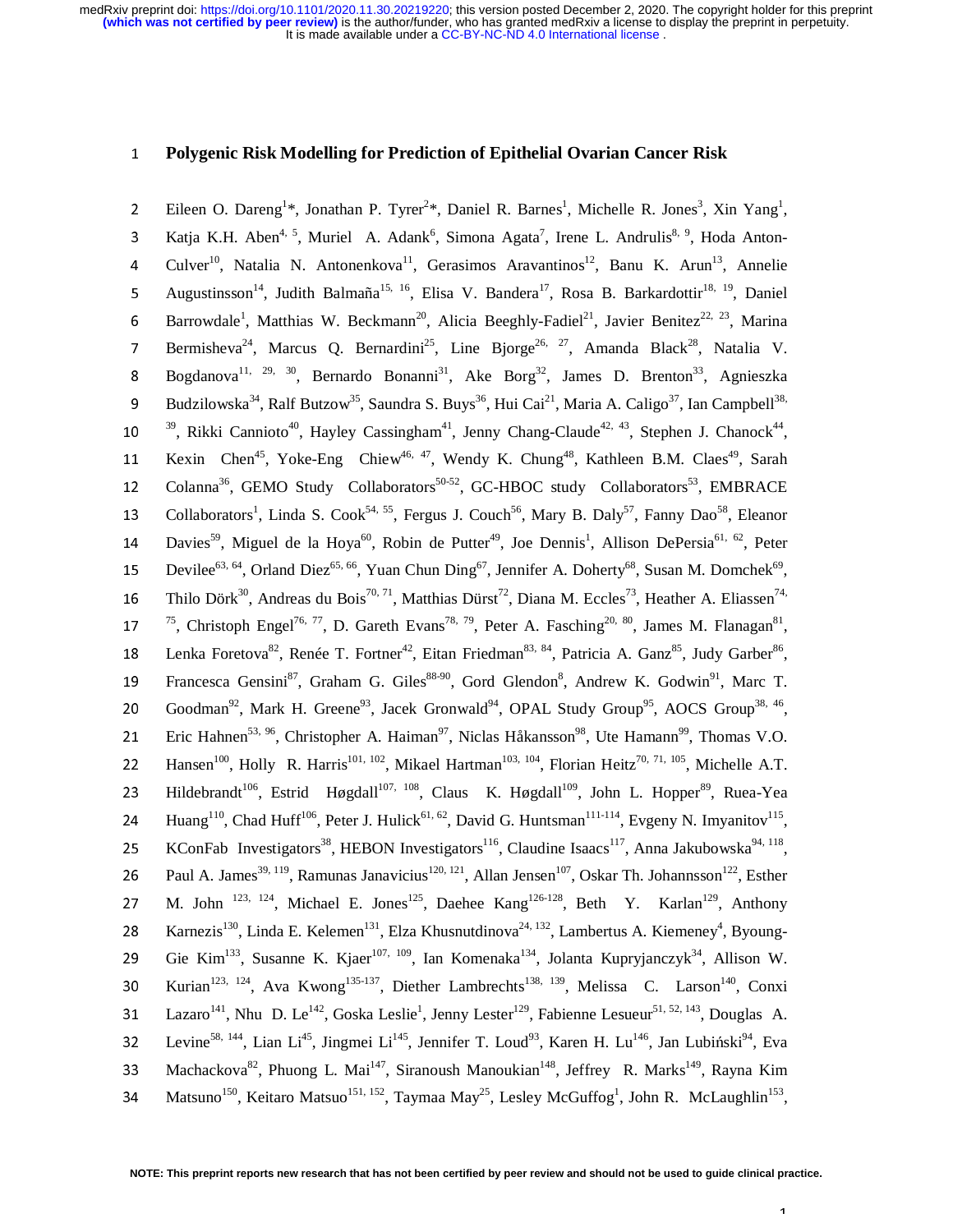## <sup>1</sup>**Polygenic Risk Modelling for Prediction of Epithelial Ovarian Cancer Risk**

2 Eileen O. Dareng<sup>1</sup>\*, Jonathan P. Tyrer<sup>2\*</sup>, Daniel R. Barnes<sup>1</sup>, Michelle R. Jones<sup>3</sup>, Xin Yang<sup>1</sup>,  $Katja K.H. Aben<sup>4, 5</sup>, Muriel A. Adank<sup>6</sup>, Simona Agata<sup>7</sup>, Irene L. Andrulis<sup>8, 9</sup>, Hoda Anton-<sup>10</sup>$ Gulver<sup>10</sup>, Natalia N. Antonenkova<sup>11</sup>, Gerasimos Aravantinos<sup>12</sup>, Banu K. Arun<sup>13</sup>, Annelie<br>5 Augustinsson<sup>14</sup>, Judith Balmaña<sup>15, 16</sup>, Elisa V. Bandera<sup>17</sup>, Rosa B. Barkardottir<sup>18, 19</sup>, Daniel Augustinsson<sup>14</sup>, Judith Balmaña<sup>15, 16</sup>, Elisa V. Bandera<sup>17</sup>, Rosa B. Barkardottir<sup>18, 19</sup>, Daniel 6 Barrowdale<sup>1</sup>, Matthias W. Beckmann<sup>20</sup>, Alicia Beeghly-Fadiel<sup>21</sup>, Javier Benitez<sup>22, 23</sup>, Marina Bermisheva<sup>24</sup>, Marcus Q. Bernardini<sup>25</sup>, Line Bjorge<sup>26, 27</sup>, Amanda Black<sup>28</sup>, Natalia V.<br>Bogdanova<sup>11, 29, 30</sup>, Bernardo Bonanni<sup>31</sup>, Ake Borg<sup>32</sup>, James D. Brenton<sup>33</sup>, Agnieszka Bogdanova<sup>11, 29, 30</sup>, Bernardo Bonanni<sup>31</sup>, Ake Borg<sup>32</sup>, James D. Brenton<sup>33</sup>, Agnieszka<br>9 Budzilowska<sup>34</sup>, Ralf Butzow<sup>35</sup>, Saundra S. Buvs<sup>36</sup>, Hui Cai<sup>21</sup>, Maria A. Caligo<sup>37</sup>, Ian Campbell<sup>38,</sup> Budzilowska<sup>34</sup>, Ralf Butzow<sup>35</sup>, Saundra S. Buys<sup>36</sup>, Hui Cai<sup>21</sup>, Maria A. Caligo<sup>37</sup>, Ian Campbell<sup>38,</sup> 10<br>10 <sup>39</sup>, Rikki Cannioto<sup>40</sup>, Hayley Cassingham<sup>41</sup>, Jenny Chang-Claude<sup>42, 43</sup>, Stephen J. Chanock<sup>44</sup>, <sup>39</sup>, Rikki Cannioto<sup>40</sup>, Hayley Cassingham<sup>41</sup>, Jenny Chang-Claude<sup>42, 43</sup>, Stephen J. Chanock<sup>44</sup>,<br>11 Kexin Chen<sup>45</sup>, Yoke-Eng Chiew<sup>46, 47</sup>, Wendy K. Chung<sup>48</sup>, Kathleen B.M. Claes<sup>49</sup>, Sarah 11 Kexin Chen<sup>45</sup>, Yoke-Eng Chiew<sup>46, 47</sup>, Wendy K. Chung<sup>48</sup>, Kathleen B.M. Claes<sup>49</sup>, Sarah<br>12 Colanna<sup>36</sup>, GEMO Study Collaborators<sup>50-52</sup>, GC-HBOC study Collaborators<sup>53</sup>, EMBRACE 12 Colanna<sup>36</sup>, GEMO Study Collaborators<sup>50-52</sup>, GC-HBOC study Collaborators<sup>53</sup>, EMBRACE<br>13 Collaborators<sup>1</sup>, Linda S. Cook<sup>54, 55</sup>, Fergus J. Couch<sup>56</sup>, Mary B. Dalv<sup>57</sup>, Fanny Dao<sup>58</sup>, Eleanor 13 Collaborators<sup>1</sup>, Linda S. Cook<sup>54, 55</sup>, Fergus J. Couch<sup>56</sup>, Mary B. Daly<sup>57</sup>, Fanny Dao<sup>58</sup>, Eleanor 14 Davies<sup>59</sup>, Miguel de la Hoya<sup>60</sup>, Robin de Putter<sup>49</sup>, Joe Dennis<sup>1</sup>, Allison DePersia<sup>61, 62</sup>, Peter Devilee<sup>63, 64</sup>, Orland Diez<sup>65, 66</sup>, Yuan Chun Ding<sup>67</sup>, Jennifer A. Doherty<sup>68</sup>, Susan M. Domchek<sup>69</sup>,<br>16. Thilo Dörk<sup>30</sup>, Andreas du Bois<sup>70, 71</sup>, Matthias Dürst<sup>72</sup>, Diana M. Eccles<sup>73</sup>, Heather A. Eliassen<sup>74,</sup> 16 Thilo Dörk<sup>30</sup>, Andreas du Bois<sup>70, 71</sup>, Matthias Dürst<sup>72</sup>, Diana M. Eccles<sup>73</sup>, Heather A. Eliassen<sup>74,</sup> 17<sup>75</sup>, Christoph Engel<sup>76, 77</sup>, D. Gareth Evans<sup>78, 79</sup>, Peter A. Fasching<sup>20, 80</sup>, James M. Flanagan<sup>81</sup>, <sup>75</sup>, Christoph Engel<sup>76, 77</sup>, D. Gareth Evans<sup>78, 79</sup>, Peter A. Fasching<sup>20, 80</sup>, James M. Flanagan<sup>81</sup>,<br>18 Lenka Foretova<sup>82</sup>, Renée T. Fortner<sup>42</sup>, Eitan Friedman<sup>83, 84</sup>, Patricia A. Ganz<sup>85</sup>, Judy Garber<sup>86</sup>, 18 Lenka Foretova<sup>82</sup>, Renée T. Fortner<sup>42</sup>, Eitan Friedman<sup>83, 84</sup>, Patricia A. Ganz<sup>85</sup>, Judy Garber<sup>86</sup>,<br>19 Francesca Gensini<sup>87</sup>, Graham G. Giles<sup>88-90</sup>, Gord Glendon<sup>8</sup>, Andrew K. Godwin<sup>91</sup>, Marc T. 19 Francesca Gensini<sup>87</sup>, Graham G. Giles<sup>88-90</sup>, Gord Glendon<sup>8</sup>, Andrew K. Godwin<sup>91</sup>, Marc T. Goodman<sup>92</sup>, Mark H. Greene<sup>93</sup>, Jacek Gronwald<sup>94</sup>, OPAL Study Group<sup>95</sup>, AOCS Group<sup>38, 46</sup>,<br>21 Eric Hahnen<sup>53, 96</sup>, Christopher A. Haiman<sup>97</sup>, Niclas Håkansson<sup>98</sup>, Ute Hamann<sup>99</sup>, Thomas V.O. 21 Eric Hahnen<sup>53, 96</sup>, Christopher A. Haiman<sup>97</sup>, Niclas Håkansson<sup>98</sup>, Ute Hamann<sup>99</sup>, Thomas V.O.<br>22 Hansen<sup>100</sup>, Holly R. Harris<sup>101, 102</sup>, Mikael Hartman<sup>103, 104</sup>, Florian Heitz<sup>70, 71, 105</sup>, Michelle A.T. 22 Hansen<sup>100</sup>, Holly R. Harris<sup>101, 102</sup>, Mikael Hartman<sup>103, 104</sup>, Florian Heitz<sup>70, 71, 105</sup>, Michelle A.T.<br>23 Hildebrandt<sup>106</sup>, Estrid Høgdall<sup>107, 108</sup>, Claus K. Høgdall<sup>109</sup>, John L. Hopper<sup>89</sup>, Ruea-Yea 23 Hildebrandt<sup>106</sup>, Estrid Høgdall<sup>107, 108</sup>, Claus K. Høgdall<sup>109</sup>, John L. Hopper<sup>89</sup>, Ruea-Yea<br>24 Huang<sup>110</sup>, Chad Huff<sup>106</sup>, Peter J. Hulick<sup>61, 62</sup>, David G. Huntsman<sup>111-114</sup>, Evgeny N. Imvanitov<sup>115</sup>, 24 Huang<sup>110</sup>, Chad Huff<sup>106</sup>, Peter J. Hulick<sup>61, 62</sup>, David G. Huntsman<sup>111-114</sup>, Evgeny N. Imyanitov<sup>115</sup>,<br>25 KConFab Investigators<sup>38</sup>, HEBON Investigators<sup>116</sup>, Claudine Isaacs<sup>117</sup>, Anna Jakubowska<sup>94, 118</sup>, CONFab Investigators<sup>38</sup>, HEBON Investigators<sup>116</sup>, Claudine Isaacs<sup>117</sup>, Anna Jakubowska<sup>94, 118</sup>,<br>26 Paul A. James<sup>39, 119</sup>, Ramunas Janavicius<sup>120, 121</sup>, Allan Jensen<sup>107</sup>, Oskar Th. Johannsson<sup>122</sup>, Esther Paul A. James<sup>39, 119</sup>, Ramunas Janavicius<sup>120, 121</sup>, Allan Jensen<sup>107</sup>, Oskar Th. Johannsson<sup>122</sup>, Esther<br>27 M. John<sup>123, 124</sup>, Michael E. Jones<sup>125</sup>, Daehee Kang<sup>126-128</sup>, Beth Y. Karlan<sup>129</sup>, Anthony 27 M. John <sup>123, 124</sup>, Michael E. Jones<sup>125</sup>, Daehee Kang<sup>126-128</sup>, Beth Y. Karlan<sup>129</sup>, Anthony<br>28 Karnezis<sup>130</sup>, Linda E. Kelemen<sup>131</sup>, Elza Khusnutdinova<sup>24, 132</sup>, Lambertus A. Kiemenev<sup>4</sup>, Byoung-28 Karnezis<sup>130</sup>, Linda E. Kelemen<sup>131</sup>, Elza Khusnutdinova<sup>24, 132</sup>, Lambertus A. Kiemeney<sup>4</sup>, Byoung-<br>29 Gie Kim<sup>133</sup>, Susanne K. Kiaer<sup>107, 109</sup>, Ian Komenaka<sup>134</sup>, Jolanta Kuprvianczyk<sup>34</sup>, Allison W. Gie Kim<sup>133</sup>, Susanne K. Kjaer<sup>107, 109</sup>, Ian Komenaka<sup>134</sup>, Jolanta Kupryjanczyk<sup>34</sup>, Allison W.<br>30. Kurian<sup>123, 124</sup>, Ava Kwong<sup>135-137</sup>, Diether Lambrechts<sup>138, 139</sup>, Melissa. C. Larson<sup>140</sup>, Conxi SO Kurian<sup>123, 124</sup>, Ava Kwong<sup>135-137</sup>, Diether Lambrechts<sup>138, 139</sup>, Melissa C. Larson<sup>140</sup>, Conxi<br>
31 Lazaro<sup>141</sup>, Nhu D. Le<sup>142</sup>, Goska Leslie<sup>1</sup>, Jenny Lester<sup>129</sup>, Fabienne Lesueur<sup>51, 52, 143</sup>, Douglas A. 31 Lazaro<sup>141</sup>, Nhu D. Le<sup>142</sup>, Goska Leslie<sup>1</sup>, Jenny Lester<sup>129</sup>, Fabienne Lesueur<sup>51, 52, <sup>143</sup>, Douglas A.</sup> 132 Levine<sup>58, 144</sup>, Lian Li<sup>45</sup>, Jingmei Li<sup>145</sup>, Jennifer T. Loud<sup>93</sup>, Karen H. Lu<sup>146</sup>, Jan Lubiński<sup>94</sup>, Eva<br>
33 Machackova<sup>82</sup>, Phuong L. Mai<sup>147</sup>, Siranoush Manoukian<sup>148</sup>, Jeffrey R. Marks<sup>149</sup>, Rayna Kim Machackova<sup>82</sup>, Phuong L. Mai<sup>147</sup>, Siranoush Manoukian<sup>148</sup>, Jeffrey R. Marks<sup>149</sup>, Rayna Kim<br>34 Matsuno<sup>150</sup>, Keitaro Matsuo<sup>151, 152</sup>, Taymaa May<sup>25</sup>, Lesley McGuffog<sup>1</sup>, John R. McLaughlin<sup>153</sup>, 34 Matsuno<sup>150</sup>, Keitaro Matsuo<sup>151, 152</sup>, Taymaa May<sup>25</sup>, Lesley McGuffog<sup>1</sup>, John R. McLaughlin<sup>153</sup>,

 $\mathbf{1}$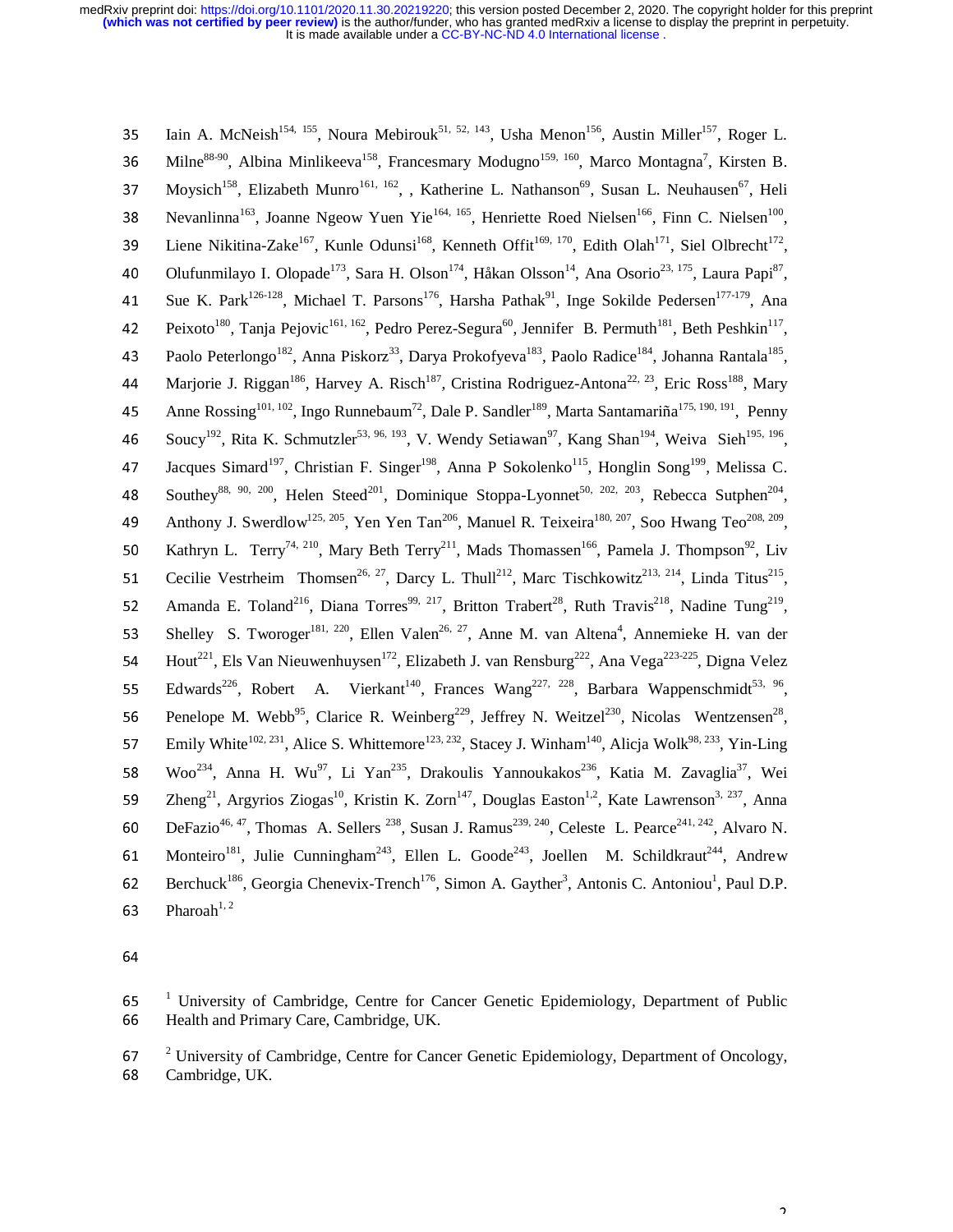155 Iain A. McNeish<sup>154, 155</sup>, Noura Mebirouk<sup>51, 52, 143</sup>, Usha Menon<sup>156</sup>, Austin Miller<sup>157</sup>, Roger L.<br>
156 Milne<sup>88-90</sup>, Albina Minlikeeva<sup>158</sup>, Francesmary Modugno<sup>159, 160</sup>, Marco Montagna<sup>7</sup>, Kirsten B. 36 Milne<sup>88-90</sup>, Albina Minlikeeva<sup>158</sup>, Francesmary Modugno<sup>159, 160</sup>, Marco Montagna<sup>7</sup>, Kirsten B.<br>37 Movsich<sup>158</sup>, Elizabeth Munro<sup>161, 162</sup>, , Katherine L. Nathanson<sup>69</sup>, Susan L. Neuhausen<sup>67</sup>, Heli Moysich<sup>158</sup>, Elizabeth Munro<sup>161, 162</sup>, , Katherine L. Nathanson<sup>69</sup>, Susan L. Neuhausen<sup>67</sup>, Heli<br>38 Nevanlinna<sup>163</sup>, Joanne Ngeow Yuen Yie<sup>164, 165</sup>, Henriette Roed Nielsen<sup>166</sup>, Finn C. Nielsen<sup>100</sup>, Nevanlinna<sup>163</sup>, Joanne Ngeow Yuen Yie<sup>164, 165</sup>, Henriette Roed Nielsen<sup>166</sup>, Finn C. Nielsen<sup>100</sup>,<br>39 Liene Nikitina-Zake<sup>167</sup>, Kunle Odunsi<sup>168</sup>, Kenneth Offit<sup>169, 170</sup>, Edith Olah<sup>171</sup>, Siel Olbrecht<sup>172</sup>, Liene Nikitina-Zake<sup>167</sup>, Kunle Odunsi<sup>168</sup>, Kenneth Offit<sup>169, 170</sup>, Edith Olah<sup>171</sup>, Siel Olbrecht<sup>172</sup>,<br>40 Olufunmilayo I. Olopade<sup>173</sup>, Sara H. Olson<sup>174</sup>, Håkan Olsson<sup>14</sup>, Ana Osorio<sup>23, 175</sup>, Laura Papi<sup>87</sup>, Olufunmilayo I. Olopade<sup>173</sup>, Sara H. Olson<sup>174</sup>, Håkan Olsson<sup>14</sup>, Ana Osorio<sup>23, 175</sup>, Laura Papi<sup>87</sup>, Ana Sue K. Park<sup>126-128</sup>, Michael T. Parsons<sup>176</sup>, Harsha Pathak<sup>91</sup>, Inge Sokilde Pedersen<sup>177-179</sup>, Ana Sue K. Park<sup>126-128</sup>, Michael T. Parsons<sup>176</sup>, Harsha Pathak<sup>91</sup>, Inge Sokilde Pedersen<sup>177-179</sup>, Ana<br>42 Peixoto<sup>180</sup>, Tania Peiovic<sup>161, 162</sup>, Pedro Perez-Segura<sup>60</sup>, Jennifer B. Permuth<sup>181</sup>, Beth Peshkin<sup>117</sup>, Peixoto<sup>180</sup>, Tanja Pejovic<sup>161, 162</sup>, Pedro Perez-Segura<sup>60</sup>, Jennifer B. Permuth<sup>181</sup>, Beth Peshkin<sup>117</sup>,<br>43 Paolo Peterlongo<sup>182</sup>, Anna Piskorz<sup>33</sup>, Darya Prokofyeva<sup>183</sup>, Paolo Radice<sup>184</sup>, Johanna Rantala<sup>185</sup>, Paolo Peterlongo<sup>182</sup>, Anna Piskorz<sup>33</sup>, Darya Prokofyeva<sup>183</sup>, Paolo Radice<sup>184</sup>, Johanna Rantala<sup>185</sup>,<br>44 Marjorie J. Riggan<sup>186</sup>, Harvey A. Risch<sup>187</sup>, Cristina Rodriguez-Antona<sup>22, 23</sup>, Eric Ross<sup>188</sup>, Mary Marjorie J. Riggan<sup>186</sup>, Harvey A. Risch<sup>187</sup>, Cristina Rodriguez-Antona<sup>22, 23</sup>, Eric Ross<sup>188</sup>, Mary<br>45 Anne Rossing<sup>101, 102</sup>, Ingo Runnebaum<sup>72</sup>, Dale P. Sandler<sup>189</sup>, Marta Santamariña<sup>175, 190, 191</sup>, Penny Anne Rossing<sup>101, 102</sup>, Ingo Runnebaum<sup>72</sup>, Dale P. Sandler<sup>189</sup>, Marta Santamariña<sup>175, 190, 191</sup>, Penny<br>46 Soucy<sup>192</sup>, Rita K. Schmutzler<sup>53, 96, 193</sup>, V. Wendy Setiawan<sup>97</sup>, Kang Shan<sup>194</sup>, Weiva Sieh<sup>195, 196</sup>, Soucy<sup>192</sup>, Rita K. Schmutzler<sup>53, 96, 193</sup>, V. Wendy Setiawan<sup>97</sup>, Kang Shan<sup>194</sup>, Weiva Sieh<sup>195, 196</sup>,<br>47 Jacques Simard<sup>197</sup>, Christian F. Singer<sup>198</sup>, Anna P. Sokolenko<sup>115</sup>, Honglin Song<sup>199</sup>, Melissa C. 17 Jacques Simard<sup>197</sup>, Christian F. Singer<sup>198</sup>, Anna P Sokolenko<sup>115</sup>, Honglin Song<sup>199</sup>, Melissa C.<br>
18 Southey<sup>88, 90, 200</sup>, Helen Steed<sup>201</sup>, Dominique Stoppa-Lyonnet<sup>50, 202, 203</sup>, Rebecca Sutphen<sup>204</sup>, Southey<sup>88, 90, 200</sup>, Helen Steed<sup>201</sup>, Dominique Stoppa-Lyonnet<sup>50, 202, 203</sup>, Rebecca Sutphen<sup>204</sup>,<br>49 Anthony J. Swerdlow<sup>125, 205</sup>, Yen Yen Tan<sup>206</sup>, Manuel R. Teixeira<sup>180, 207</sup>, Soo Hwang Teo<sup>208, 209</sup>, Anthony J. Swerdlow<sup>125, 205</sup>, Yen Yen Tan<sup>206</sup>, Manuel R. Teixeira<sup>180, 207</sup>, Soo Hwang Teo<sup>208, 209</sup>,<br>50 Kathryn L. Terry<sup>74, 210</sup>, Mary Beth Terry<sup>211</sup>, Mads Thomassen<sup>166</sup>, Pamela J. Thompson<sup>92</sup>, Liv 50 Kathryn L. Terry<sup>74, 210</sup>, Mary Beth Terry<sup>211</sup>, Mads Thomassen<sup>166</sup>, Pamela J. Thompson<sup>92</sup>, Liv<br>51 Cecilie Vestrheim Thomsen<sup>26, 27</sup>, Darcy L. Thull<sup>212</sup>, Marc Tischkowitz<sup>213, 214</sup>, Linda Titus<sup>215</sup>, 51 Cecilie Vestrheim Thomsen<sup>26, 27</sup>, Darcy L. Thull<sup>212</sup>, Marc Tischkowitz<sup>213, 214</sup>, Linda Titus<sup>215</sup>,<br>52 Amanda E. Toland<sup>216</sup>, Diana Torres<sup>99, 217</sup>, Britton Trabert<sup>28</sup>, Ruth Travis<sup>218</sup>, Nadine Tung<sup>219</sup>, 52 Amanda E. Toland<sup>216</sup>, Diana Torres<sup>99, 217</sup>, Britton Trabert<sup>28</sup>, Ruth Travis<sup>218</sup>, Nadine Tung<sup>219</sup>, Shelley S. Tworoger<sup>181, 220</sup>. Ellen Valen<sup>26, 27</sup>, Anne M. van Altena<sup>4</sup>. Annemieke H. van der 53 Shelley S. Tworoger<sup>181, 220</sup>, Ellen Valen<sup>26, 27</sup>, Anne M. van Altena<sup>4</sup>, Annemieke H. van der Hout<sup>221</sup>, Els Van Nieuwenhuysen<sup>172</sup>, Elizabeth J. van Rensburg<sup>222</sup>, Ana Vega<sup>223-225</sup>, Digna Velez 54 Hout<sup>221</sup>, Els Van Nieuwenhuysen<sup>172</sup>, Elizabeth J. van Rensburg<sup>222</sup>, Ana Vega<sup>223-225</sup>, Digna Velez<br>55 Edwards<sup>226</sup>, Robert A. Vierkant<sup>140</sup>, Frances Wang<sup>227, 228</sup>, Barbara Wappenschmidt<sup>53, 96</sup>, Edwards<sup>226</sup>, Robert A. Vierkant<sup>140</sup>, Frances Wang<sup>227, 228</sup>, Barbara Wappenschmidt<sup>53, 96</sup>,<br>56 Penelope M. Webb<sup>95</sup>, Clarice R. Weinberg<sup>229</sup>, Jeffrey N. Weitzel<sup>230</sup>, Nicolas Wentzensen<sup>28</sup>, 956 Penelope M. Webb<sup>95</sup>, Clarice R. Weinberg<sup>229</sup>, Jeffrey N. Weitzel<sup>230</sup>, Nicolas Wentzensen<sup>28</sup>, Emily White<sup>102, 231</sup>, Alice S. Whittemore<sup>123, 232</sup>, Stacey J. Winham<sup>140</sup>, Alicja Wolk<sup>98, 233</sup>, Yin-Ling 57 Emily White<sup>102, 231</sup>, Alice S. Whittemore<sup>123, 232</sup>, Stacey J. Winham<sup>140</sup>, Alicja Wolk<sup>98, 233</sup>, Yin-Ling<br>58 Woo<sup>234</sup>, Anna H. Wu<sup>97</sup>, Li Yan<sup>235</sup>, Drakoulis Yannoukakos<sup>236</sup>, Katia M. Zavaglia<sup>37</sup>, Wei 58 Woo<sup>234</sup>, Anna H. Wu<sup>97</sup>, Li Yan<sup>235</sup>, Drakoulis Yannoukakos<sup>236</sup>, Katia M. Zavaglia<sup>37</sup>, Wei<br>59 Zheng<sup>21</sup>, Argyrios Ziogas<sup>10</sup>, Kristin K. Zorn<sup>147</sup>, Douglas Easton<sup>1,2</sup>, Kate Lawrenson<sup>3, 237</sup>, Anna 29 Zheng<sup>21</sup>, Argyrios Ziogas<sup>10</sup>, Kristin K. Zorn<sup>147</sup>, Douglas Easton<sup>1,2</sup>, Kate Lawrenson<sup>3, 237</sup>, Anna<br>60 DeFazio<sup>46, 47</sup>, Thomas A. Sellers<sup>238</sup>, Susan J. Ramus<sup>239, 240</sup>, Celeste L. Pearce<sup>241, 242</sup>, Alvaro N. 60 DeFazio<sup>46, 47</sup>, Thomas A. Sellers <sup>238</sup>, Susan J. Ramus<sup>239, 240</sup>, Celeste L. Pearce<sup>241, 242</sup>, Alvaro N.<br>61 Monteiro<sup>181</sup>, Julie Cunningham<sup>243</sup>, Ellen L. Goode<sup>243</sup>, Joellen M. Schildkraut<sup>244</sup>, Andrew 61 Monteiro<sup>181</sup>, Julie Cunningham<sup>243</sup>, Ellen L. Goode<sup>243</sup>, Joellen M. Schildkraut<sup>244</sup>, Andrew<br>62 Berchuck<sup>186</sup>, Georgia Chenevix-Trench<sup>176</sup>, Simon A. Gavther<sup>3</sup>, Antonis C. Antoniou<sup>1</sup>, Paul D.P. 62 Berchuck<sup>186</sup>, Georgia Chenevix-Trench<sup>176</sup>, Simon A. Gayther<sup>3</sup>, Antonis C. Antoniou<sup>1</sup>, Paul D.P. 63 Pharoah<sup>1, 2</sup>

 $2^2$  University of Cambridge, Centre for Cancer Genetic Epidemiology, Department of Oncology,<br>  $68$  Cambridge UK 68 Cambridge, UK.

 $1$  University of Cambridge, Centre for Cancer Genetic Epidemiology, Department of Public<br>66 Health and Primary Care Cambridge UK 66 Health and Primary Care, Cambridge, UK.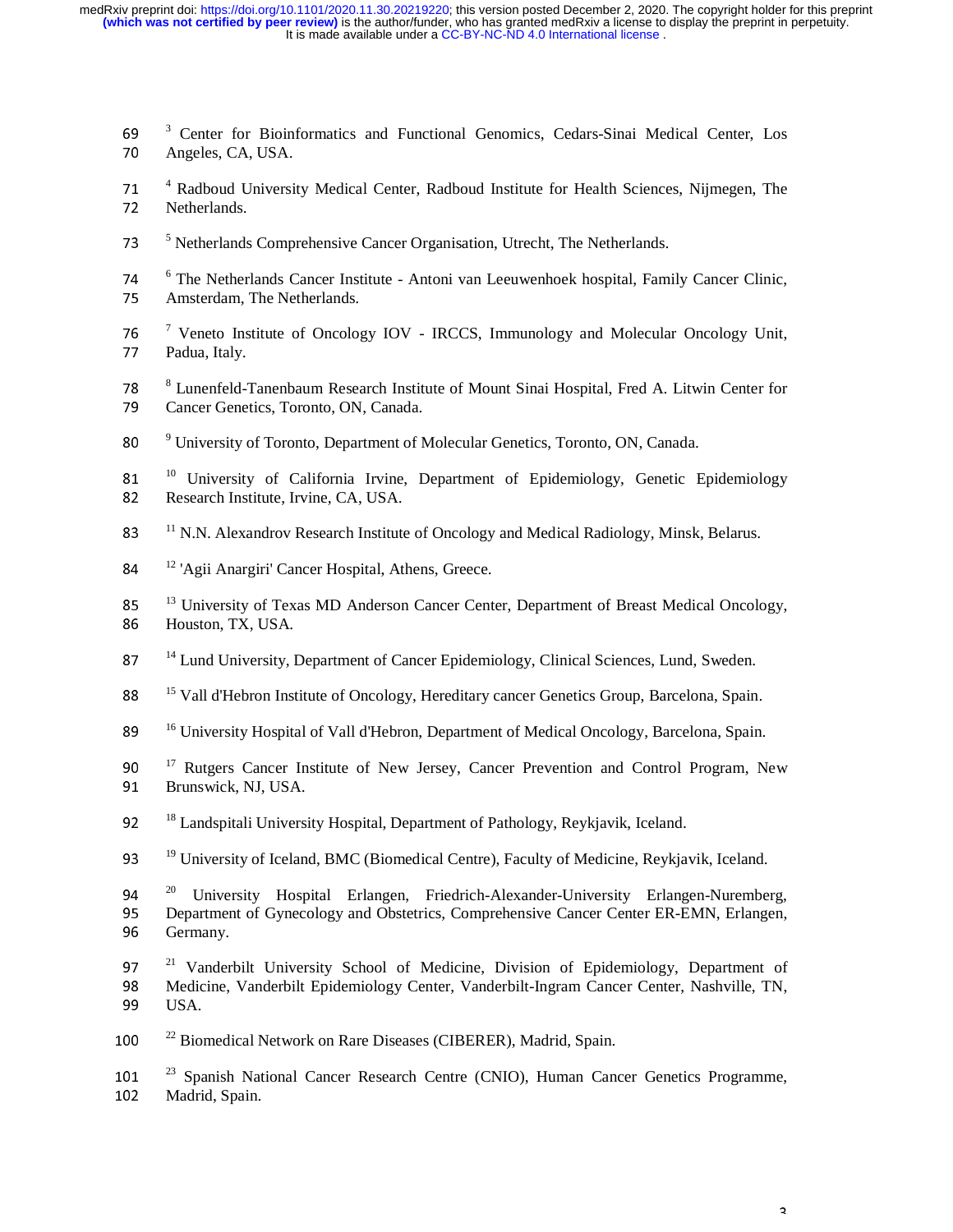- $\frac{3}{70}$  Center for Bioinformatics and Functional Genomics, Cedars-Sinai Medical Center, Los<br>70 Angeles CA USA 70 Angeles, CA, USA.
- <sup>4</sup> Radboud University Medical Center, Radboud Institute for Health Sciences, Nijmegen, The<br>
<sup>72</sup> Netherlands 72 Netherlands.
- <sup>5</sup> Netherlands Comprehensive Cancer Organisation, Utrecht, The Netherlands.
- <sup>6</sup> The Netherlands Cancer Institute Antoni van Leeuwenhoek hospital, Family Cancer Clinic,<br>75 Amsterdam The Netherlands 75 Amsterdam, The Netherlands.
- <sup>7</sup> Veneto Institute of Oncology IOV IRCCS, Immunology and Molecular Oncology Unit,<br>77 Padua Italy 77 Padua, Italy.
- <sup>8</sup> Lunenfeld-Tanenbaum Research Institute of Mount Sinai Hospital, Fred A. Litwin Center for<br>79 Cancer Genetics Toronto ON Canada 79 Cancer Genetics, Toronto, ON, Canada.
- <sup>9</sup> University of Toronto, Department of Molecular Genetics, Toronto, ON, Canada.

81 <sup>10</sup> University of California Irvine, Department of Epidemiology, Genetic Epidemiology<br>82 Besearch Institute Irvine CA USA 82 Research Institute, Irvine, CA, USA.

- <sup>11</sup> N.N. Alexandrov Research Institute of Oncology and Medical Radiology, Minsk, Belarus.
- 84 <sup>12</sup> 'Agii Anargiri' Cancer Hospital, Athens, Greece.
- $13$  University of Texas MD Anderson Cancer Center, Department of Breast Medical Oncology,<br>86 Houston TX USA 86 Houston, TX, USA.
- <sup>14</sup> Lund University, Department of Cancer Epidemiology, Clinical Sciences, Lund, Sweden.
- <sup>15</sup> Vall d'Hebron Institute of Oncology, Hereditary cancer Genetics Group, Barcelona, Spain.
- <sup>16</sup> University Hospital of Vall d'Hebron, Department of Medical Oncology, Barcelona, Spain.
- $17$  Rutgers Cancer Institute of New Jersey, Cancer Prevention and Control Program, New Brunswick NI USA 91 Brunswick, NJ, USA.
- <sup>18</sup> Landspitali University Hospital, Department of Pathology, Reykjavik, Iceland.
- 93 <sup>19</sup> University of Iceland, BMC (Biomedical Centre), Faculty of Medicine, Reykjavik, Iceland.
- 20 <sup>20</sup> University Hospital Erlangen, Friedrich-Alexander-University Erlangen-Nuremberg,<br>95 Department of Gynecology and Obstetrics, Comprehensive Cancer Center ER-EMN, Erlangen, 95 Department of Gynecology and Obstetrics, Comprehensive Cancer Center ER-EMN, Erlangen, Germany. Germany.
- $2^1$  Vanderbilt University School of Medicine, Division of Epidemiology, Department of Medicine, Vanderbilt Epidemiology Center, Vanderbilt-Ingram Cancer Center, Nashville, TN 98 Medicine, Vanderbilt Epidemiology Center, Vanderbilt-Ingram Cancer Center, Nashville, TN,<br>99 USA. USA.
- 100  $^{22}$  Biomedical Network on Rare Diseases (CIBERER), Madrid, Spain.
- <sup>23</sup> Spanish National Cancer Research Centre (CNIO), Human Cancer Genetics Programme,<br>102 Madrid Spain 102 Madrid, Spain.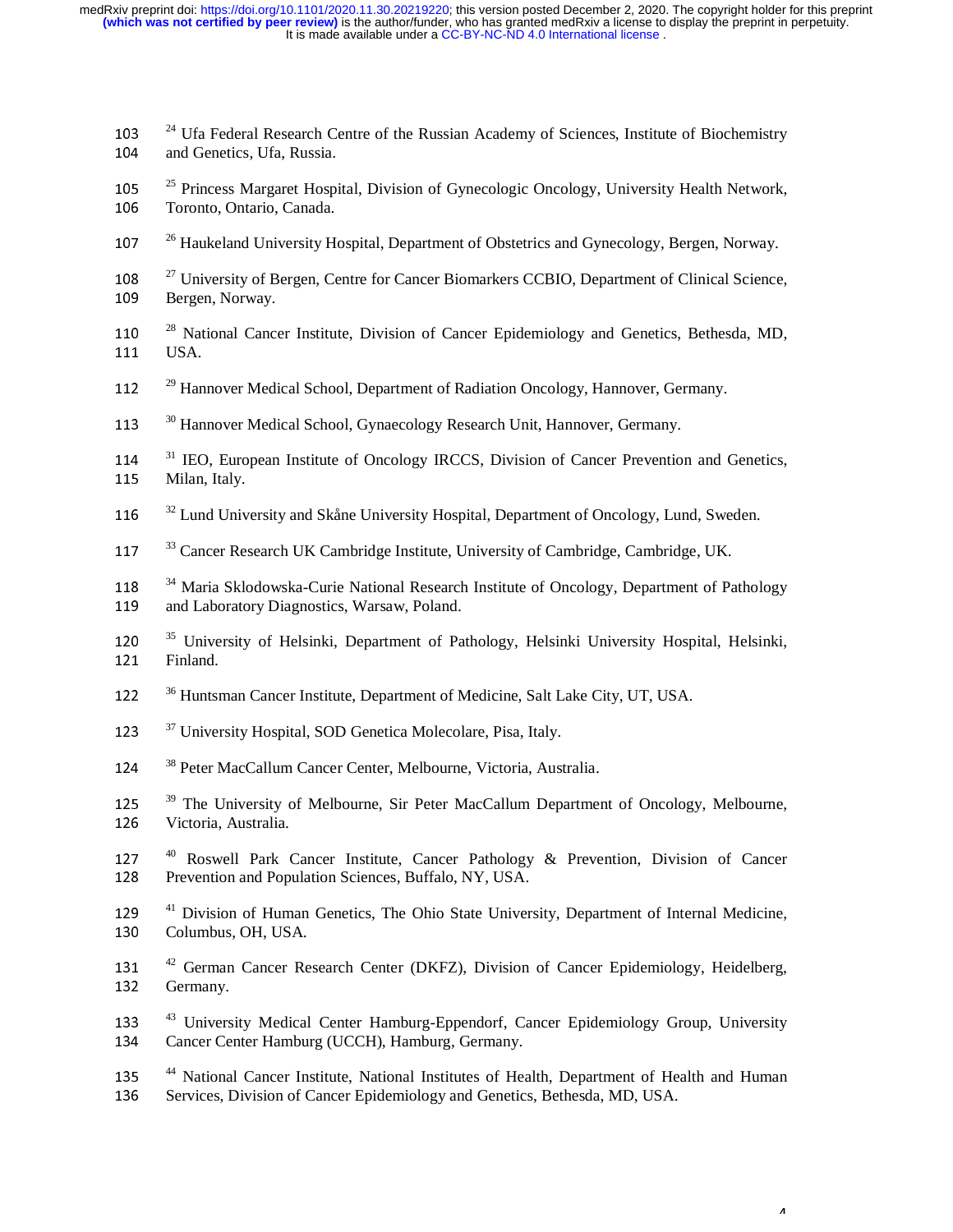- <sup>24</sup> Ufa Federal Research Centre of the Russian Academy of Sciences, Institute of Biochemistry<br>104 and Genetics Ufa Russia 104 and Genetics, Ufa, Russia.
- <sup>25</sup> Princess Margaret Hospital, Division of Gynecologic Oncology, University Health Network,<br>106 Toronto Ontario Canada 106 Toronto, Ontario, Canada.
- <sup>26</sup> Haukeland University Hospital, Department of Obstetrics and Gynecology, Bergen, Norway.
- <sup>27</sup> University of Bergen, Centre for Cancer Biomarkers CCBIO, Department of Clinical Science,<br>109 Bergen, Norway 109 Bergen, Norway.
- <sup>28</sup> National Cancer Institute, Division of Cancer Epidemiology and Genetics, Bethesda, MD, 111 **IISA** 111 USA.
- <sup>29</sup> Hannover Medical School, Department of Radiation Oncology, Hannover, Germany.
- <sup>30</sup> Hannover Medical School, Gynaecology Research Unit, Hannover, Germany.
- <sup>31</sup> IEO, European Institute of Oncology IRCCS, Division of Cancer Prevention and Genetics,<br>115 Milan Italy 115 Milan, Italy.
- 116  $32$  Lund University and Skåne University Hospital, Department of Oncology, Lund, Sweden.
- <sup>33</sup> Cancer Research UK Cambridge Institute, University of Cambridge, Cambridge, UK.
- <sup>34</sup> Maria Sklodowska-Curie National Research Institute of Oncology, Department of Pathology<br>119 and Laboratory Diagnostics, Warsaw, Poland 119 and Laboratory Diagnostics, Warsaw, Poland.
- <sup>35</sup> University of Helsinki, Department of Pathology, Helsinki University Hospital, Helsinki, 121 Finland 121 Finland.
- <sup>36</sup> Huntsman Cancer Institute, Department of Medicine, Salt Lake City, UT, USA.
- $37$  University Hospital, SOD Genetica Molecolare, Pisa, Italy.
- <sup>38</sup> Peter MacCallum Cancer Center, Melbourne, Victoria, Australia.
- <sup>39</sup> The University of Melbourne, Sir Peter MacCallum Department of Oncology, Melbourne,<br>126 Victoria Australia 126 Victoria, Australia.
- $127$ <sup>40</sup> Roswell Park Cancer Institute, Cancer Pathology & Prevention, Division of Cancer 128 Prevention and Population Sciences Buffalo NY USA 128 Prevention and Population Sciences, Buffalo, NY, USA.
- $^{41}$  Division of Human Genetics, The Ohio State University, Department of Internal Medicine, Columbus OH USA 130 Columbus, OH, USA.
- <sup>42</sup> German Cancer Research Center (DKFZ), Division of Cancer Epidemiology, Heidelberg, Germany 132 Germany.
- <sup>43</sup> University Medical Center Hamburg-Eppendorf, Cancer Epidemiology Group, University<br>134 Cancer Center Hamburg (UCCH) Hamburg Germany 134 Cancer Center Hamburg (UCCH), Hamburg, Germany.
- <sup>44</sup> National Cancer Institute, National Institutes of Health, Department of Health and Human<br>136 Services Division of Cancer Enidemiology and Genetics Bethesda MD USA 136 Services, Division of Cancer Epidemiology and Genetics, Bethesda, MD, USA.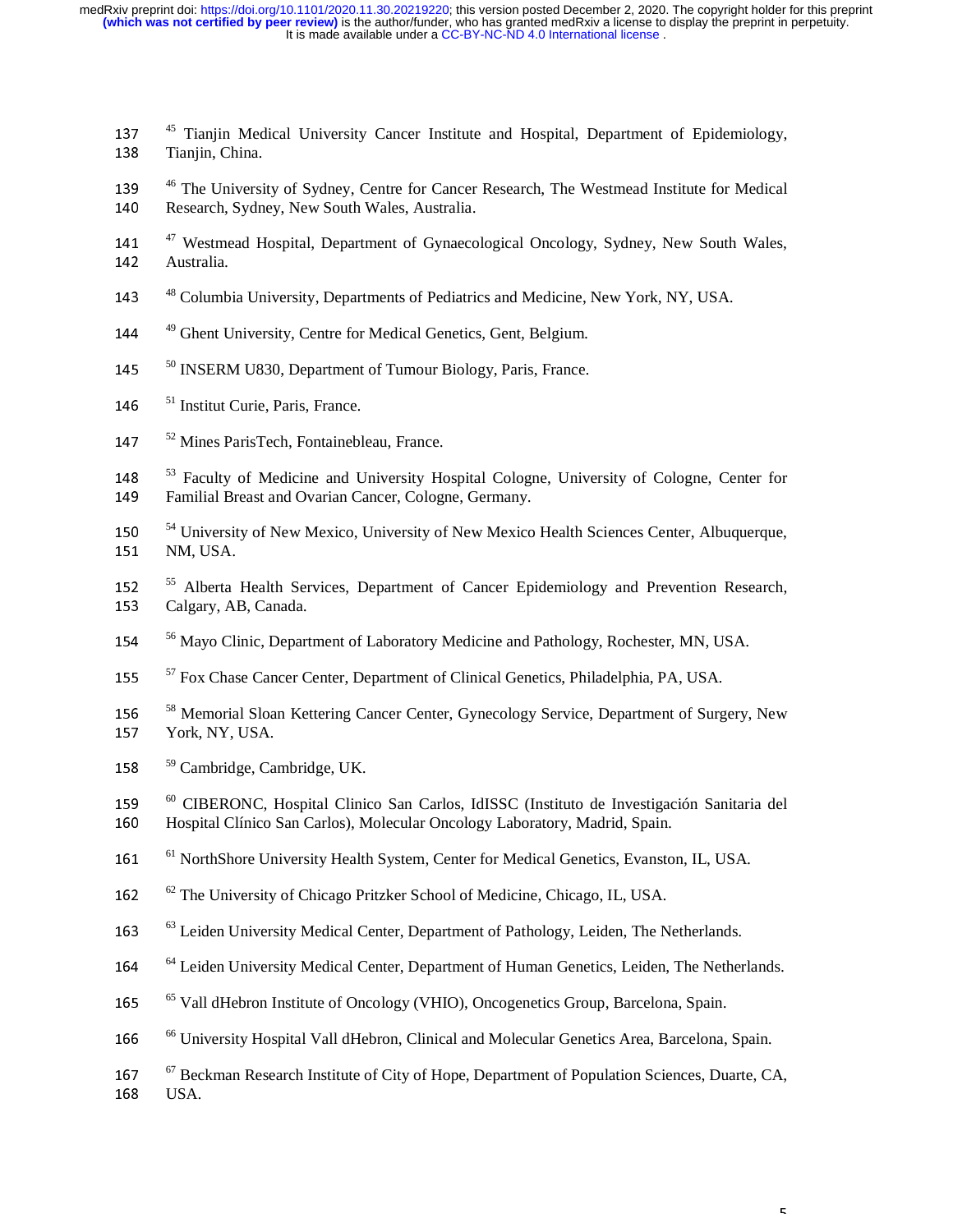- 137 <sup>45</sup> Tianjin Medical University Cancer Institute and Hospital, Department of Epidemiology, 138 Tianjin China 138 Tianjin, China.
- <sup>46</sup> The University of Sydney, Centre for Cancer Research, The Westmead Institute for Medical<br>140 Research, Sydney New South Wales, Australia 140 Research, Sydney, New South Wales, Australia.
- <sup>47</sup> Westmead Hospital, Department of Gynaecological Oncology, Sydney, New South Wales,<br>142 Australia 142 Australia.
- <sup>48</sup> Columbia University, Departments of Pediatrics and Medicine, New York, NY, USA.
- <sup>49</sup> Ghent University, Centre for Medical Genetics, Gent, Belgium.
- <sup>50</sup> INSERM U830, Department of Tumour Biology, Paris, France.
- 146  $<sup>51</sup>$  Institut Curie, Paris, France.</sup>
- 147 <sup>52</sup> Mines ParisTech, Fontainebleau, France.

<sup>53</sup> Faculty of Medicine and University Hospital Cologne, University of Cologne, Center for<br>149 Familial Breast and Ovarian Cancer Cologne, Germany 149 Familial Breast and Ovarian Cancer, Cologne, Germany.

- <sup>54</sup> University of New Mexico, University of New Mexico Health Sciences Center, Albuquerque,<br>151 NM JISA 151 NM, USA.
- <sup>55</sup> Alberta Health Services, Department of Cancer Epidemiology and Prevention Research,<br>153 Calgary AB Canada 153 Calgary, AB, Canada.
- <sup>56</sup> Mayo Clinic, Department of Laboratory Medicine and Pathology, Rochester, MN, USA.
- <sup>57</sup> Fox Chase Cancer Center, Department of Clinical Genetics, Philadelphia, PA, USA.
- <sup>58</sup> Memorial Sloan Kettering Cancer Center, Gynecology Service, Department of Surgery, New <br>157 Nork NY USA 157 York, NY, USA.
- 158 <sup>59</sup> Cambridge, Cambridge, UK.
- <sup>60</sup> CIBERONC, Hospital Clinico San Carlos, IdISSC (Instituto de Investigación Sanitaria del <br>160 Hospital Clínico San Carlos), Molecular Opcology Laboratory, Madrid, Spain 160 Hospital Clínico San Carlos), Molecular Oncology Laboratory, Madrid, Spain.
- <sup>61</sup> NorthShore University Health System, Center for Medical Genetics, Evanston, IL, USA.
- 162 <sup>62</sup> The University of Chicago Pritzker School of Medicine, Chicago, IL, USA.
- <sup>63</sup> Leiden University Medical Center, Department of Pathology, Leiden, The Netherlands.
- <sup>64</sup> Leiden University Medical Center, Department of Human Genetics, Leiden, The Netherlands.
- <sup>65</sup> Vall dHebron Institute of Oncology (VHIO), Oncogenetics Group, Barcelona, Spain.
- <sup>66</sup> University Hospital Vall dHebron, Clinical and Molecular Genetics Area, Barcelona, Spain.
- <sup>67</sup> Beckman Research Institute of City of Hope, Department of Population Sciences, Duarte, CA, 168 <br>168 USA 168 USA.

 $\bar{\mathbf{r}}$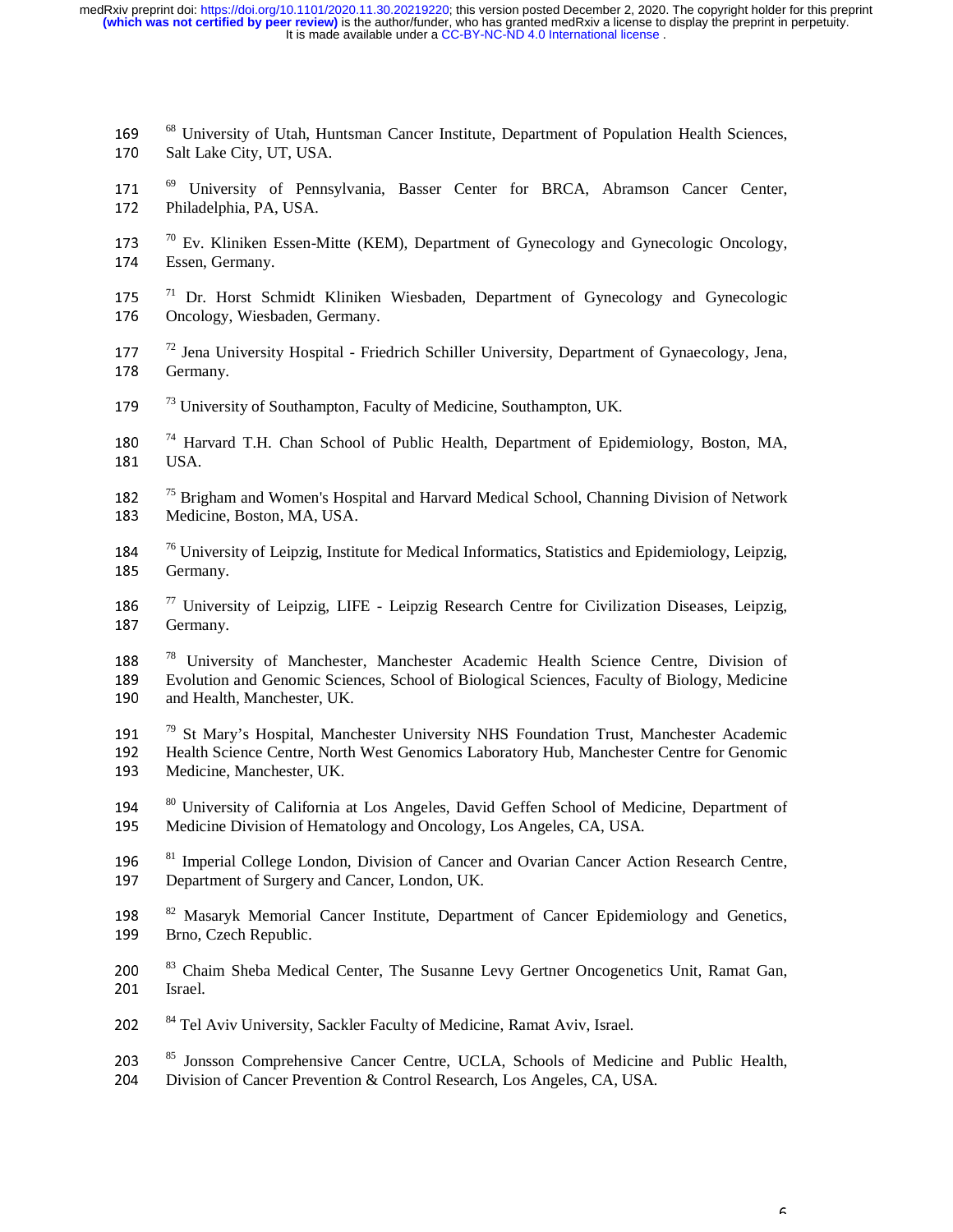- 169 <sup>68</sup> University of Utah, Huntsman Cancer Institute, Department of Population Health Sciences, 170 Salt Lake City UT USA 170 Salt Lake City, UT, USA.
- 171  $^{69}$  University of Pennsylvania, Basser Center for BRCA, Abramson Cancer Center, <br>172 Philadelphia PA USA 172 Philadelphia, PA, USA.
- $70^{70}$  Ev. Kliniken Essen-Mitte (KEM), Department of Gynecology and Gynecologic Oncology,  $174$  Essen Germany 174 Essen, Germany.
- 175<sup>71</sup> Dr. Horst Schmidt Kliniken Wiesbaden, Department of Gynecology and Gynecologic<br>176 Oncology Wiesbaden Germany 176 Oncology, Wiesbaden, Germany.
- 177<sup>72</sup> Jena University Hospital Friedrich Schiller University, Department of Gynaecology, Jena,<br>178 Germany 178 Germany.
- 179 <sup>73</sup> University of Southampton, Faculty of Medicine, Southampton, UK.
- 180  $^{74}$  Harvard T.H. Chan School of Public Health, Department of Epidemiology, Boston, MA, 181  $\overline{1154}$ 181 USA.
- 182 <sup>75</sup> Brigham and Women's Hospital and Harvard Medical School, Channing Division of Network<br>183 Medicine Boston MA USA 183 Medicine, Boston, MA, USA.
- <sup>76</sup> University of Leipzig, Institute for Medical Informatics, Statistics and Epidemiology, Leipzig, <br>185 Germany 185 Germany.
- 186 <sup>77</sup> University of Leipzig, LIFE Leipzig Research Centre for Civilization Diseases, Leipzig, Germany 187 Germany.
- <sup>78</sup> University of Manchester, Manchester Academic Health Science Centre, Division of 189 189 Evolution and Genomic Sciences, School of Biological Sciences, Faculty of Biology, Medicine<br>190 and Health, Manchester, UK. and Health, Manchester, UK.
- <sup>79</sup> 191<sup>79</sup> St Mary's Hospital, Manchester University NHS Foundation Trust, Manchester Academic<br>1921 Health Science Centre, North West Genomics Laboratory Hub, Manchester Centre for Genomic 192 Health Science Centre, North West Genomics Laboratory Hub, Manchester Centre for Genomic<br>193 Medicine, Manchester, UK. Medicine, Manchester, UK.
- $80$  University of California at Los Angeles, David Geffen School of Medicine, Department of Medicine Division of Hematology and Oncology Los Angeles  $CA$  USA 195 Medicine Division of Hematology and Oncology, Los Angeles, CA, USA.
- <sup>81</sup> Imperial College London, Division of Cancer and Ovarian Cancer Action Research Centre,<br>197 Department of Surgery and Cancer London UK 197 Department of Surgery and Cancer, London, UK.
- <sup>82</sup> Masaryk Memorial Cancer Institute, Department of Cancer Epidemiology and Genetics,<br>199 Brno Czech Republic 199 Brno, Czech Republic.
- 200<sup>83</sup> Chaim Sheba Medical Center, The Susanne Levy Gertner Oncogenetics Unit, Ramat Gan, 201<sup>8</sup> 201 Israel.
- 202 <sup>84</sup> Tel Aviv University, Sackler Faculty of Medicine, Ramat Aviv, Israel.
- 203  $^{85}$  Jonsson Comprehensive Cancer Centre, UCLA, Schools of Medicine and Public Health,<br>204 Division of Cancer Prevention & Control Research Los Angeles CA USA 204 Division of Cancer Prevention & Control Research, Los Angeles, CA, USA.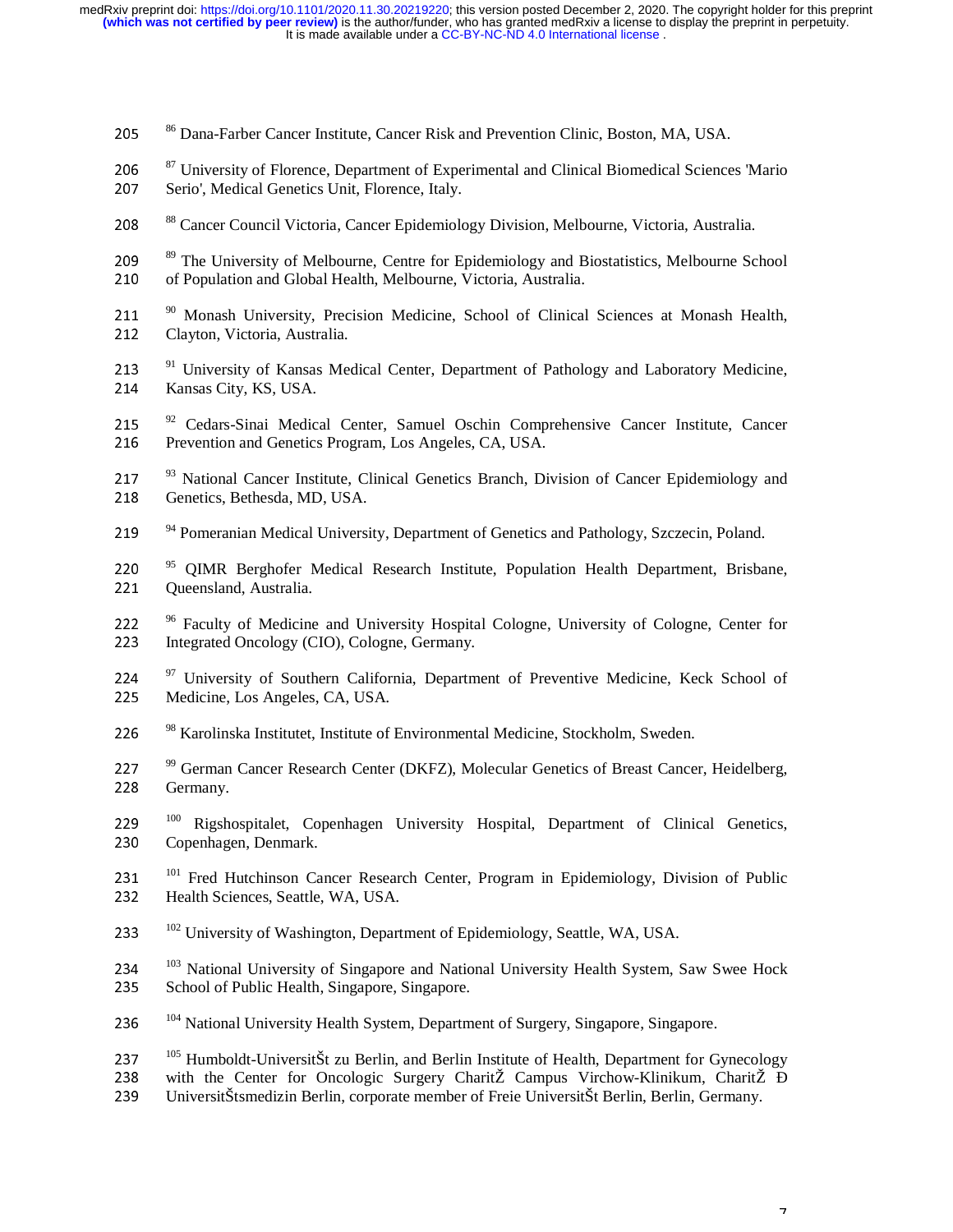205 <sup>86</sup> Dana-Farber Cancer Institute, Cancer Risk and Prevention Clinic, Boston, MA, USA. 206 <sup>87</sup> University of Florence, Department of Experimental and Clinical Biomedical Sciences 'Mario<br>207 Serio' Medical Genetics Unit Florence Italy 207 Serio', Medical Genetics Unit, Florence, Italy. 208 <sup>88</sup> Cancer Council Victoria, Cancer Epidemiology Division, Melbourne, Victoria, Australia. 209 <sup>89</sup> The University of Melbourne, Centre for Epidemiology and Biostatistics, Melbourne School<br>210 of Population and Global Health Melbourne Victoria Australia 210 of Population and Global Health, Melbourne, Victoria, Australia. 211 <sup>90</sup> Monash University, Precision Medicine, School of Clinical Sciences at Monash Health,<br>212 Clayton Victoria Australia 212 Clayton, Victoria, Australia. 213 <sup>91</sup> University of Kansas Medical Center, Department of Pathology and Laboratory Medicine,<br>214 Kansas City KS USA 214 Kansas City, KS, USA. 215  $^{92}$  Cedars-Sinai Medical Center, Samuel Oschin Comprehensive Cancer Institute, Cancer 216 Prevention and Genetics Program Los Angeles CA USA 216 Prevention and Genetics Program, Los Angeles, CA, USA. 217 <sup>93</sup> National Cancer Institute, Clinical Genetics Branch, Division of Cancer Epidemiology and<br>218 Genetics Bethesda MD USA 218 Genetics, Bethesda, MD, USA. <sup>94</sup> Pomeranian Medical University, Department of Genetics and Pathology, Szczecin, Poland. 220<sup>95</sup> QIMR Berghofer Medical Research Institute, Population Health Department, Brisbane, 221 Oueensland Australia 221 Queensland, Australia. 222  $^{96}$  Faculty of Medicine and University Hospital Cologne, University of Cologne, Center for 223 Integrated Oncology (CIO) Cologne Germany 223 Integrated Oncology (CIO), Cologne, Germany. 224  $\frac{97}{225}$  University of Southern California, Department of Preventive Medicine, Keck School of 225 225 Medicine, Los Angeles, CA, USA. 226 <sup>98</sup> Karolinska Institutet, Institute of Environmental Medicine, Stockholm, Sweden. <sup>99</sup> German Cancer Research Center (DKFZ), Molecular Genetics of Breast Cancer, Heidelberg,<br>228 Germany 228 Germany. 100 <sup>100</sup> Rigshospitalet, Copenhagen University Hospital, Department of Clinical Genetics,<br>230 Copenhagen, Denmark. Copenhagen, Denmark. 231 <sup>101</sup> Fred Hutchinson Cancer Research Center, Program in Epidemiology, Division of Public<br>232 Health Sciences Seattle WA USA 232 Health Sciences, Seattle, WA, USA. <sup>102</sup> University of Washington, Department of Epidemiology, Seattle, WA, USA. 234  $^{103}$  National University of Singapore and National University Health System, Saw Swee Hock<br>235 School of Public Health Singapore Singapore 235 School of Public Health, Singapore, Singapore. <sup>104</sup> National University Health System, Department of Surgery, Singapore, Singapore. 237 <sup>105</sup> Humboldt-UniversitŠt zu Berlin, and Berlin Institute of Health, Department for Gynecology<br>238 with the Center for Oncologic Surgery CharitŽ Campus Virchow-Klinikum, CharitŽ Đ 238 with the Center for Oncologic Surgery CharitŽ Campus Virchow-Klinikum, CharitŽ Đ<br>239 UniversitŠtsmedizin Berlin, corporate member of Freie UniversitŠt Berlin, Berlin, Germany. <sup>239</sup>UniversitŠtsmedizin Berlin, corporate member of Freie UniversitŠt Berlin, Berlin, Germany.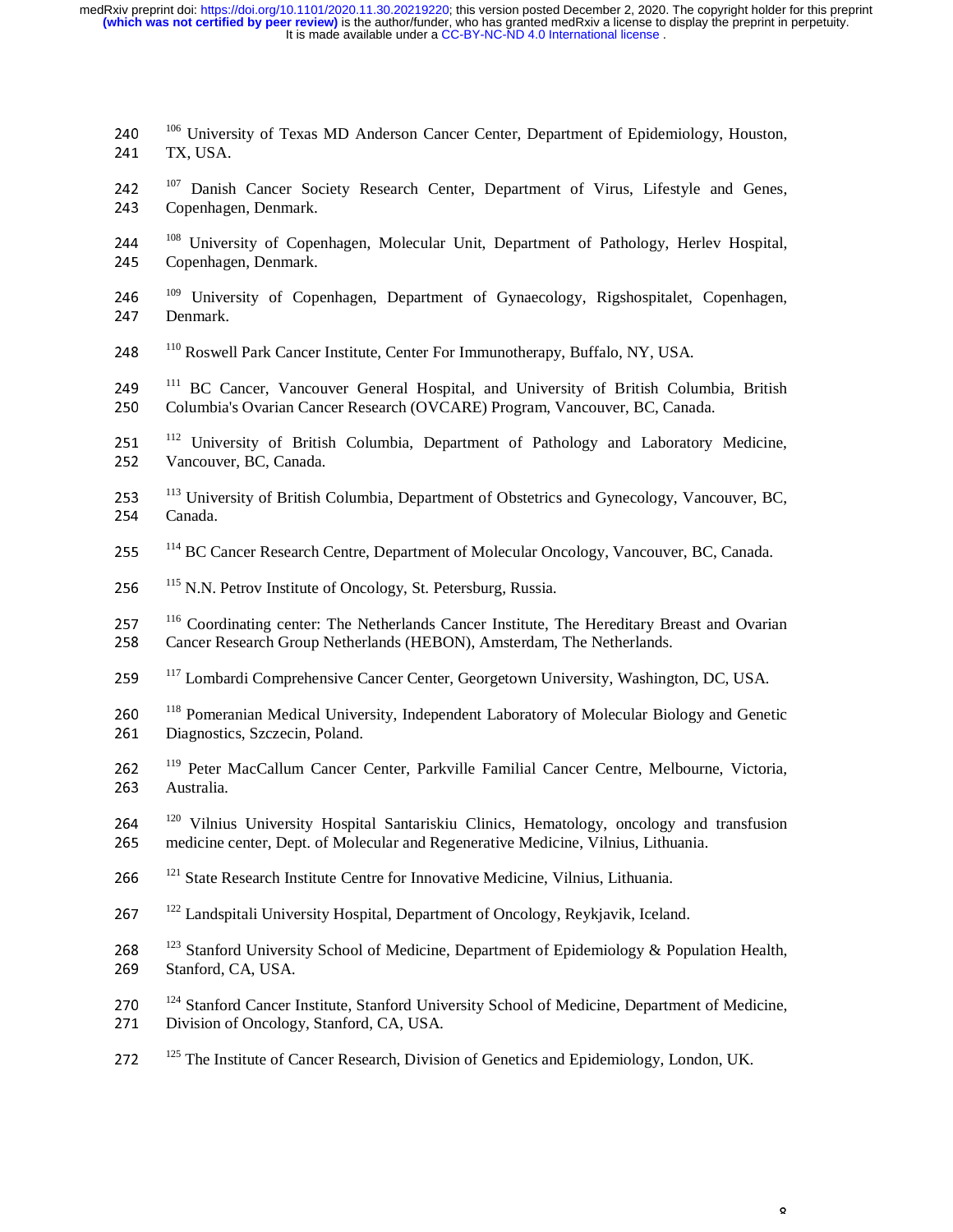- 240 <sup>106</sup> University of Texas MD Anderson Cancer Center, Department of Epidemiology, Houston,<br>241 TX USA 241 TX, USA.
- 242<sup>107</sup> Danish Cancer Society Research Center, Department of Virus, Lifestyle and Genes, 243 Copenhagen, Denmark.
- 244 <sup>108</sup> University of Copenhagen, Molecular Unit, Department of Pathology, Herlev Hospital, <br>245 Copenhagen Denmark 245 Copenhagen, Denmark.
- 246 <sup>109</sup> University of Copenhagen, Department of Gynaecology, Rigshospitalet, Copenhagen, 247 Denmark 247 Denmark.
- 248 <sup>110</sup> Roswell Park Cancer Institute, Center For Immunotherapy, Buffalo, NY, USA.
- 249  $\frac{111}{11}$  BC Cancer, Vancouver General Hospital, and University of British Columbia, British Columbia's Ovarian Cancer Research (OVCARE) Program Vancouver BC Canada 250 Columbia's Ovarian Cancer Research (OVCARE) Program, Vancouver, BC, Canada.
- 251 <sup>112</sup> University of British Columbia, Department of Pathology and Laboratory Medicine, 252 Vancouver, BC, Canada.
- 253 <sup>113</sup> University of British Columbia, Department of Obstetrics and Gynecology, Vancouver, BC, 254 254 Canada.
- 255 <sup>114</sup> BC Cancer Research Centre, Department of Molecular Oncology, Vancouver, BC, Canada.
- 256 <sup>115</sup> N.N. Petrov Institute of Oncology, St. Petersburg, Russia.
- 257 <sup>116</sup> Coordinating center: The Netherlands Cancer Institute, The Hereditary Breast and Ovarian<br>258 Cancer Research Group Netherlands (HEBON) Amsterdam The Netherlands 258 Cancer Research Group Netherlands (HEBON), Amsterdam, The Netherlands.
- 259 <sup>117</sup> Lombardi Comprehensive Cancer Center, Georgetown University, Washington, DC, USA.
- 260 <sup>118</sup> Pomeranian Medical University, Independent Laboratory of Molecular Biology and Genetic<br>261 Diagnostics Szczecin Poland 261 Diagnostics, Szczecin, Poland.
- 262 <sup>119</sup> Peter MacCallum Cancer Center, Parkville Familial Cancer Centre, Melbourne, Victoria, <br>263 Australia 263 Australia.
- 264 <sup>120</sup> Vilnius University Hospital Santariskiu Clinics, Hematology, oncology and transfusion<br>265 medicine center Dent of Molecular and Regenerative Medicine Vilnius Lithuania <sup>265</sup>medicine center, Dept. of Molecular and Regenerative Medicine, Vilnius, Lithuania.
- 266 <sup>121</sup> State Research Institute Centre for Innovative Medicine, Vilnius, Lithuania.
- <sup>122</sup> Landspitali University Hospital, Department of Oncology, Reykjavik, Iceland.
- 268 <sup>123</sup> Stanford University School of Medicine, Department of Epidemiology & Population Health,<br>269 Stanford CA USA 269 Stanford, CA, USA.
- 270  $^{124}$  Stanford Cancer Institute, Stanford University School of Medicine, Department of Medicine, Division of Oncology Stanford CA JISA 271 Division of Oncology, Stanford, CA, USA.

 $\mathbf Q$ 

<sup>125</sup> The Institute of Cancer Research, Division of Genetics and Epidemiology, London, UK.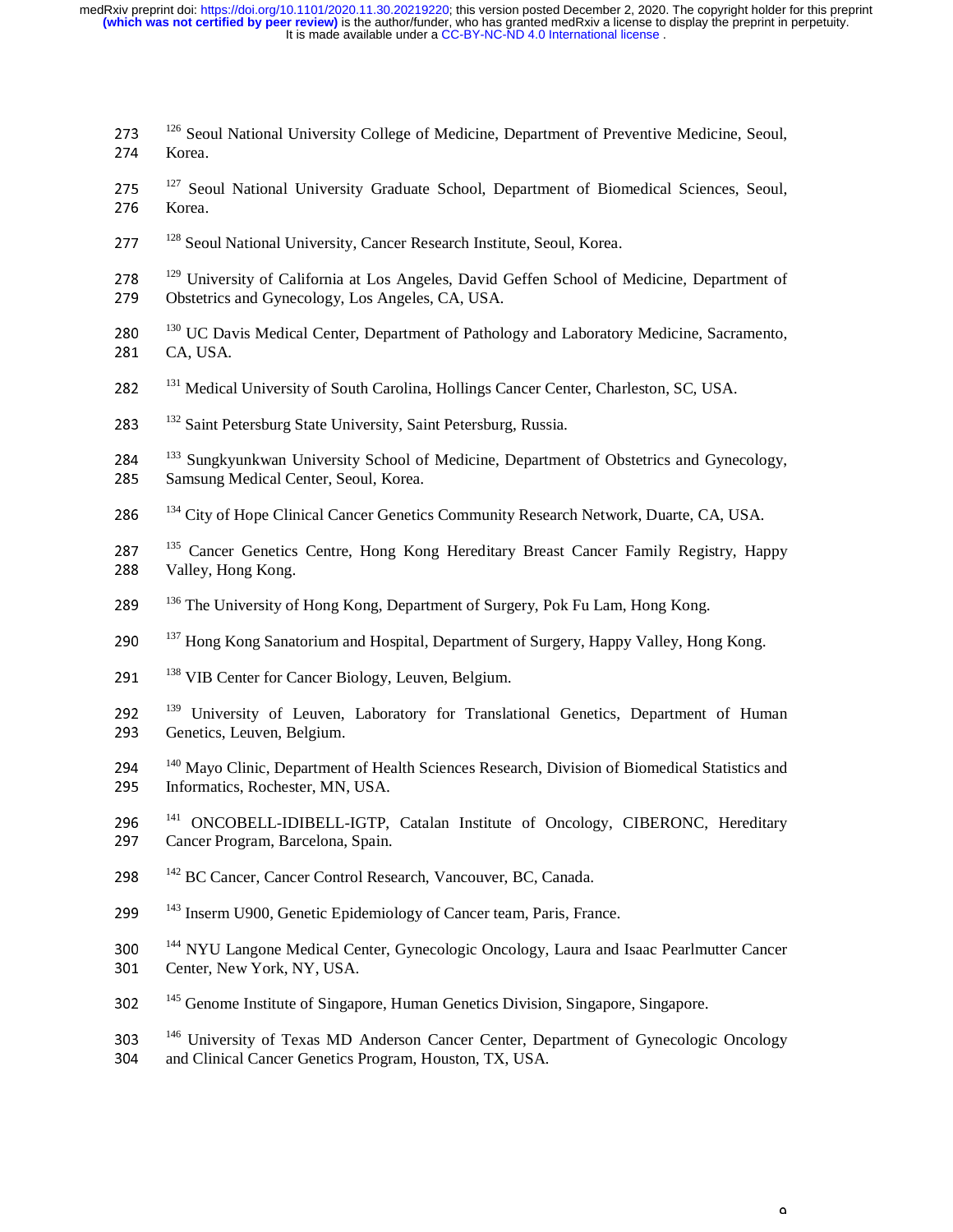- 273 <sup>126</sup> Seoul National University College of Medicine, Department of Preventive Medicine, Seoul, <br>274 Korea 274 Korea.
- 275 <sup>127</sup> Seoul National University Graduate School, Department of Biomedical Sciences, Seoul, <br>276 Korea 276 Korea.
- 277 <sup>128</sup> Seoul National University, Cancer Research Institute, Seoul, Korea.
- 278 <sup>129</sup> University of California at Los Angeles, David Geffen School of Medicine, Department of 279 Obstetrics and Gynecology Los Angeles CA USA 279 Obstetrics and Gynecology, Los Angeles, CA, USA.
- 280 <sup>130</sup> UC Davis Medical Center, Department of Pathology and Laboratory Medicine, Sacramento, 281 CA USA 281 CA, USA.
- 282 <sup>131</sup> Medical University of South Carolina, Hollings Cancer Center, Charleston, SC, USA.
- 283 <sup>132</sup> Saint Petersburg State University, Saint Petersburg, Russia.

284 <sup>133</sup> Sungkyunkwan University School of Medicine, Department of Obstetrics and Gynecology,<br>285 Samsung Medical Center Seoul Korea 285 Samsung Medical Center, Seoul, Korea.

- 286 <sup>134</sup> City of Hope Clinical Cancer Genetics Community Research Network, Duarte, CA, USA.
- 287 <sup>135</sup> Cancer Genetics Centre, Hong Kong Hereditary Breast Cancer Family Registry, Happy<br>288 Valley Hong Kong 288 Valley, Hong Kong.
- 289 <sup>136</sup> The University of Hong Kong, Department of Surgery, Pok Fu Lam, Hong Kong.
- 290 <sup>137</sup> Hong Kong Sanatorium and Hospital, Department of Surgery, Happy Valley, Hong Kong.
- 291 <sup>138</sup> VIB Center for Cancer Biology, Leuven, Belgium.
- $1392$   $139$  University of Leuven, Laboratory for Translational Genetics, Department of Human Genetics Leuven Belgium 293 Genetics, Leuven, Belgium.
- 294 <sup>140</sup> Mayo Clinic, Department of Health Sciences Research, Division of Biomedical Statistics and<br>295 Informatics Rochester MN USA 295 Informatics, Rochester, MN, USA.
- 296 <sup>141</sup> ONCOBELL-IDIBELL-IGTP, Catalan Institute of Oncology, CIBERONC, Hereditary<br>297 Cancer Program Barcelona Spain 297 Cancer Program, Barcelona, Spain.
- 298 <sup>142</sup> BC Cancer, Cancer Control Research, Vancouver, BC, Canada.
- 299<sup>143</sup> Inserm U900, Genetic Epidemiology of Cancer team, Paris, France.
- 144 NYU Langone Medical Center, Gynecologic Oncology, Laura and Isaac Pearlmutter Cancer<br>301 Center, New York, NY USA 301 Center, New York, NY, USA.
- 302 <sup>145</sup> Genome Institute of Singapore, Human Genetics Division, Singapore, Singapore.

146 University of Texas MD Anderson Cancer Center, Department of Gynecologic Oncology<br>304 and Clinical Cancer Genetics Program Houston TX USA 304 and Clinical Cancer Genetics Program, Houston, TX, USA.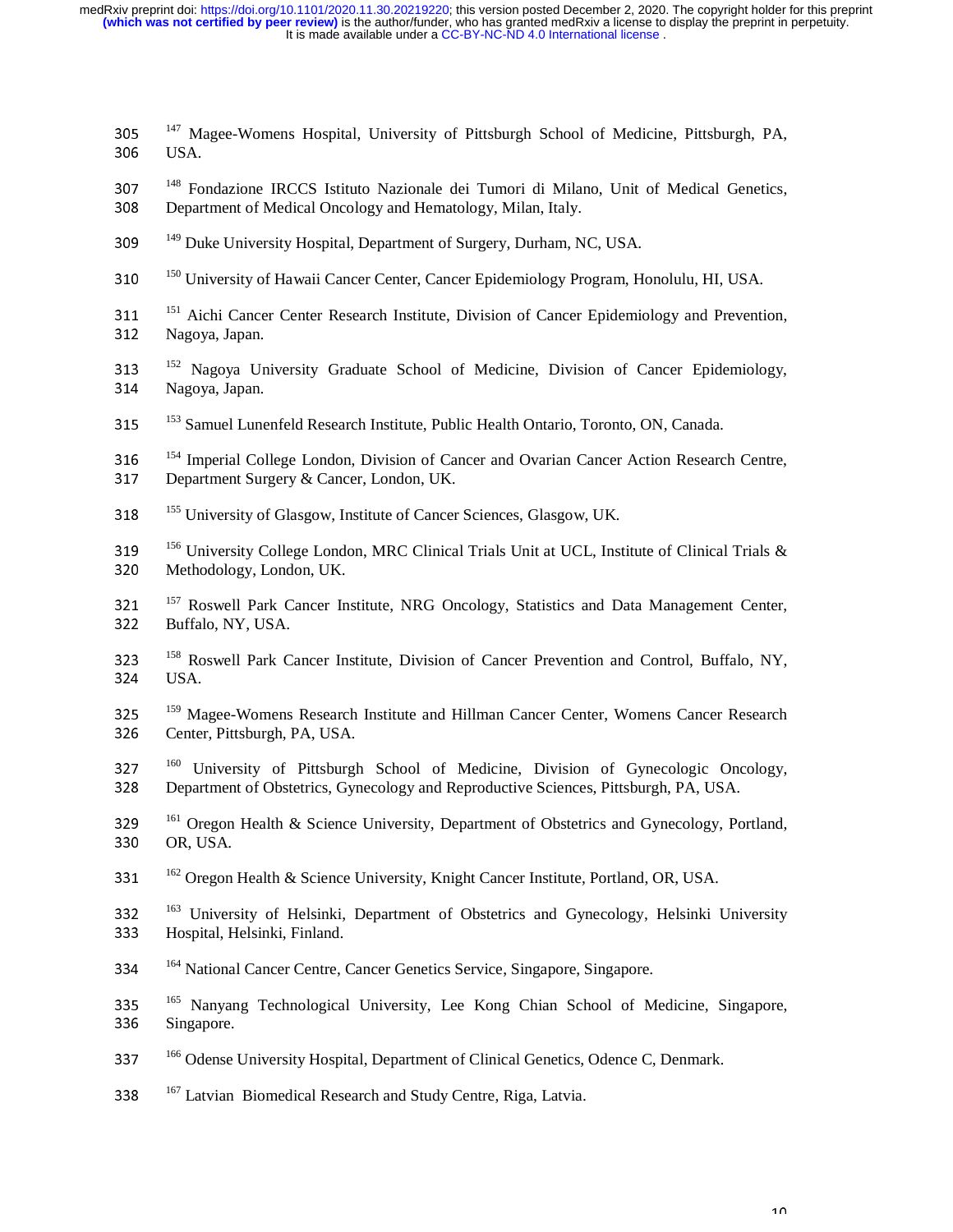- $147$  Magee-Womens Hospital, University of Pittsburgh School of Medicine, Pittsburgh, PA,  $164$ 306 USA.
- 1<sup>48</sup> Fondazione IRCCS Istituto Nazionale dei Tumori di Milano, Unit of Medical Genetics,<br>308 Department of Medical Oncology and Hematology Milan Italy 308 Department of Medical Oncology and Hematology, Milan, Italy.
- <sup>149</sup> Duke University Hospital, Department of Surgery, Durham, NC, USA.
- <sup>150</sup> University of Hawaii Cancer Center, Cancer Epidemiology Program, Honolulu, HI, USA.
- 151 <sup>151</sup> Aichi Cancer Center Research Institute, Division of Cancer Epidemiology and Prevention, 312 Nagoya, Japan.
- 152 Nagoya University Graduate School of Medicine, Division of Cancer Epidemiology, 314 Nagoya, Japan.
- <sup>153</sup> Samuel Lunenfeld Research Institute, Public Health Ontario, Toronto, ON, Canada.
- $154$  Imperial College London, Division of Cancer and Ovarian Cancer Action Research Centre,<br>  $154$  Department Surgery & Cancer London LIK 317 Department Surgery & Cancer, London, UK.
- <sup>155</sup> University of Glasgow, Institute of Cancer Sciences, Glasgow, UK.
- $156$  University College London, MRC Clinical Trials Unit at UCL, Institute of Clinical Trials &  $\frac{320}{\text{Methodology}}$  London, LIK 320 Methodology, London, UK.
- $157$   $157$  Roswell Park Cancer Institute, NRG Oncology, Statistics and Data Management Center, 322 Buffalo, NY, USA.
- $158$  323<sup>158</sup> Roswell Park Cancer Institute, Division of Cancer Prevention and Control, Buffalo, NY, 324 USA.
- $159$   $^{159}$  Magee-Womens Research Institute and Hillman Cancer Center, Womens Cancer Research<br>326 Center Pittsburgh PA JISA 326 Center, Pittsburgh, PA, USA.
- <sup>160</sup> University of Pittsburgh School of Medicine, Division of Gynecologic Oncology,<br>328 Department of Obstetrics Gynecology and Reproductive Sciences Pittsburgh PA USA 328 Department of Obstetrics, Gynecology and Reproductive Sciences, Pittsburgh, PA, USA.
- 161 <sup>329</sup>Oregon Health & Science University, Department of Obstetrics and Gynecology, Portland, 330 OR, USA.
- 331  $162$  Oregon Health & Science University, Knight Cancer Institute, Portland, OR, USA.
- 163 University of Helsinki, Department of Obstetrics and Gynecology, Helsinki University<br>1833 Hospital Helsinki Finland <sup>333</sup>Hospital, Helsinki, Finland.
- <sup>164</sup> National Cancer Centre, Cancer Genetics Service, Singapore, Singapore.
- 335 <sup>165</sup> Nanyang Technological University, Lee Kong Chian School of Medicine, Singapore, 336 Singapore, 336 Singapore.
- <sup>166</sup> Odense University Hospital, Department of Clinical Genetics, Odence C, Denmark.
- 338  $167$  Latvian Biomedical Research and Study Centre, Riga, Latvia.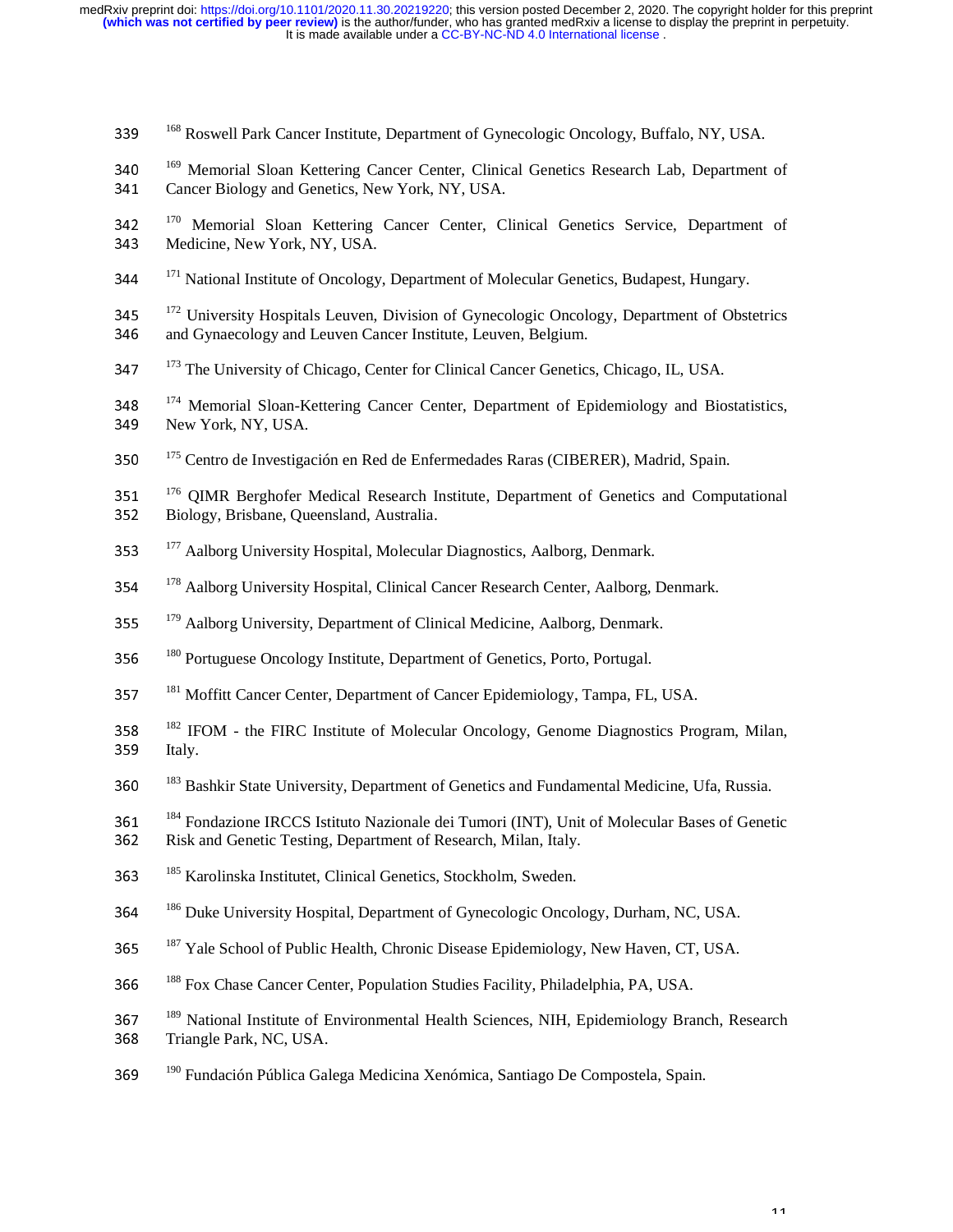- <sup>168</sup> Roswell Park Cancer Institute, Department of Gynecologic Oncology, Buffalo, NY, USA.
- <sup>169</sup> Memorial Sloan Kettering Cancer Center, Clinical Genetics Research Lab, Department of 341 Cancer Biology and Genetics New York NY USA 341 Cancer Biology and Genetics, New York, NY, USA.
- $170$  Memorial Sloan Kettering Cancer Center, Clinical Genetics Service, Department of  $343$  Medicine New York NY USA 343 Medicine, New York, NY, USA.
- <sup>171</sup> National Institute of Oncology, Department of Molecular Genetics, Budapest, Hungary.
- $172$  University Hospitals Leuven, Division of Gynecologic Oncology, Department of Obstetrics<br>346 and Gynaecology and Leuven Cancer Institute, Leuven, Belgium 346 and Gynaecology and Leuven Cancer Institute, Leuven, Belgium.
- <sup>173</sup> The University of Chicago, Center for Clinical Cancer Genetics, Chicago, IL, USA.
- $174$  Memorial Sloan-Kettering Cancer Center, Department of Epidemiology and Biostatistics, New York NY USA 349 New York, NY, USA.
- 350<sup>175</sup> Centro de Investigación en Red de Enfermedades Raras (CIBERER), Madrid, Spain.
- $176$  QIMR Berghofer Medical Research Institute, Department of Genetics and Computational  $352$  Riology Brisbane Queensland Australia 352 Biology, Brisbane, Queensland, Australia.
- <sup>177</sup> Aalborg University Hospital, Molecular Diagnostics, Aalborg, Denmark.
- <sup>178</sup> Aalborg University Hospital, Clinical Cancer Research Center, Aalborg, Denmark.
- <sup>179</sup> Aalborg University, Department of Clinical Medicine, Aalborg, Denmark.
- <sup>180</sup> Portuguese Oncology Institute, Department of Genetics, Porto, Portugal.
- <sup>181</sup> Moffitt Cancer Center, Department of Cancer Epidemiology, Tampa, FL, USA.
- $182$  IFOM the FIRC Institute of Molecular Oncology, Genome Diagnostics Program, Milan,  $1859$  Italy 359 Italy.
- <sup>183</sup> Bashkir State University, Department of Genetics and Fundamental Medicine, Ufa, Russia.
- 184 361 <sup>184</sup> Fondazione IRCCS Istituto Nazionale dei Tumori (INT), Unit of Molecular Bases of Genetic<br>1862 Bisk and Genetic Testing, Department of Besearch Milan, Italy 362 Risk and Genetic Testing, Department of Research, Milan, Italy.
- 363 <sup>185</sup> Karolinska Institutet, Clinical Genetics, Stockholm, Sweden.
- <sup>186</sup> Duke University Hospital, Department of Gynecologic Oncology, Durham, NC, USA.
- <sup>187</sup> Yale School of Public Health, Chronic Disease Epidemiology, New Haven, CT, USA.
- <sup>188</sup> Fox Chase Cancer Center, Population Studies Facility, Philadelphia, PA, USA.
- 189 367 <sup>189</sup> National Institute of Environmental Health Sciences, NIH, Epidemiology Branch, Research<br>368 Triangle Park NC USA
- 368 Triangle Park, NC, USA.
- 369 <sup>190</sup> Fundación Pública Galega Medicina Xenómica, Santiago De Compostela, Spain.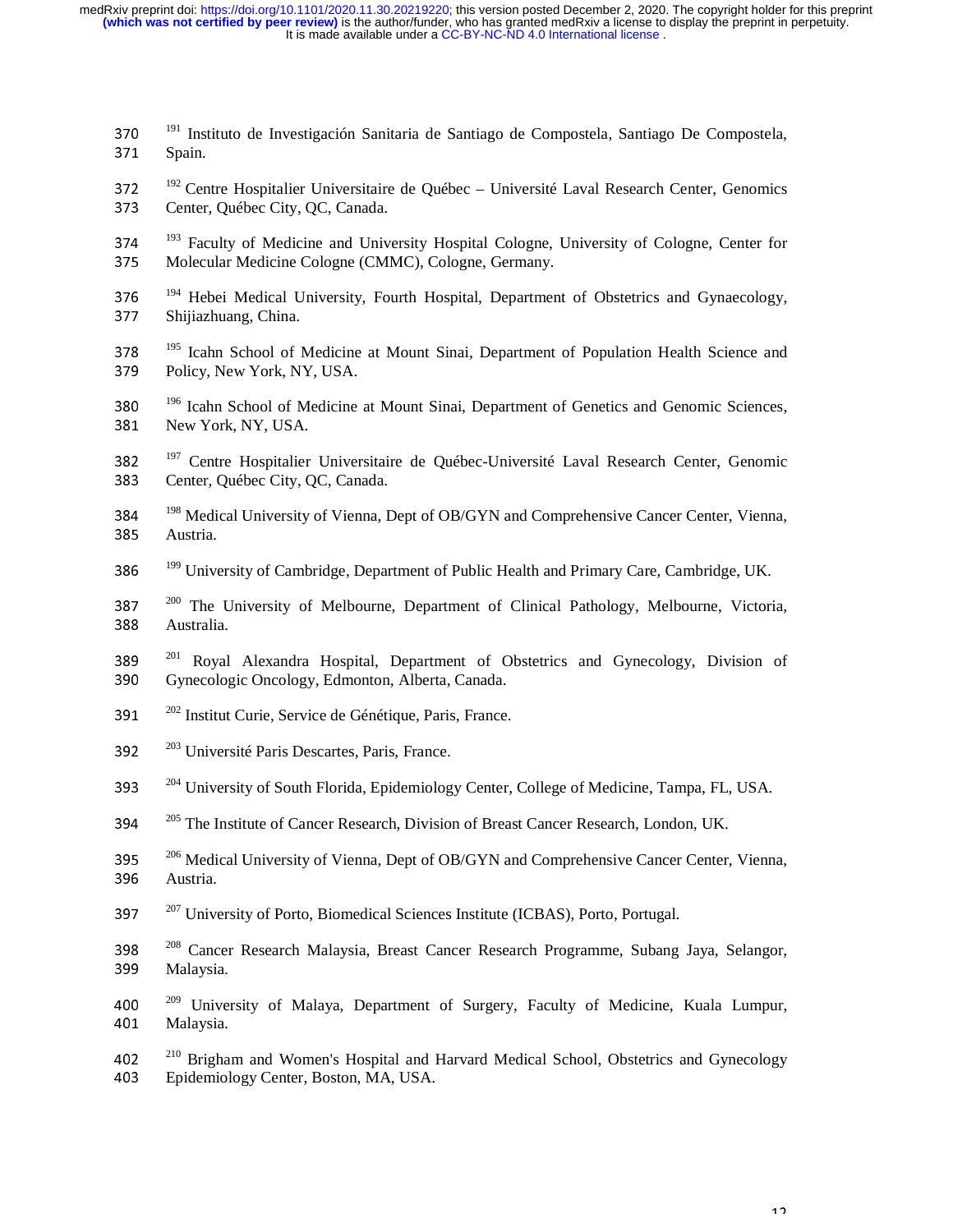- 370 <sup>191</sup> Instituto de Investigación Sanitaria de Santiago de Compostela, Santiago De Compostela, <sup>371</sup> Spain 371 Spain.
- 372 <sup>192</sup> Centre Hospitalier Universitaire de Québec Université Laval Research Center, Genomics<br>373 Center, Québec City OC Canada 373 Center, Québec City, OC, Canada.
- 274 <sup>193</sup> Faculty of Medicine and University Hospital Cologne, University of Cologne, Center for 375 Molecular Medicine Cologne (CMMC) Cologne Germany 375 Molecular Medicine Cologne (CMMC), Cologne, Germany.
- 194 Hebei Medical University, Fourth Hospital, Department of Obstetrics and Gynaecology, Shijiazhuang China 377 Shijiazhuang, China.
- $195$   $^{195}$  Icahn School of Medicine at Mount Sinai, Department of Population Health Science and  $379$  Policy New York NY USA 379 Policy, New York, NY, USA.
- $\frac{196}{196}$  Icahn School of Medicine at Mount Sinai, Department of Genetics and Genomic Sciences, New York NY USA 381 New York, NY, USA.
- 382  $^{197}$  Centre Hospitalier Universitaire de Québec-Université Laval Research Center, Genomic 383 383 Center, Québec City, QC, Canada.
- 198 Medical University of Vienna, Dept of OB/GYN and Comprehensive Cancer Center, Vienna, 285 Austria 385 Austria.
- <sup>199</sup> University of Cambridge, Department of Public Health and Primary Care, Cambridge, UK.
- $200$  The University of Melbourne, Department of Clinical Pathology, Melbourne, Victoria,  $\frac{200}{4}$  Australia 388 Australia.
- 201 Royal Alexandra Hospital, Department of Obstetrics and Gynecology, Division of 390 Gynecologic Opeology Edmonton Alberta Canada 390 Gynecologic Oncology, Edmonton, Alberta, Canada.
- 391  $^{202}$  Institut Curie, Service de Génétique, Paris, France.
- 392  $^{203}$  Université Paris Descartes, Paris, France.
- <sup>204</sup> University of South Florida, Epidemiology Center, College of Medicine, Tampa, FL, USA.
- <sup>205</sup> The Institute of Cancer Research, Division of Breast Cancer Research, London, UK.
- $2^{206}$  Medical University of Vienna, Dept of OB/GYN and Comprehensive Cancer Center, Vienna,  $2^{206}$  Austria 396 Austria.
- $207 \, \text{University of Porto, Biomedical Sciences Institute (ICBAS), Porto, Portugal.}$
- <sup>208</sup> Cancer Research Malaysia, Breast Cancer Research Programme, Subang Jaya, Selangor, <br>399 Malaysia 399 Malaysia.
- 400  $^{209}$  University of Malaya, Department of Surgery, Faculty of Medicine, Kuala Lumpur, Malaysia 401 Malaysia.
- 402<sup>210</sup> Brigham and Women's Hospital and Harvard Medical School, Obstetrics and Gynecology<br>403 Enidemiology Center Boston MA USA <sup>403</sup>Epidemiology Center, Boston, MA, USA.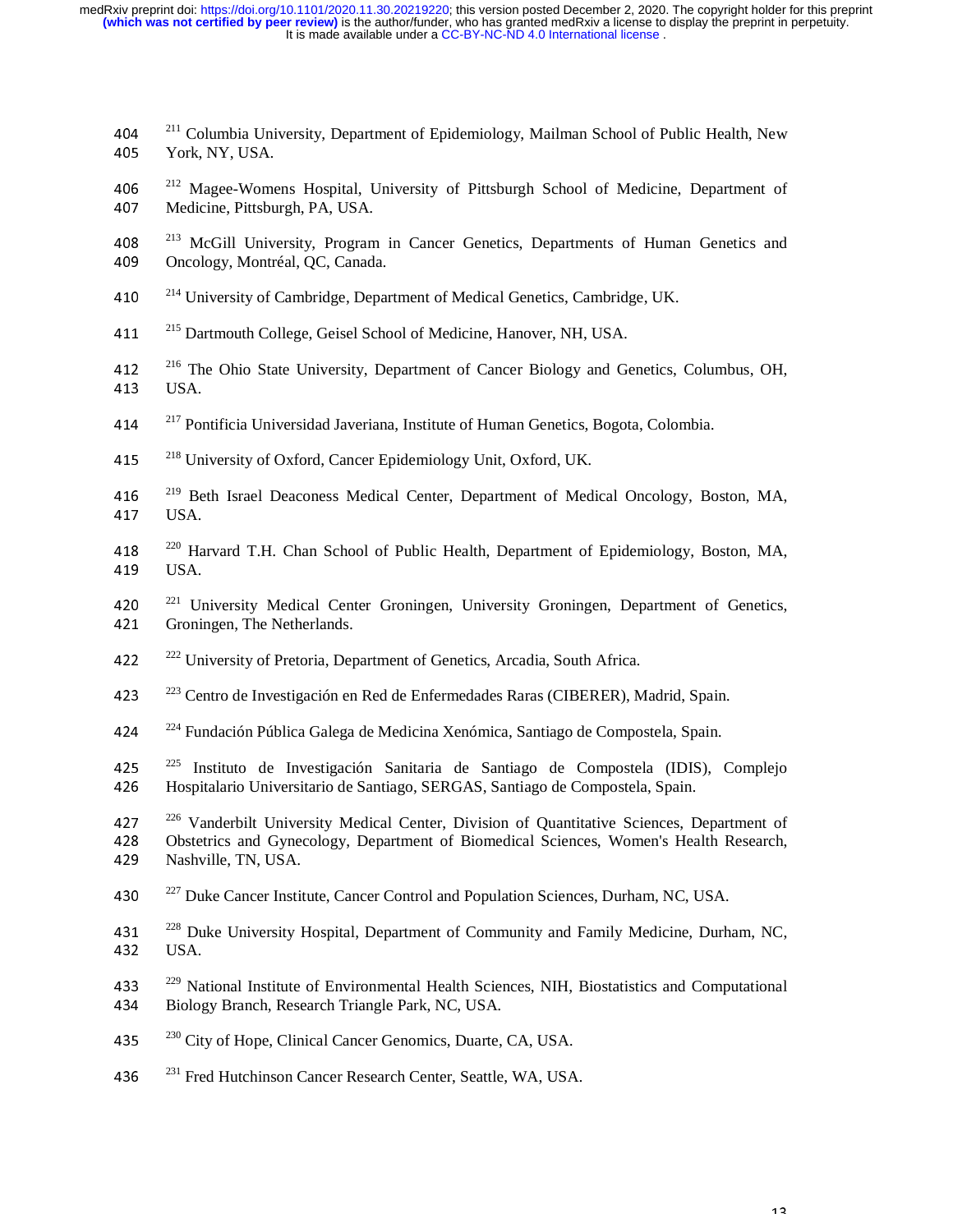- 2<sup>211</sup> Columbia University, Department of Epidemiology, Mailman School of Public Health, New<br>205 North NY USA 405 York, NY, USA.
- 406  $^{212}$  Magee-Womens Hospital, University of Pittsburgh School of Medicine, Department of Medicine, Pittsburgh PA USA 407 Medicine, Pittsburgh, PA, USA.
- 408 <sup>213</sup> McGill University, Program in Cancer Genetics, Departments of Human Genetics and Oncology Montréal OC Canada 409 Oncology, Montréal, QC, Canada.
- 410 <sup>214</sup> University of Cambridge, Department of Medical Genetics, Cambridge, UK.
- 411 <sup>215</sup> Dartmouth College, Geisel School of Medicine, Hanover, NH, USA.
- 412 <sup>216</sup> The Ohio State University, Department of Cancer Biology and Genetics, Columbus, OH,  $113$  ISA 413 USA.
- 414  $\frac{217}{\pi}$ Pontificia Universidad Javeriana, Institute of Human Genetics, Bogota, Colombia.
- 415 <sup>218</sup> University of Oxford, Cancer Epidemiology Unit, Oxford, UK.
- 416 <sup>219</sup> Beth Israel Deaconess Medical Center, Department of Medical Oncology, Boston, MA, 417 USA.
- 418  $^{220}$  Harvard T.H. Chan School of Public Health, Department of Epidemiology, Boston, MA,  $^{119}$ 419 USA.
- 420<sup>221</sup> University Medical Center Groningen, University Groningen, Department of Genetics, 421 Groningen, The Netherlands.
- 422 <sup>222</sup> University of Pretoria, Department of Genetics, Arcadia, South Africa.
- <sup>223</sup> Centro de Investigación en Red de Enfermedades Raras (CIBERER), Madrid, Spain.
- 424 <sup>224</sup> Fundación Pública Galega de Medicina Xenómica, Santiago de Compostela, Spain.
- 425 <sup>225</sup> Instituto de Investigación Sanitaria de Santiago de Compostela (IDIS), Complejo<br>426 Hospitalario Universitario de Santiago SERGAS Santiago de Compostela Spain 426 Hospitalario Universitario de Santiago, SERGAS, Santiago de Compostela, Spain.
- 226 Vanderbilt University Medical Center, Division of Quantitative Sciences, Department of Approximate Cynecology, Department of Biomedical Sciences, Women's Health Research 428 Obstetrics and Gynecology, Department of Biomedical Sciences, Women's Health Research, A29 Nashville, TN, USA. Nashville, TN, USA.
- 430  $^{227}$  Duke Cancer Institute, Cancer Control and Population Sciences, Durham, NC, USA.
- 431  $^{228}$  Duke University Hospital, Department of Community and Family Medicine, Durham, NC, 432 ISA 432 USA.
- 433  $^{229}$  National Institute of Environmental Health Sciences, NIH, Biostatistics and Computational Riology Branch Research Triangle Park NC USA 434 Biology Branch, Research Triangle Park, NC, USA.
- 435  $^{230}$  City of Hope, Clinical Cancer Genomics, Duarte, CA, USA.
- 436 <sup>231</sup> Fred Hutchinson Cancer Research Center, Seattle, WA, USA.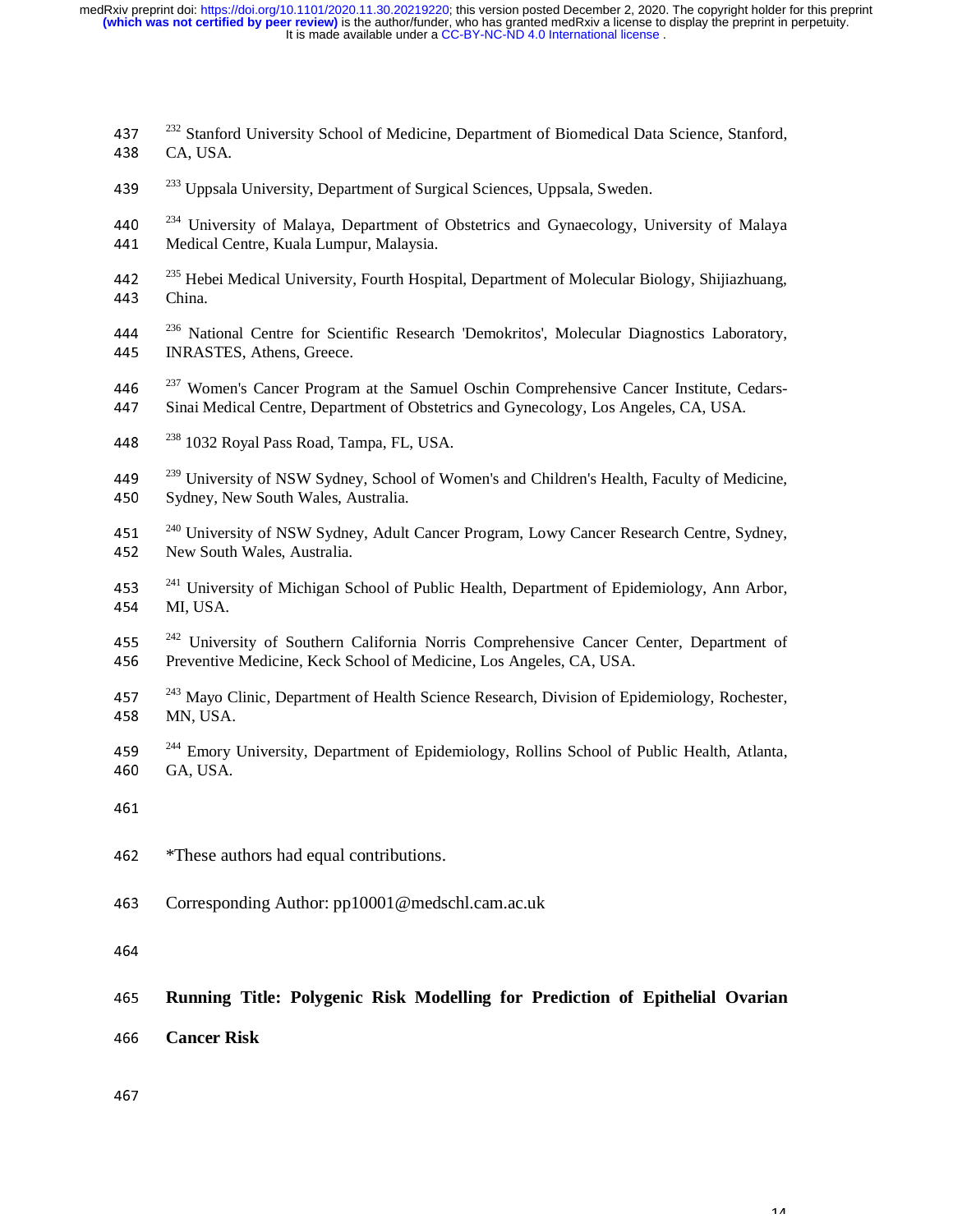- $2^{32}$  Stanford University School of Medicine, Department of Biomedical Data Science, Stanford,  $\overline{C}$  A JISA 438 CA, USA.
- 439 <sup>233</sup> Uppsala University, Department of Surgical Sciences, Uppsala, Sweden.
- <sup>234</sup> University of Malaya, Department of Obstetrics and Gynaecology, University of Malaya<br>441 Medical Centre Kuala Lumpur Malaysia 441 Medical Centre, Kuala Lumpur, Malaysia.
- <sup>235</sup> Hebei Medical University, Fourth Hospital, Department of Molecular Biology, Shijiazhuang,<br>443 China <sup>443</sup>China.
- 444 <sup>236</sup> National Centre for Scientific Research 'Demokritos', Molecular Diagnostics Laboratory, <br>445 INRASTES Athens Greece 445 INRASTES, Athens, Greece.
- 446  $^{237}$  Women's Cancer Program at the Samuel Oschin Comprehensive Cancer Institute, Cedars-<br>447 Sinai Medical Centre, Department of Obstetrics and Gynecology, Los Angeles, CA, USA <sup>447</sup>Sinai Medical Centre, Department of Obstetrics and Gynecology, Los Angeles, CA, USA.
- 448 $^{238}$  1032 Royal Pass Road, Tampa, FL, USA.
- 449  $^{239}$  University of NSW Sydney, School of Women's and Children's Health, Faculty of Medicine,  $^{450}$ 450 Sydney, New South Wales, Australia.
- 451  $^{240}$  University of NSW Sydney, Adult Cancer Program, Lowy Cancer Research Centre, Sydney, New South Wales, Australia 452 New South Wales, Australia.
- 241 University of Michigan School of Public Health, Department of Epidemiology, Ann Arbor, 254 MILISA 454 MI, USA.
- 455  $\frac{242}{156}$  University of Southern California Norris Comprehensive Cancer Center, Department of 456 Preventive Medicine Keck School of Medicine Los Angeles CA USA 456 Preventive Medicine, Keck School of Medicine, Los Angeles, CA, USA.
- 457 <sup>243</sup> Mayo Clinic, Department of Health Science Research, Division of Epidemiology, Rochester, <br>458 MN USA 458 MN, USA.
- $2^{244}$  Emory University, Department of Epidemiology, Rollins School of Public Health, Atlanta,  $60 \overline{64}$  USA 460 GA, USA.
- 
- 462 \*These authors had equal contributions.
- 463 Corresponding Author: pp10001@medschl.cam.ac.uk

464

# <sup>465</sup>**Running Title: Polygenic Risk Modelling for Prediction of Epithelial Ovarian**

- <sup>466</sup>**Cancer Risk**
-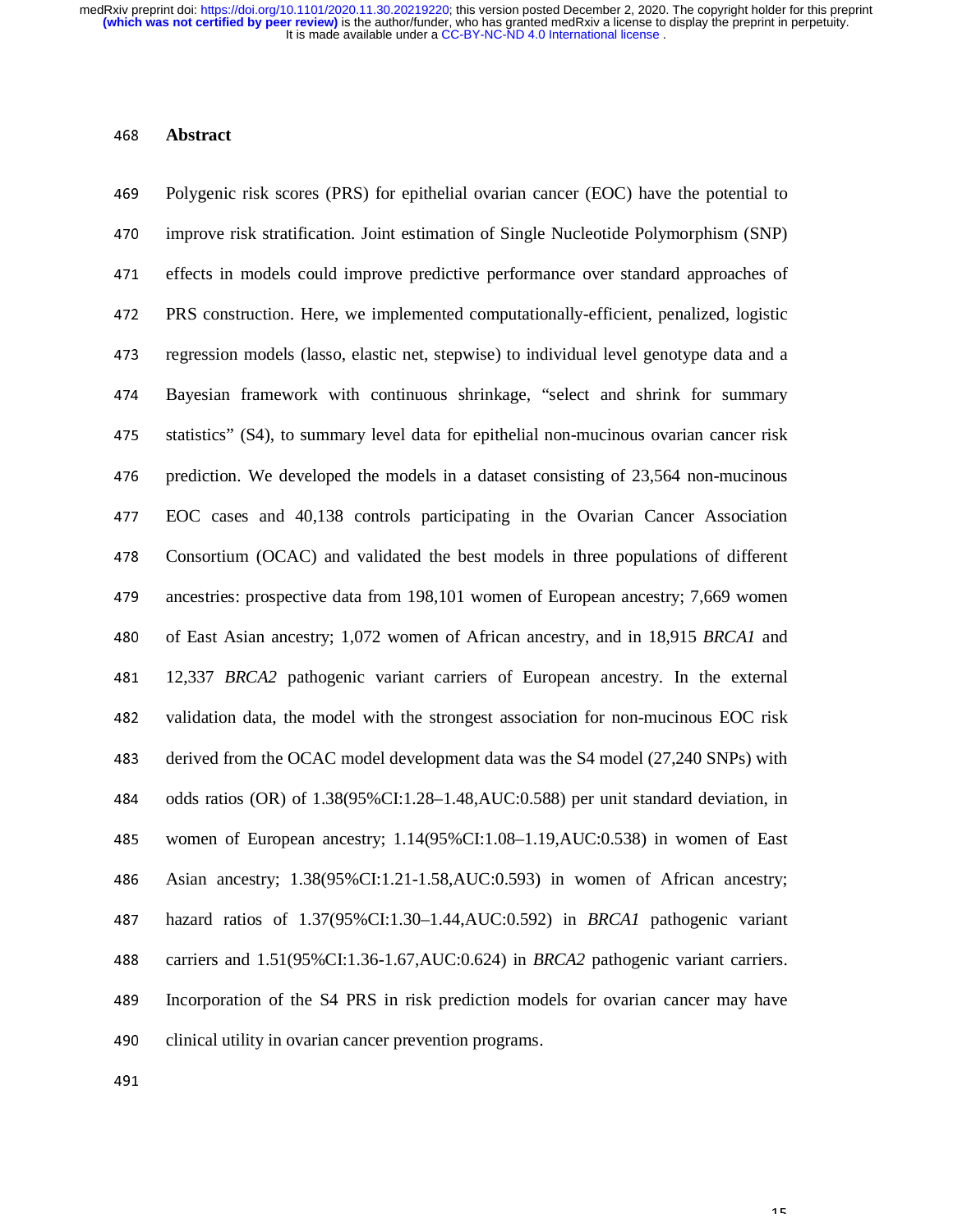#### <sup>468</sup>**Abstract**

<sup>469</sup>Polygenic risk scores (PRS) for epithelial ovarian cancer (EOC) have the potential to 470 improve risk stratification. Joint estimation of Single Nucleotide Polymorphism (SNP) 471 effects in models could improve predictive performance over standard approaches of <sup>472</sup>PRS construction. Here, we implemented computationally-efficient, penalized, logistic 473 regression models (lasso, elastic net, stepwise) to individual level genotype data and a <sup>474</sup>Bayesian framework with continuous shrinkage, "select and shrink for summary 475 statistics" (S4), to summary level data for epithelial non-mucinous ovarian cancer risk 476 prediction. We developed the models in a dataset consisting of 23,564 non-mucinous <sup>477</sup>EOC cases and 40,138 controls participating in the Ovarian Cancer Association 478 Consortium (OCAC) and validated the best models in three populations of different 479 ancestries: prospective data from 198,101 women of European ancestry; 7,669 women 480 of East Asian ancestry; 1,072 women of African ancestry, and in 18,915 *BRCA1* and <sup>481</sup>12,337 *BRCA2* pathogenic variant carriers of European ancestry. In the external 482 validation data, the model with the strongest association for non-mucinous EOC risk 483 derived from the OCAC model development data was the S4 model (27,240 SNPs) with 484 odds ratios (OR) of  $1.38(95\% \text{ CI} : 1.28-1.48, \text{AUC} : 0.588)$  per unit standard deviation, in 485 women of European ancestry; 1.14(95%CI:1.08–1.19,AUC:0.538) in women of East <sup>486</sup>Asian ancestry; 1.38(95%CI:1.21-1.58,AUC:0.593) in women of African ancestry; <sup>487</sup>hazard ratios of 1.37(95%CI:1.30–1.44,AUC:0.592) in *BRCA1* pathogenic variant 488 carriers and 1.51(95%CI:1.36-1.67,AUC:0.624) in *BRCA2* pathogenic variant carriers. 489 Incorporation of the S4 PRS in risk prediction models for ovarian cancer may have 490 clinical utility in ovarian cancer prevention programs.

491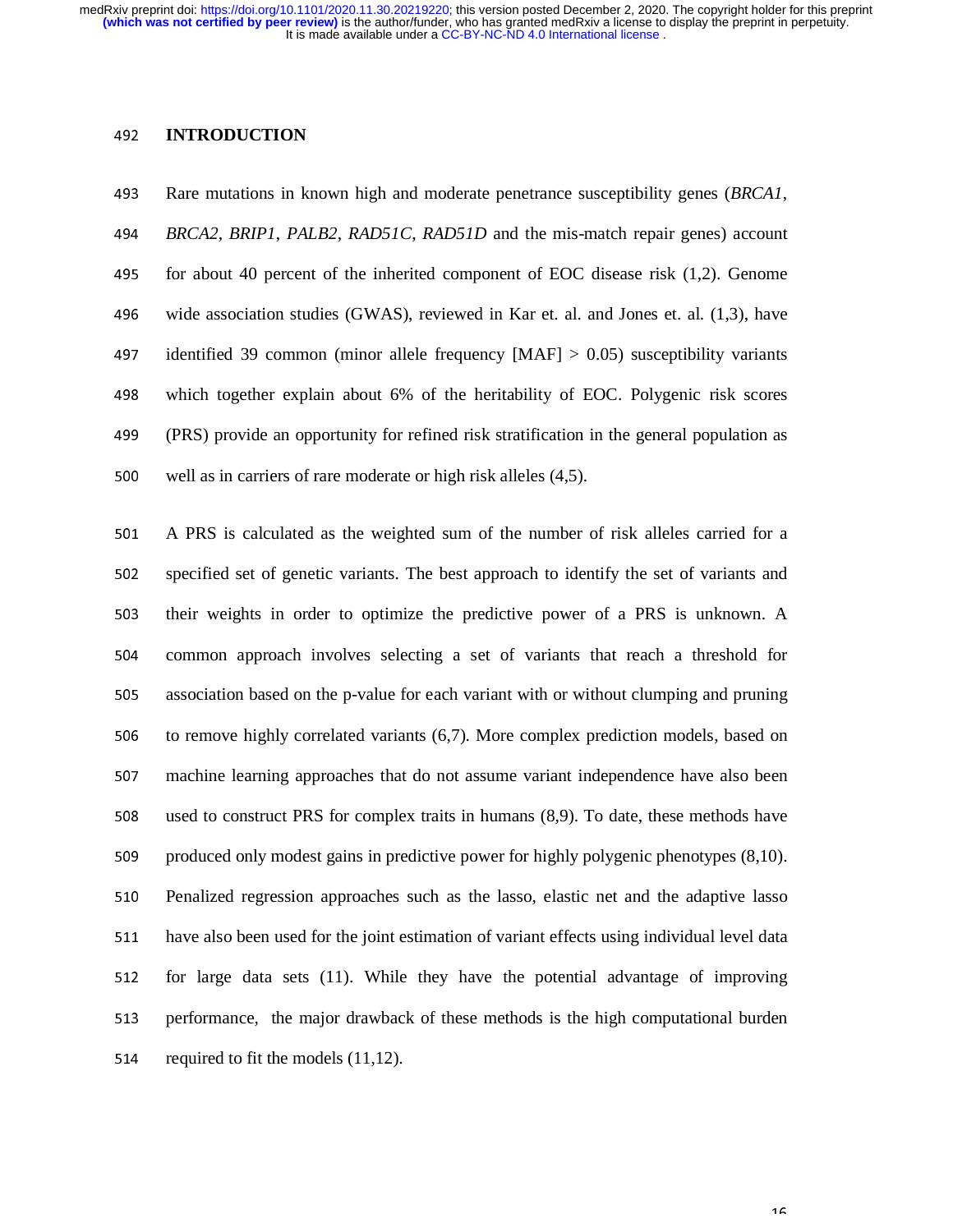#### <sup>492</sup>**INTRODUCTION**

<sup>493</sup>Rare mutations in known high and moderate penetrance susceptibility genes (*BRCA1*, <sup>494</sup>*BRCA2*, *BRIP1*, *PALB2*, *RAD51C*, *RAD51D* and the mis-match repair genes) account 495 for about 40 percent of the inherited component of EOC disease risk  $(1,2)$ . Genome 496 wide association studies (GWAS), reviewed in Kar et. al. and Jones et. al. (1,3), have 497 identified 39 common (minor allele frequency  $[MAF] > 0.05$ ) susceptibility variants 498 which together explain about 6% of the heritability of EOC. Polygenic risk scores <sup>499</sup>(PRS) provide an opportunity for refined risk stratification in the general population as 500 well as in carriers of rare moderate or high risk alleles (4,5).

<sup>501</sup>A PRS is calculated as the weighted sum of the number of risk alleles carried for a 502 specified set of genetic variants. The best approach to identify the set of variants and 503 their weights in order to optimize the predictive power of a PRS is unknown. A 504 common approach involves selecting a set of variants that reach a threshold for <sup>505</sup>association based on the p-value for each variant with or without clumping and pruning  $506$  to remove highly correlated variants  $(6,7)$ . More complex prediction models, based on <sup>507</sup>machine learning approaches that do not assume variant independence have also been 508 used to construct PRS for complex traits in humans (8,9). To date, these methods have 509 produced only modest gains in predictive power for highly polygenic phenotypes (8,10). 510 Penalized regression approaches such as the lasso, elastic net and the adaptive lasso 511 have also been used for the joint estimation of variant effects using individual level data 512 for large data sets (11). While they have the potential advantage of improving 513 performance, the major drawback of these methods is the high computational burden 514 required to fit the models  $(11,12)$ .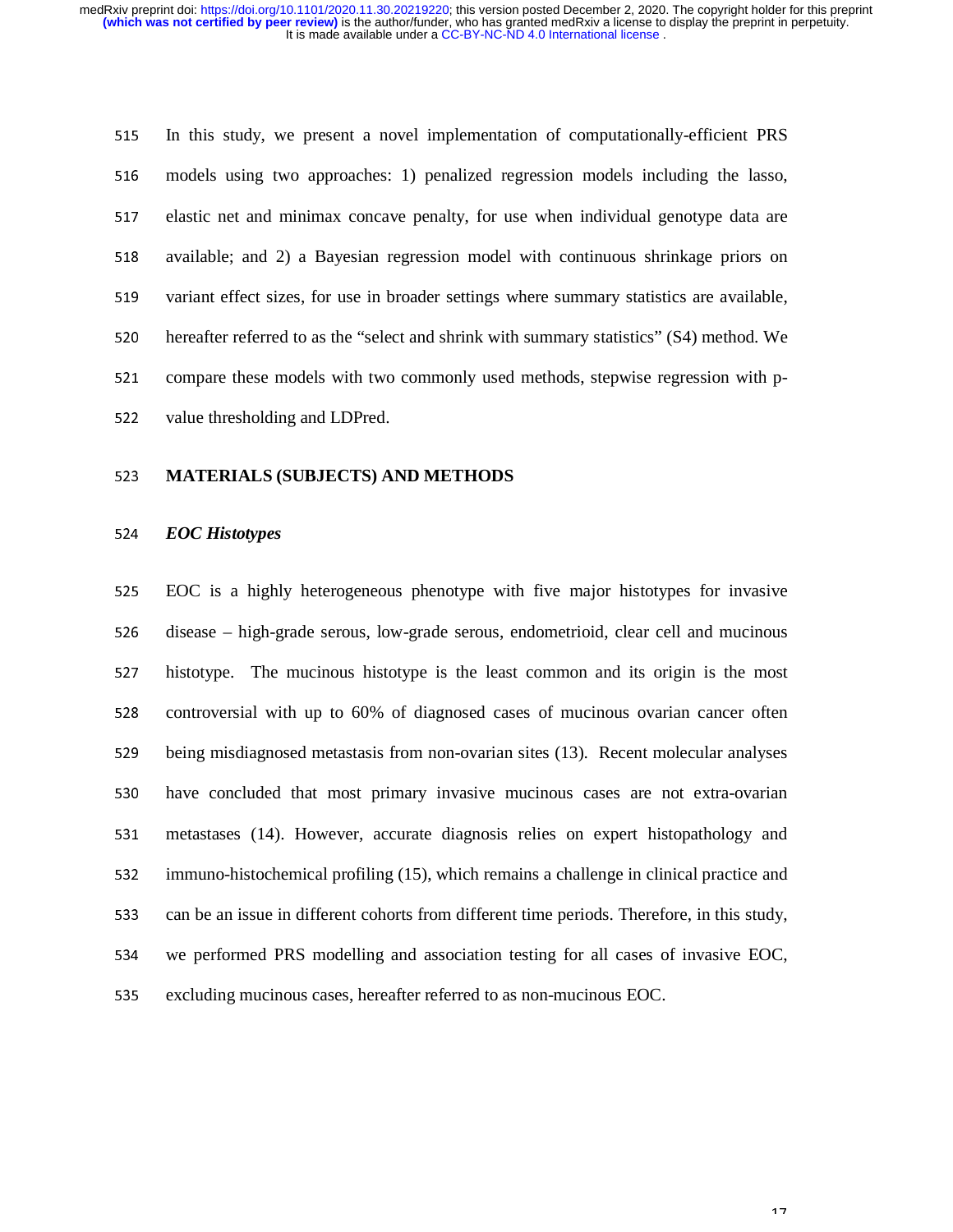<sup>515</sup>In this study, we present a novel implementation of computationally-efficient PRS 516 models using two approaches: 1) penalized regression models including the lasso, 517 elastic net and minimax concave penalty, for use when individual genotype data are 518 available; and 2) a Bayesian regression model with continuous shrinkage priors on 519 variant effect sizes, for use in broader settings where summary statistics are available, 520 hereafter referred to as the "select and shrink with summary statistics" (S4) method. We 521 compare these models with two commonly used methods, stepwise regression with p-522 value thresholding and LDPred.

#### <sup>523</sup>**MATERIALS (SUBJECTS) AND METHODS**

#### <sup>524</sup>*EOC Histotypes*

<sup>525</sup>EOC is a highly heterogeneous phenotype with five major histotypes for invasive 526 disease – high-grade serous, low-grade serous, endometrioid, clear cell and mucinous 527 histotype. The mucinous histotype is the least common and its origin is the most 528 controversial with up to 60% of diagnosed cases of mucinous ovarian cancer often 529 being misdiagnosed metastasis from non-ovarian sites (13). Recent molecular analyses 530 have concluded that most primary invasive mucinous cases are not extra-ovarian 531 metastases (14). However, accurate diagnosis relies on expert histopathology and 532 immuno-histochemical profiling (15), which remains a challenge in clinical practice and 533 can be an issue in different cohorts from different time periods. Therefore, in this study, 534 we performed PRS modelling and association testing for all cases of invasive EOC, 535 excluding mucinous cases, hereafter referred to as non-mucinous EOC.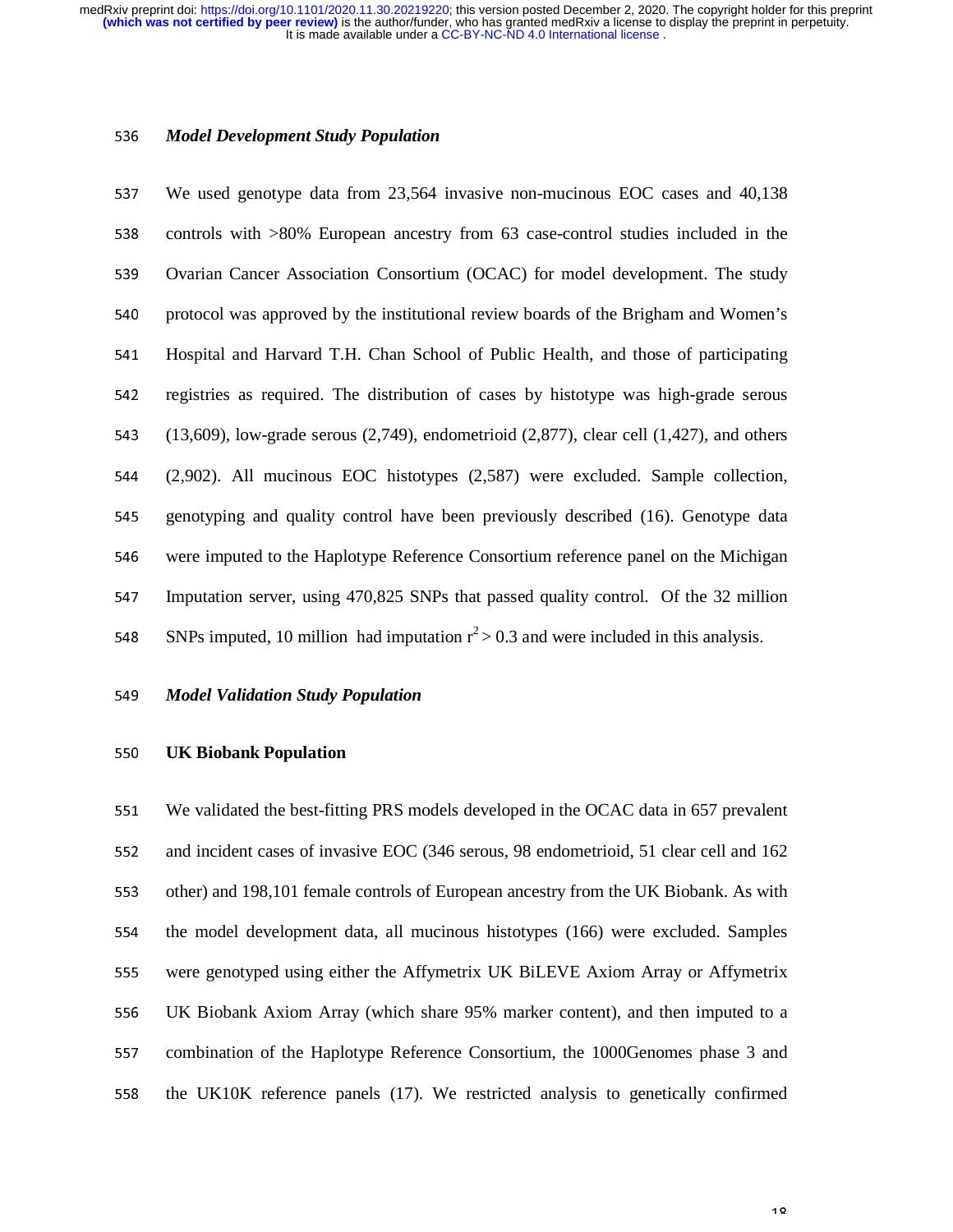#### <sup>536</sup>*Model Development Study Population*

<sup>537</sup>We used genotype data from 23,564 invasive non-mucinous EOC cases and 40,138 538 controls with >80% European ancestry from 63 case-control studies included in the 539 Ovarian Cancer Association Consortium (OCAC) for model development. The study 540 protocol was approved by the institutional review boards of the Brigham and Women's 541 Hospital and Harvard T.H. Chan School of Public Health, and those of participating 542 registries as required. The distribution of cases by histotype was high-grade serous 543 (13,609), low-grade serous  $(2,749)$ , endometrioid  $(2,877)$ , clear cell  $(1,427)$ , and others <sup>544</sup>(2,902). All mucinous EOC histotypes (2,587) were excluded. Sample collection, 545 genotyping and quality control have been previously described (16). Genotype data 546 were imputed to the Haplotype Reference Consortium reference panel on the Michigan <sup>547</sup>Imputation server, using 470,825 SNPs that passed quality control. Of the 32 million SNPs imputed, 10 million had imputation  $r^2 > 0.3$  and were included in this analysis.

#### <sup>549</sup>*Model Validation Study Population*

# <sup>550</sup>**UK Biobank Population**

551 We validated the best-fitting PRS models developed in the OCAC data in 657 prevalent 552 and incident cases of invasive EOC (346 serous, 98 endometrioid, 51 clear cell and 162 553 other) and 198,101 female controls of European ancestry from the UK Biobank. As with 554 the model development data, all mucinous histotypes (166) were excluded. Samples <sup>555</sup>were genotyped using either the Affymetrix UK BiLEVE Axiom Array or Affymetrix <sup>556</sup>UK Biobank Axiom Array (which share 95% marker content), and then imputed to a 557 combination of the Haplotype Reference Consortium, the 1000Genomes phase 3 and 558 the UK10K reference panels (17). We restricted analysis to genetically confirmed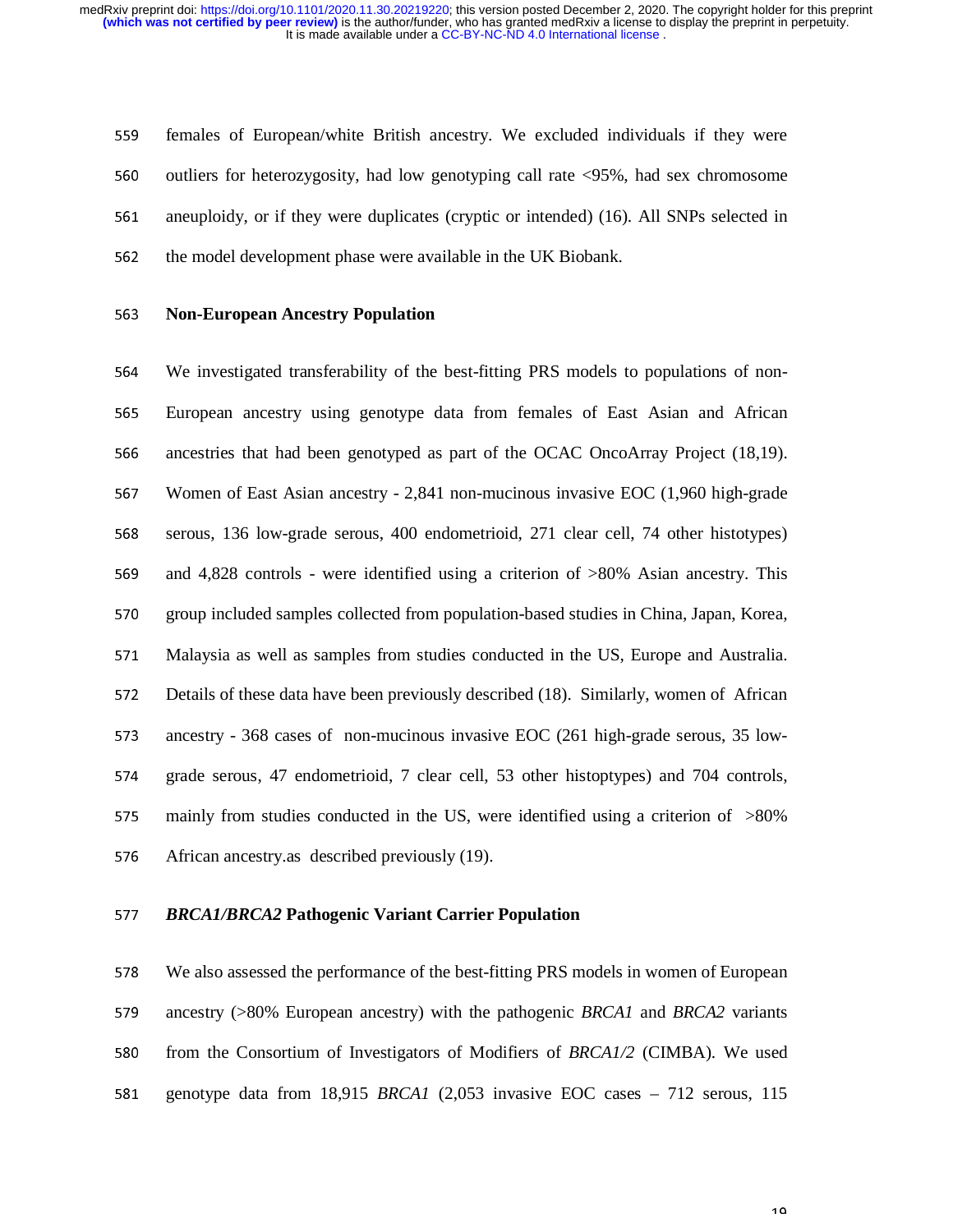559 females of European/white British ancestry. We excluded individuals if they were 560 outliers for heterozygosity, had low genotyping call rate <95%, had sex chromosome 561 aneuploidy, or if they were duplicates (cryptic or intended) (16). All SNPs selected in 562 the model development phase were available in the UK Biobank.

#### <sup>563</sup>**Non-European Ancestry Population**

564 We investigated transferability of the best-fitting PRS models to populations of non-<sup>565</sup>European ancestry using genotype data from females of East Asian and African 566 ancestries that had been genotyped as part of the OCAC OncoArray Project (18,19). <sup>567</sup>Women of East Asian ancestry - 2,841 non-mucinous invasive EOC (1,960 high-grade 568 serous, 136 low-grade serous, 400 endometrioid, 271 clear cell, 74 other histotypes) 569 and 4,828 controls - were identified using a criterion of >80% Asian ancestry. This 570 group included samples collected from population-based studies in China, Japan, Korea, <sup>571</sup>Malaysia as well as samples from studies conducted in the US, Europe and Australia. 572 Details of these data have been previously described (18). Similarly, women of African 573 ancestry - 368 cases of non-mucinous invasive EOC (261 high-grade serous, 35 low-574 grade serous, 47 endometrioid, 7 clear cell, 53 other histoptypes) and 704 controls, 575 mainly from studies conducted in the US, were identified using a criterion of  $>80\%$ 576 African ancestry.as described previously (19).

## <sup>577</sup>*BRCA1/BRCA2* **Pathogenic Variant Carrier Population**

<sup>578</sup>We also assessed the performance of the best-fitting PRS models in women of European 579 ancestry (>80% European ancestry) with the pathogenic *BRCA1* and *BRCA2* variants 580 from the Consortium of Investigators of Modifiers of *BRCA1/2* (CIMBA). We used <sup>581</sup>genotype data from 18,915 *BRCA1* (2,053 invasive EOC cases – 712 serous, 115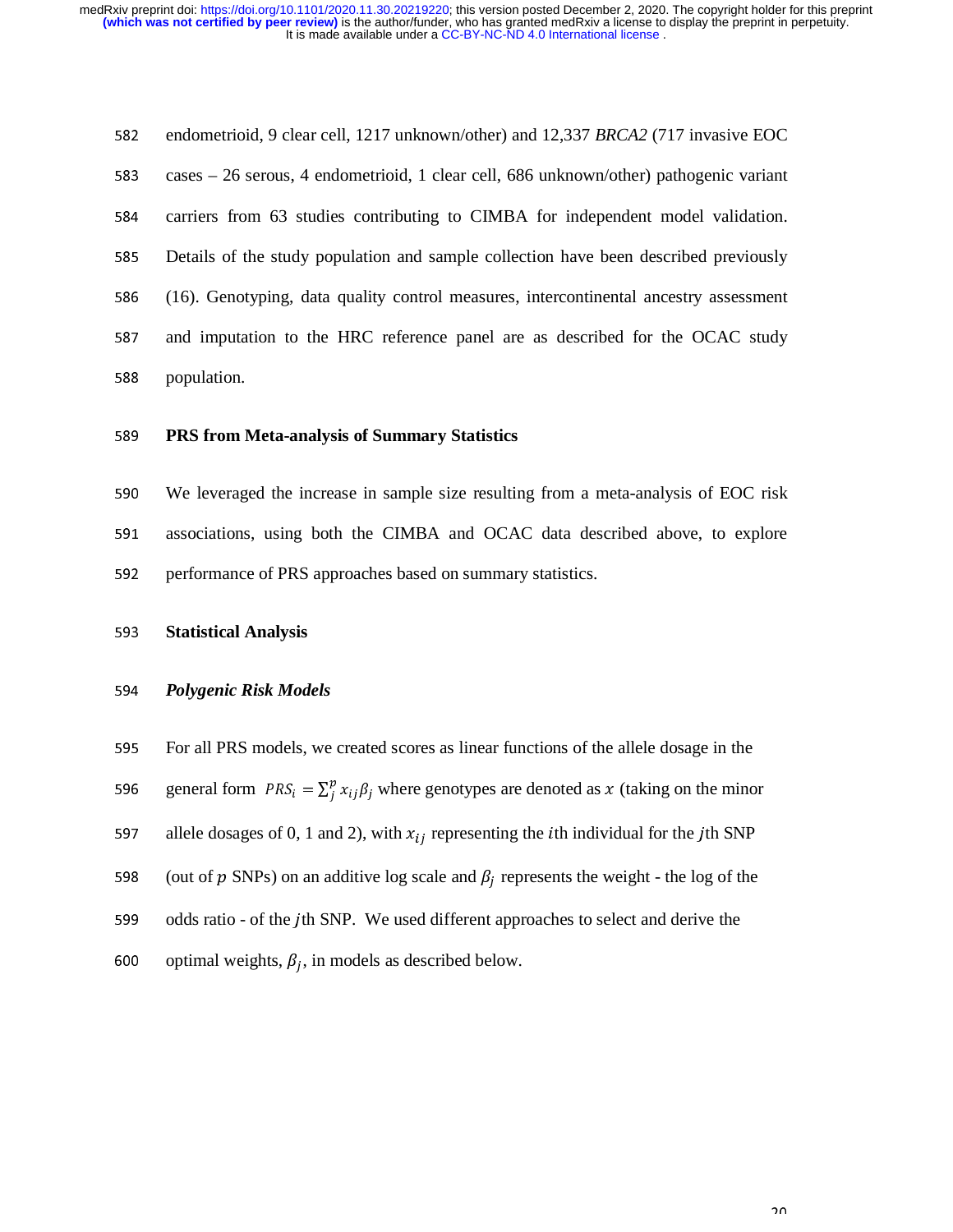582 endometrioid, 9 clear cell, 1217 unknown/other) and 12,337 *BRCA2* (717 invasive EOC 583 cases – 26 serous, 4 endometrioid, 1 clear cell, 686 unknown/other) pathogenic variant 584 carriers from 63 studies contributing to CIMBA for independent model validation. 585 Details of the study population and sample collection have been described previously <sup>586</sup>(16). Genotyping, data quality control measures, intercontinental ancestry assessment 587 and imputation to the HRC reference panel are as described for the OCAC study 588 population.

# <sup>589</sup>**PRS from Meta-analysis of Summary Statistics**

<sup>590</sup>We leveraged the increase in sample size resulting from a meta-analysis of EOC risk 591 associations, using both the CIMBA and OCAC data described above, to explore 592 performance of PRS approaches based on summary statistics.

#### <sup>593</sup>**Statistical Analysis**

#### <sup>594</sup>*Polygenic Risk Models*

595 For all PRS models, we created scores as linear functions of the allele dosage in the

general form  $PRS_i = \sum_j^p x_{ij} \beta_j$ 596 general form  $PRS_i = \sum_j^p x_{ij} \beta_j$  where genotypes are denoted as x (taking on the minor

597 allele dosages of 0, 1 and 2), with  $x_{ij}$  representing the *i*th individual for the *j*th SNP

598 (out of  $p$  SNPs) on an additive log scale and  $\beta_j$  represents the weight - the log of the

599 odds ratio - of the  $j$ th SNP. We used different approaches to select and derive the

600 optimal weights,  $\beta_j$ , in models as described below.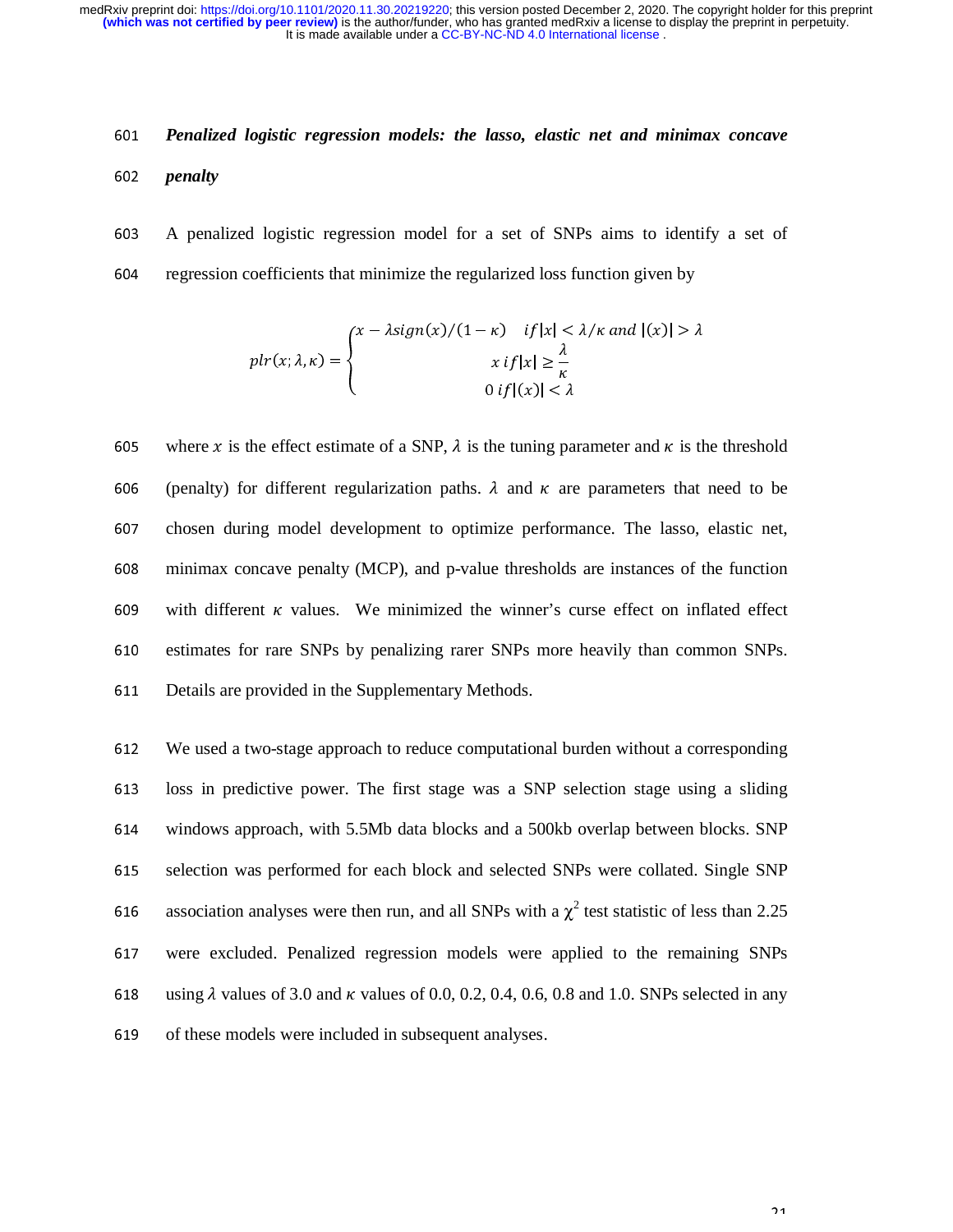# <sup>601</sup>*Penalized logistic regression models: the lasso, elastic net and minimax concave*  <sup>602</sup>*penalty*

<sup>603</sup>A penalized logistic regression model for a set of SNPs aims to identify a set of 604 regression coefficients that minimize the regularized loss function given by

$$
plr(x; \lambda, \kappa) = \begin{cases} x - \lambda sign(x) / (1 - \kappa) & \text{if } |x| < \lambda / \kappa \text{ and } |(x)| > \lambda \\ x & \text{if } |x| \geq \frac{\lambda}{\kappa} \\ 0 & \text{if } |(x)| < \lambda \end{cases}
$$

605 where x is the effect estimate of a SNP,  $\lambda$  is the tuning parameter and  $\kappa$  is the threshold 606 (penalty) for different regularization paths.  $\lambda$  and  $\kappa$  are parameters that need to be 607 chosen during model development to optimize performance. The lasso, elastic net, <sup>608</sup>minimax concave penalty (MCP), and p-value thresholds are instances of the function 609 with different  $\kappa$  values. We minimized the winner's curse effect on inflated effect 610 estimates for rare SNPs by penalizing rarer SNPs more heavily than common SNPs. 611 Details are provided in the Supplementary Methods.

<sup>612</sup>We used a two-stage approach to reduce computational burden without a corresponding 613 loss in predictive power. The first stage was a SNP selection stage using a sliding <sup>614</sup>windows approach, with 5.5Mb data blocks and a 500kb overlap between blocks. SNP 615 selection was performed for each block and selected SNPs were collated. Single SNP 616 association analyses were then run, and all SNPs with a  $\chi^2$  test statistic of less than 2.25 <sup>617</sup>were excluded. Penalized regression models were applied to the remaining SNPs 618 using  $\lambda$  values of 3.0 and  $\kappa$  values of 0.0, 0.2, 0.4, 0.6, 0.8 and 1.0. SNPs selected in any 619 of these models were included in subsequent analyses.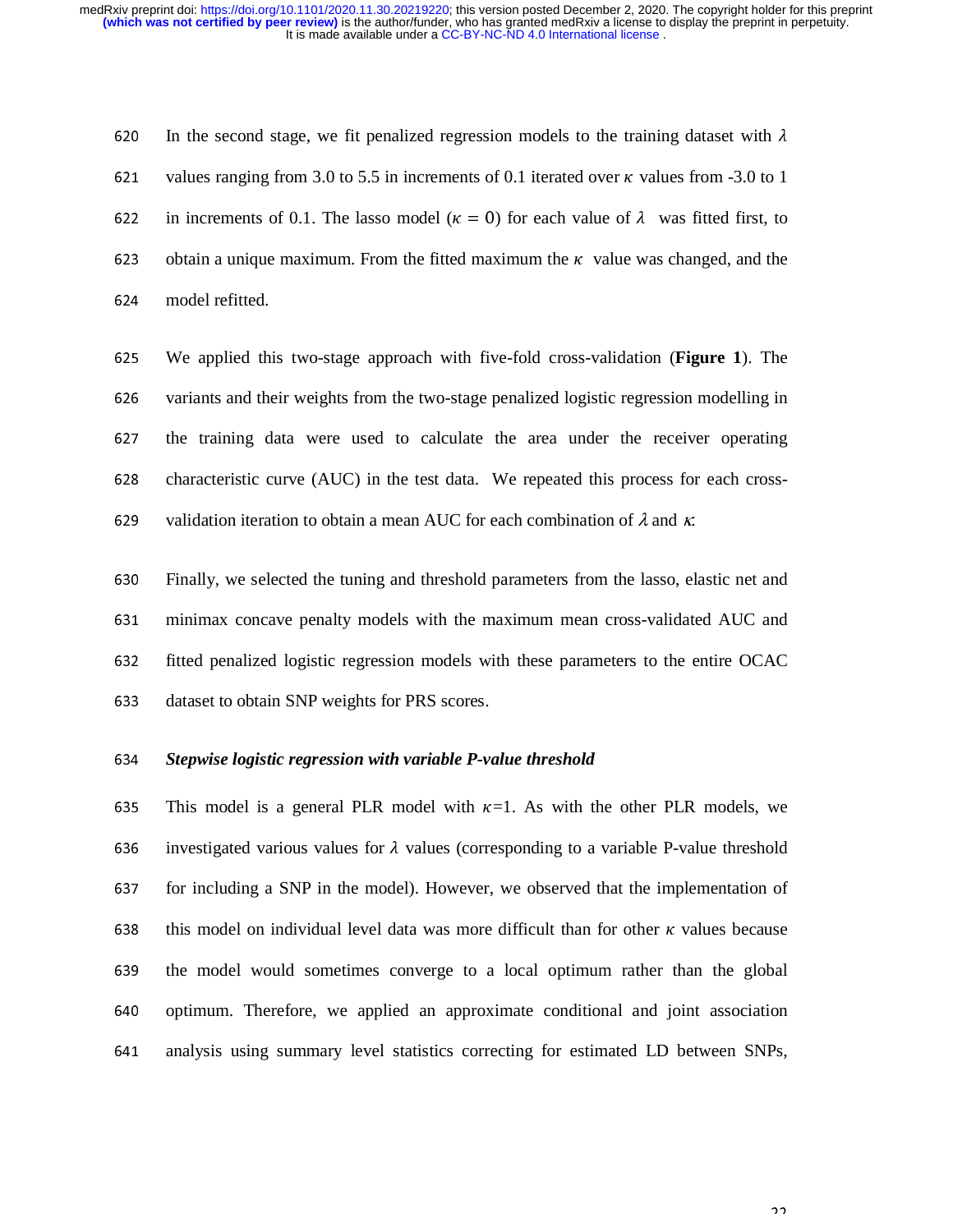620 In the second stage, we fit penalized regression models to the training dataset with  $\lambda$ 621 values ranging from 3.0 to 5.5 in increments of 0.1 iterated over  $\kappa$  values from -3.0 to 1 622 in increments of 0.1. The lasso model ( $\kappa = 0$ ) for each value of  $\lambda$  was fitted first, to 623 obtain a unique maximum. From the fitted maximum the  $\kappa$  value was changed, and the <sup>624</sup>model refitted.

<sup>625</sup>We applied this two-stage approach with five-fold cross-validation (**Figure 1**). The 626 variants and their weights from the two-stage penalized logistic regression modelling in 627 the training data were used to calculate the area under the receiver operating 628 characteristic curve (AUC) in the test data. We repeated this process for each cross-629 validation iteration to obtain a mean AUC for each combination of  $\lambda$  and  $\kappa$ .

<sup>630</sup>Finally, we selected the tuning and threshold parameters from the lasso, elastic net and 631 minimax concave penalty models with the maximum mean cross-validated AUC and 632 fitted penalized logistic regression models with these parameters to the entire OCAC 633 dataset to obtain SNP weights for PRS scores.

#### <sup>634</sup>*Stepwise logistic regression with variable P-value threshold*

635 This model is a general PLR model with  $\kappa=1$ . As with the other PLR models, we 636 investigated various values for  $\lambda$  values (corresponding to a variable P-value threshold 637 for including a SNP in the model). However, we observed that the implementation of 638 this model on individual level data was more difficult than for other  $\kappa$  values because 639 the model would sometimes converge to a local optimum rather than the global 640 optimum. Therefore, we applied an approximate conditional and joint association <sup>641</sup>analysis using summary level statistics correcting for estimated LD between SNPs,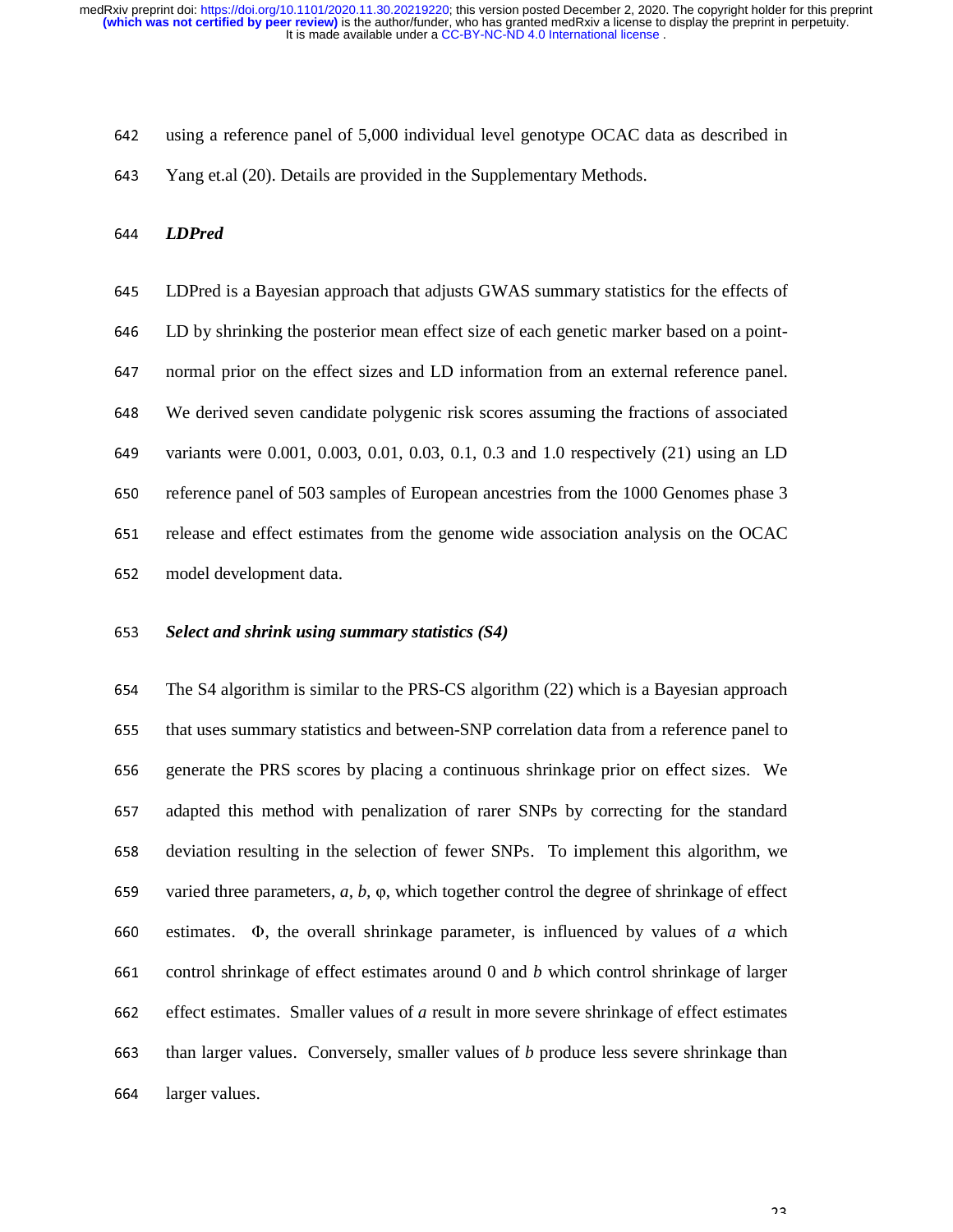642 using a reference panel of 5,000 individual level genotype OCAC data as described in 643 Yang et.al (20). Details are provided in the Supplementary Methods.

<sup>644</sup>*LDPred* 

<sup>645</sup>LDPred is a Bayesian approach that adjusts GWAS summary statistics for the effects of 646 LD by shrinking the posterior mean effect size of each genetic marker based on a point-647 normal prior on the effect sizes and LD information from an external reference panel. <sup>648</sup>We derived seven candidate polygenic risk scores assuming the fractions of associated 649 variants were 0.001, 0.003, 0.01, 0.03, 0.1, 0.3 and 1.0 respectively (21) using an LD 650 reference panel of 503 samples of European ancestries from the 1000 Genomes phase 3 651 release and effect estimates from the genome wide association analysis on the OCAC 652 model development data.

# <sup>653</sup>*Select and shrink using summary statistics (S4)*

<sup>654</sup>The S4 algorithm is similar to the PRS-CS algorithm (22) which is a Bayesian approach 655 that uses summary statistics and between-SNP correlation data from a reference panel to 656 generate the PRS scores by placing a continuous shrinkage prior on effect sizes. We 657 adapted this method with penalization of rarer SNPs by correcting for the standard 658 deviation resulting in the selection of fewer SNPs. To implement this algorithm, we <sup>659</sup>varied three parameters, *a, b,* <sup>φ</sup>, which together control the degree of shrinkage of effect 660 estimates.  $\Phi$ , the overall shrinkage parameter, is influenced by values of *a* which 661 control shrinkage of effect estimates around 0 and *b* which control shrinkage of larger 662 effect estimates. Smaller values of *a* result in more severe shrinkage of effect estimates 663 than larger values. Conversely, smaller values of *b* produce less severe shrinkage than 664 larger values.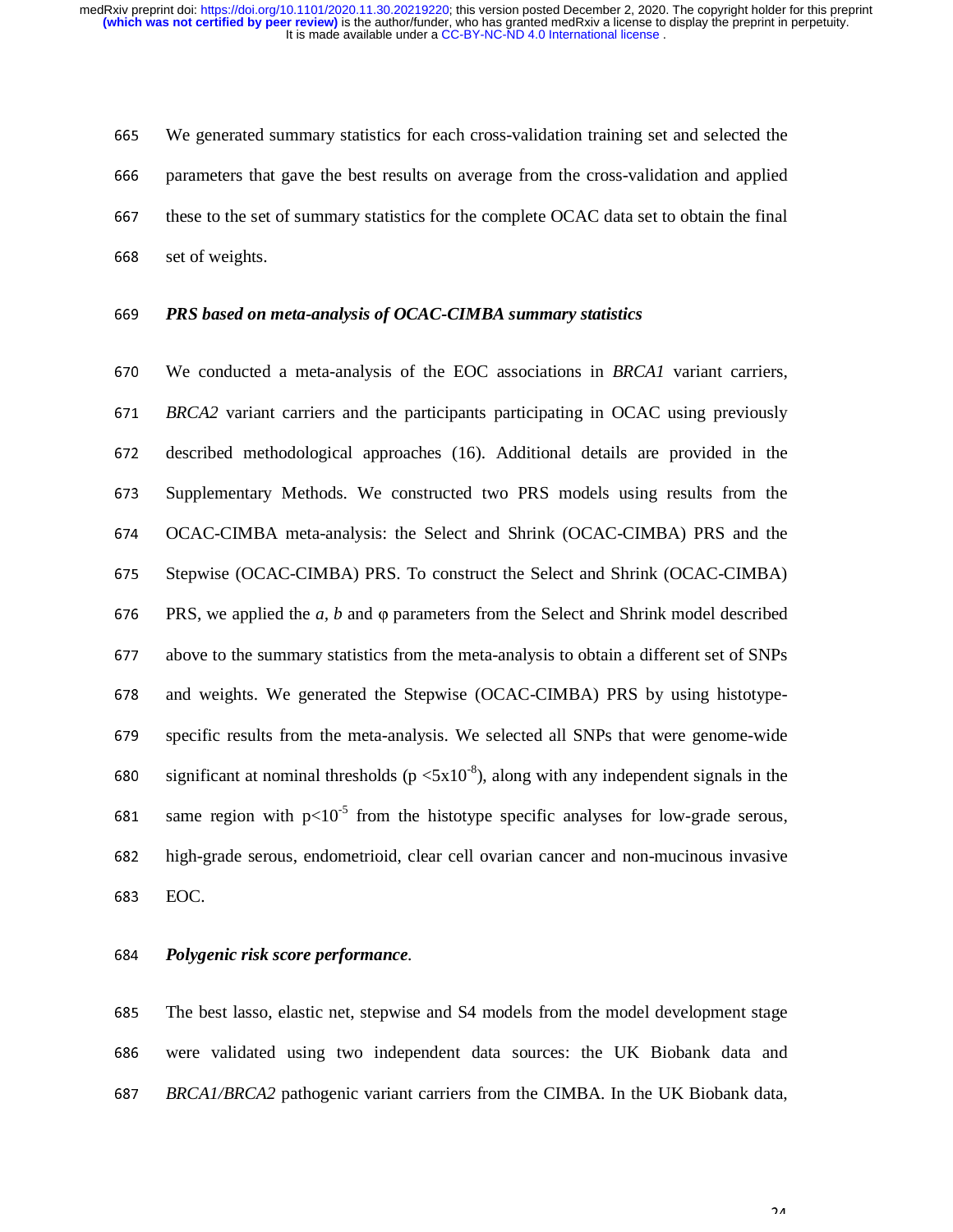<sup>665</sup>We generated summary statistics for each cross-validation training set and selected the 666 parameters that gave the best results on average from the cross-validation and applied 667 these to the set of summary statistics for the complete OCAC data set to obtain the final 668 set of weights.

#### <sup>669</sup>*PRS based on meta-analysis of OCAC-CIMBA summary statistics*

<sup>670</sup>We conducted a meta-analysis of the EOC associations in *BRCA1* variant carriers, <sup>671</sup>*BRCA2* variant carriers and the participants participating in OCAC using previously 672 described methodological approaches (16). Additional details are provided in the <sup>673</sup>Supplementary Methods. We constructed two PRS models using results from the <sup>674</sup>OCAC-CIMBA meta-analysis: the Select and Shrink (OCAC-CIMBA) PRS and the 675 Stepwise (OCAC-CIMBA) PRS. To construct the Select and Shrink (OCAC-CIMBA) <sup>676</sup>PRS, we applied the *a, b* and <sup>φ</sup> parameters from the Select and Shrink model described <sup>677</sup>above to the summary statistics from the meta-analysis to obtain a different set of SNPs 678 and weights. We generated the Stepwise (OCAC-CIMBA) PRS by using histotype-679 specific results from the meta-analysis. We selected all SNPs that were genome-wide 680 significant at nominal thresholds ( $p \leq 5x10^{-8}$ ), along with any independent signals in the 681 same region with  $p<10^{-5}$  from the histotype specific analyses for low-grade serous, <sup>682</sup>high-grade serous, endometrioid, clear cell ovarian cancer and non-mucinous invasive 683 EOC.

#### <sup>684</sup>*Polygenic risk score performance.*

685 The best lasso, elastic net, stepwise and S4 models from the model development stage <sup>686</sup>were validated using two independent data sources: the UK Biobank data and <sup>687</sup>*BRCA1/BRCA2* pathogenic variant carriers from the CIMBA. In the UK Biobank data,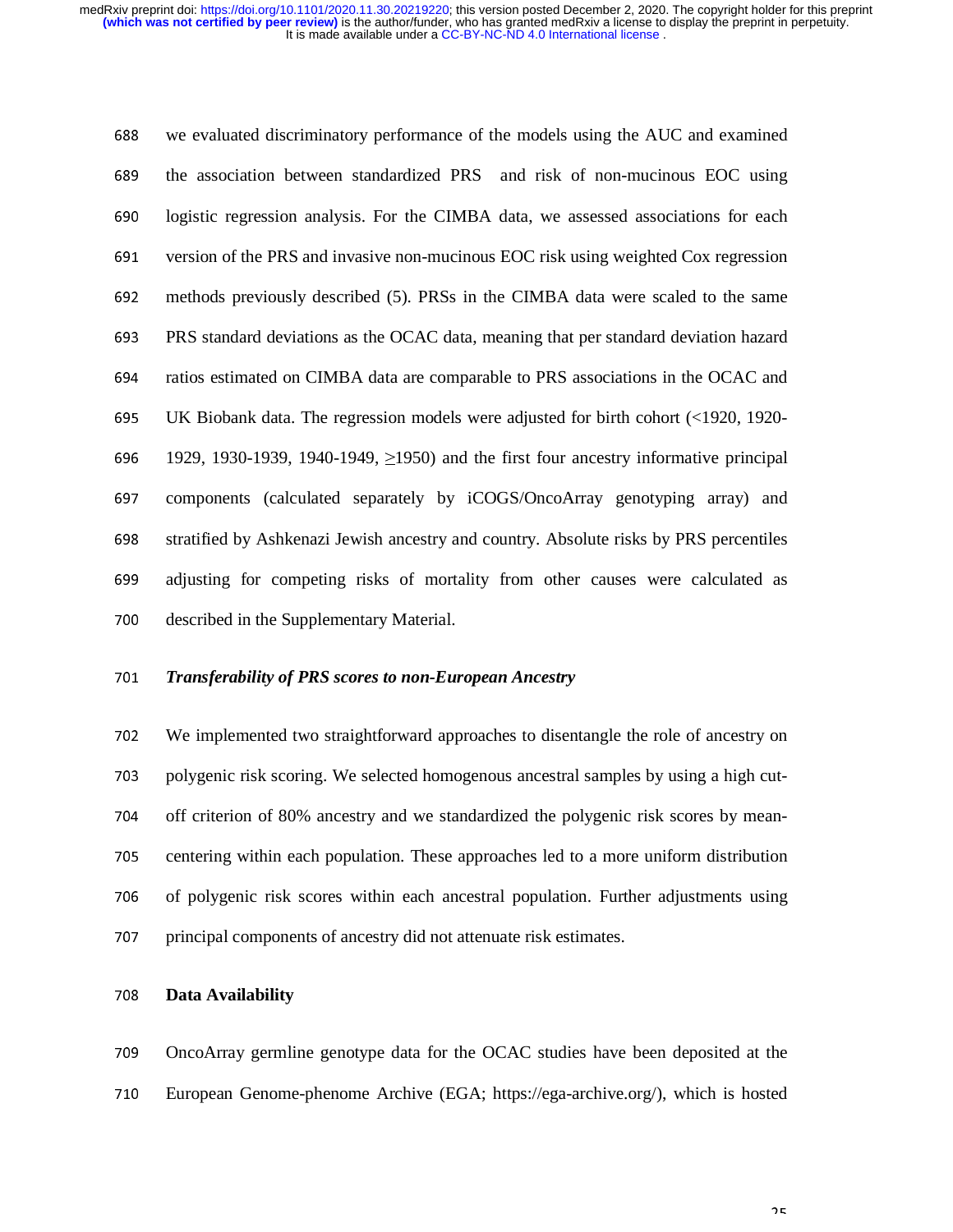<sup>688</sup>we evaluated discriminatory performance of the models using the AUC and examined 689 the association between standardized PRS and risk of non-mucinous EOC using 690 logistic regression analysis. For the CIMBA data, we assessed associations for each 691 version of the PRS and invasive non-mucinous EOC risk using weighted Cox regression <sup>692</sup>methods previously described (5). PRSs in the CIMBA data were scaled to the same <sup>693</sup>PRS standard deviations as the OCAC data, meaning that per standard deviation hazard <sup>694</sup>ratios estimated on CIMBA data are comparable to PRS associations in the OCAC and <sup>695</sup>UK Biobank data. The regression models were adjusted for birth cohort (<1920, 1920- 696 1929, 1930-1939, 1940-1949,  $\geq$ 1950) and the first four ancestry informative principal 697 components (calculated separately by iCOGS/OncoArray genotyping array) and <sup>698</sup>stratified by Ashkenazi Jewish ancestry and country. Absolute risks by PRS percentiles <sup>699</sup>adjusting for competing risks of mortality from other causes were calculated as 700 described in the Supplementary Material.

#### <sup>701</sup>*Transferability of PRS scores to non-European Ancestry*

<sup>702</sup>We implemented two straightforward approaches to disentangle the role of ancestry on 703 polygenic risk scoring. We selected homogenous ancestral samples by using a high cut-704 off criterion of 80% ancestry and we standardized the polygenic risk scores by mean-705 centering within each population. These approaches led to a more uniform distribution 706 of polygenic risk scores within each ancestral population. Further adjustments using 707 principal components of ancestry did not attenuate risk estimates.

## <sup>708</sup>**Data Availability**

709 OncoArray germline genotype data for the OCAC studies have been deposited at the <sup>710</sup>European Genome-phenome Archive (EGA; https://ega-archive.org/), which is hosted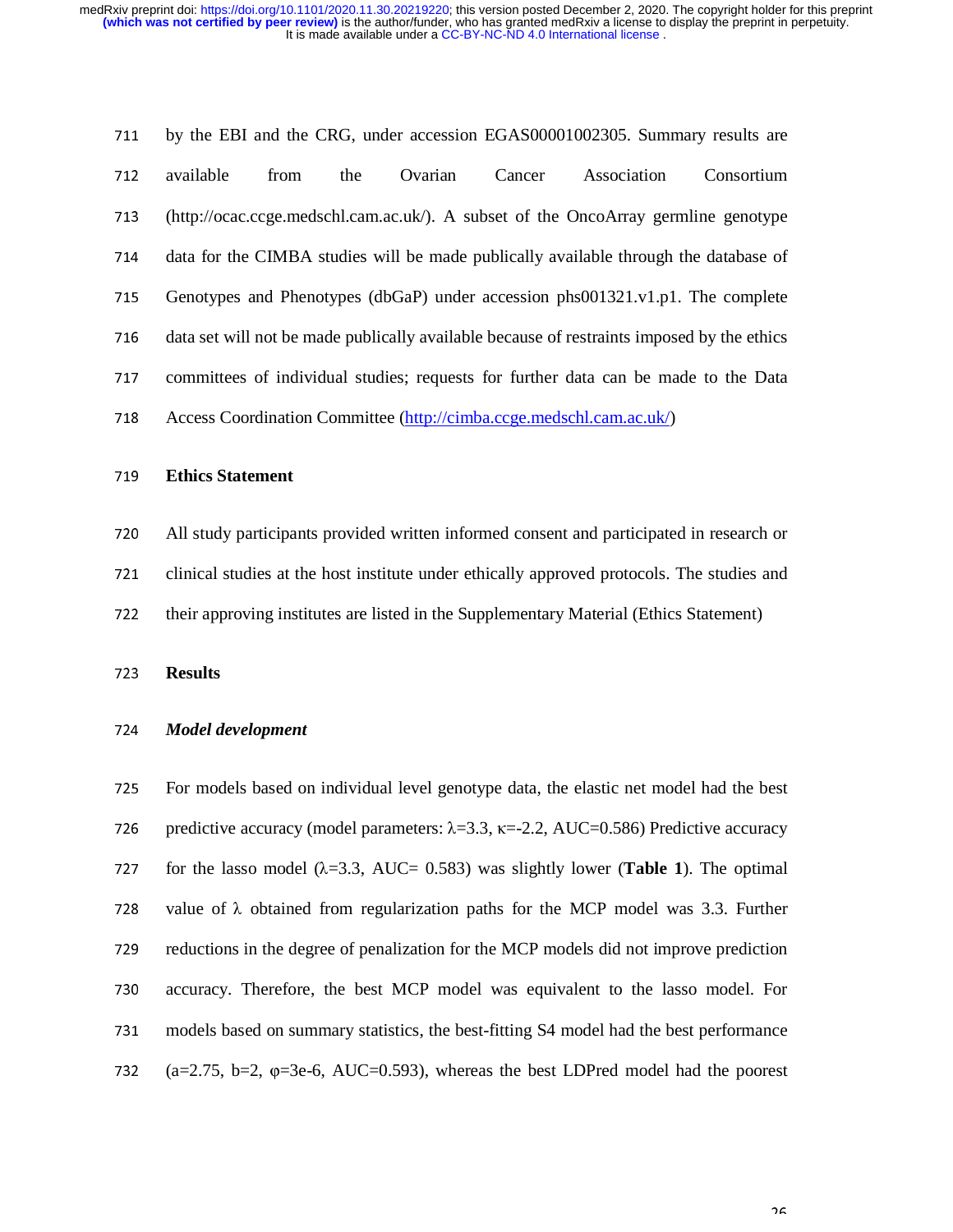711 by the EBI and the CRG, under accession EGAS00001002305. Summary results are 712 available from the Ovarian Cancer Association Consortium <sup>713</sup>(http://ocac.ccge.medschl.cam.ac.uk/). A subset of the OncoArray germline genotype 714 data for the CIMBA studies will be made publically available through the database of <sup>715</sup>Genotypes and Phenotypes (dbGaP) under accession phs001321.v1.p1. The complete 716 data set will not be made publically available because of restraints imposed by the ethics 717 committees of individual studies; requests for further data can be made to the Data 718 Access Coordination Committee (http://cimba.ccge.medschl.cam.ac.uk/)

#### <sup>719</sup>**Ethics Statement**

<sup>720</sup>All study participants provided written informed consent and participated in research or 721 clinical studies at the host institute under ethically approved protocols. The studies and

722 their approving institutes are listed in the Supplementary Material (Ethics Statement)

<sup>723</sup>**Results** 

#### <sup>724</sup>*Model development*

725 For models based on individual level genotype data, the elastic net model had the best 726 predictive accuracy (model parameters:  $\lambda = 3.3$ ,  $\kappa = -2.2$ , AUC=0.586) Predictive accuracy 727 for the lasso model  $(\lambda = 3.3, \text{ AUC} = 0.583)$  was slightly lower (**Table 1**). The optimal 728 value of  $\lambda$  obtained from regularization paths for the MCP model was 3.3. Further 729 reductions in the degree of penalization for the MCP models did not improve prediction 730 accuracy. Therefore, the best MCP model was equivalent to the lasso model. For 731 models based on summary statistics, the best-fitting S4 model had the best performance 732 (a=2.75, b=2,  $\varphi$ =3e-6, AUC=0.593), whereas the best LDPred model had the poorest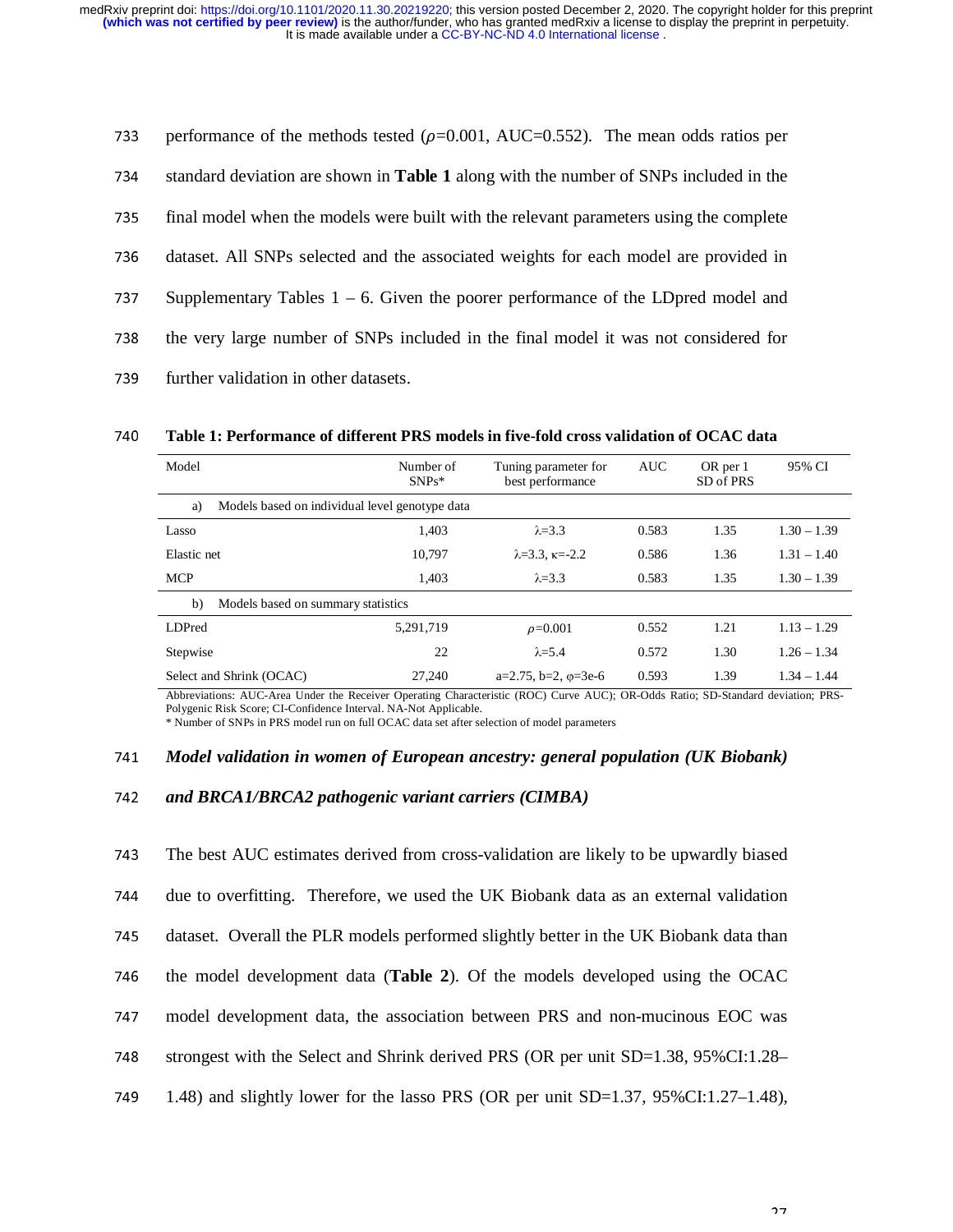| 733 | performance of the methods tested ( $\rho$ =0.001, AUC=0.552). The mean odds ratios per      |
|-----|----------------------------------------------------------------------------------------------|
| 734 | standard deviation are shown in <b>Table 1</b> along with the number of SNPs included in the |
| 735 | final model when the models were built with the relevant parameters using the complete       |
| 736 | dataset. All SNPs selected and the associated weights for each model are provided in         |
| 737 | Supplementary Tables $1 - 6$ . Given the poorer performance of the LD pred model and         |
| 738 | the very large number of SNPs included in the final model it was not considered for          |
| 739 | further validation in other datasets.                                                        |
|     |                                                                                              |

Model Number of SNPs\* Tuning parameter for best performance AUC OR per 1 SD of PRS 95% CI a) Models based on individual level genotype data Lasso 1,403  $\lambda = 3.3$  0.583 1.35 1.30 – 1.39 Elastic net 10,797  $\lambda = 3.3$ ,  $\kappa = -2.2$  0.586 1.36 1.31 – 1.40 MCP  $1,403$   $\lambda=3.3$  0.583  $1.35$   $1.30-1.39$ b) Models based on summary statistics LDPred 5,291,719  $\rho = 0.001$  0.552 1.21 1.13 – 1.29 Stepwise 22  $\lambda = 5.4$  0.572 1.30 1.26 – 1.34 Select and Shrink (OCAC) 27,240 a=2.75, b=2, φ=3e-6 0.593 1.39 1.34 – 1.44

<sup>740</sup>**Table 1: Performance of different PRS models in five-fold cross validation of OCAC data** 

Abbreviations: AUC-Area Under the Receiver Operating Characteristic (ROC) Curve AUC); OR-Odds Ratio; SD-Standard deviation; PRS-Polygenic Risk Score; CI-Confidence Interval. NA-Not Applicable.

\* Number of SNPs in PRS model run on full OCAC data set after selection of model parameters

#### <sup>741</sup>*Model validation in women of European ancestry: general population (UK Biobank)*

#### <sup>742</sup>*and BRCA1/BRCA2 pathogenic variant carriers (CIMBA)*

743 The best AUC estimates derived from cross-validation are likely to be upwardly biased <sup>744</sup>due to overfitting. Therefore, we used the UK Biobank data as an external validation 745 dataset. Overall the PLR models performed slightly better in the UK Biobank data than 746 the model development data (**Table 2**). Of the models developed using the OCAC <sup>747</sup>model development data, the association between PRS and non-mucinous EOC was 748 strongest with the Select and Shrink derived PRS (OR per unit SD=1.38, 95%CI:1.28– 749 1.48) and slightly lower for the lasso PRS (OR per unit SD=1.37, 95%CI:1.27–1.48),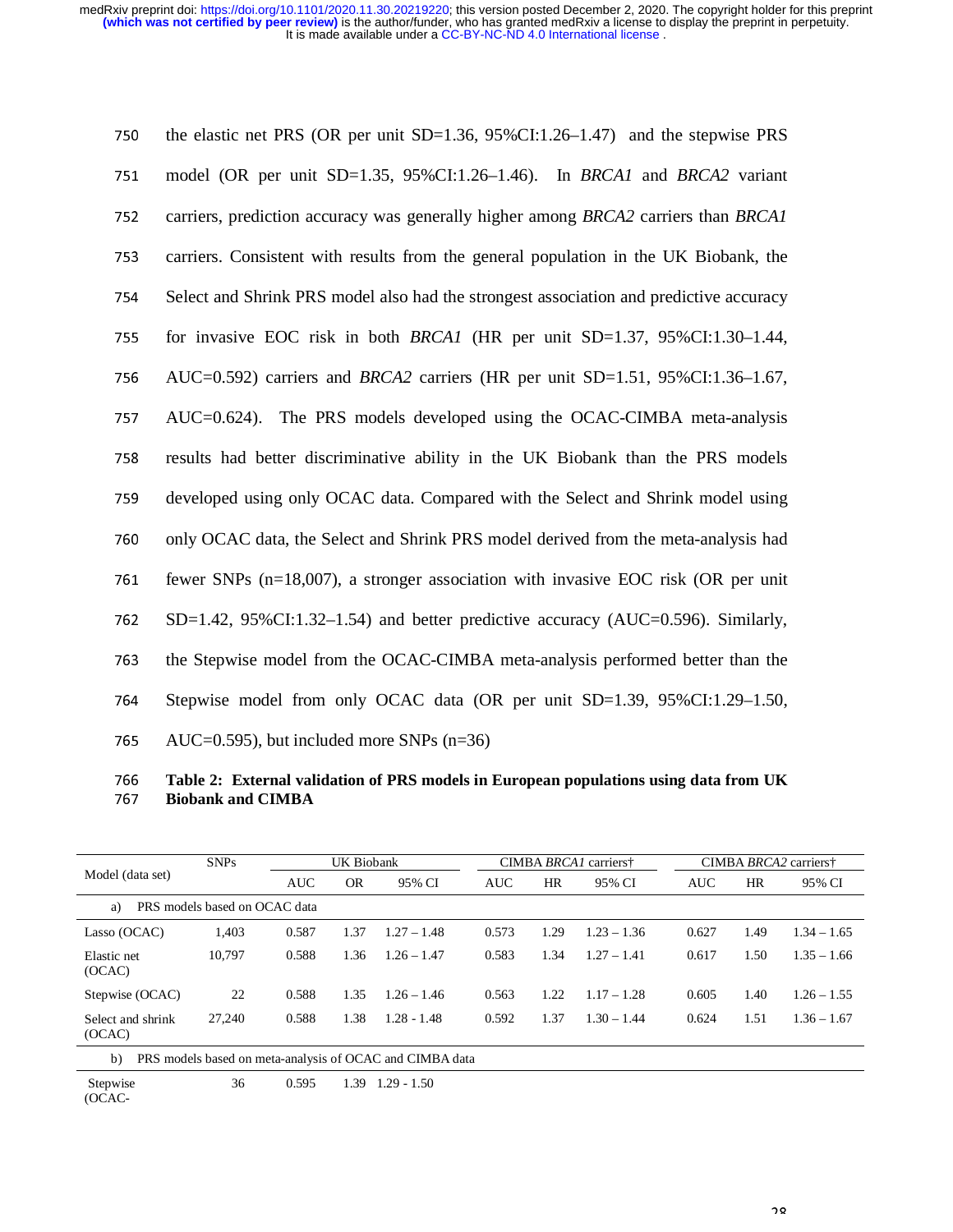| 750 | the elastic net PRS (OR per unit $SD=1.36$ , 95%CI:1.26–1.47) and the stepwise PRS     |
|-----|----------------------------------------------------------------------------------------|
| 751 | model (OR per unit SD=1.35, 95%CI:1.26–1.46). In <i>BRCA1</i> and <i>BRCA2</i> variant |
| 752 | carriers, prediction accuracy was generally higher among BRCA2 carriers than BRCA1     |
| 753 | carriers. Consistent with results from the general population in the UK Biobank, the   |
| 754 | Select and Shrink PRS model also had the strongest association and predictive accuracy |
| 755 | for invasive EOC risk in both <i>BRCA1</i> (HR per unit SD=1.37, 95%CI:1.30-1.44,      |
| 756 | AUC=0.592) carriers and <i>BRCA2</i> carriers (HR per unit SD=1.51, 95%CI:1.36–1.67,   |
| 757 | AUC=0.624). The PRS models developed using the OCAC-CIMBA meta-analysis                |
| 758 | results had better discriminative ability in the UK Biobank than the PRS models        |
| 759 | developed using only OCAC data. Compared with the Select and Shrink model using        |
| 760 | only OCAC data, the Select and Shrink PRS model derived from the meta-analysis had     |
| 761 | fewer SNPs $(n=18,007)$ , a stronger association with invasive EOC risk (OR per unit   |
| 762 | $SD=1.42$ , 95%CI:1.32–1.54) and better predictive accuracy (AUC=0.596). Similarly,    |
| 763 | the Stepwise model from the OCAC-CIMBA meta-analysis performed better than the         |
| 764 | Stepwise model from only OCAC data (OR per unit SD=1.39, 95%CI:1.29–1.50,              |
| 765 | AUC=0.595), but included more SNPs $(n=36)$                                            |
|     |                                                                                        |

<sup>766</sup>**Table 2: External validation of PRS models in European populations using data from UK**  <sup>767</sup>**Biobank and CIMBA** 

|                                                                          | <b>SNPs</b>                   |            | UK Biobank |               |            | CIMBA BRCA <sub>1</sub> carriers <sup>†</sup> |               |            | CIMBA BRCA2 carriers† |               |  |
|--------------------------------------------------------------------------|-------------------------------|------------|------------|---------------|------------|-----------------------------------------------|---------------|------------|-----------------------|---------------|--|
| Model (data set)                                                         |                               | <b>AUC</b> | <b>OR</b>  | 95% CI        | <b>AUC</b> | <b>HR</b>                                     | 95% CI        | <b>AUC</b> | HR                    | 95% CI        |  |
| a)                                                                       | PRS models based on OCAC data |            |            |               |            |                                               |               |            |                       |               |  |
| Lasso (OCAC)                                                             | 1,403                         | 0.587      | 1.37       | $1.27 - 1.48$ | 0.573      | 1.29                                          | $1.23 - 1.36$ | 0.627      | 1.49                  | $1.34 - 1.65$ |  |
| Elastic net<br>(OCAC)                                                    | 10.797                        | 0.588      | 1.36       | $1.26 - 1.47$ | 0.583      | 1.34                                          | $1.27 - 1.41$ | 0.617      | 1.50                  | $1.35 - 1.66$ |  |
| Stepwise (OCAC)                                                          | 22                            | 0.588      | 1.35       | $1.26 - 1.46$ | 0.563      | 1.22                                          | $1.17 - 1.28$ | 0.605      | 1.40                  | $1.26 - 1.55$ |  |
| Select and shrink<br>(OCAC)                                              | 27,240                        | 0.588      | 1.38       | $1.28 - 1.48$ | 0.592      | 1.37                                          | $1.30 - 1.44$ | 0.624      | 1.51                  | $1.36 - 1.67$ |  |
| PRS models based on meta-analysis of OCAC and CIMBA data<br>$\mathbf{b}$ |                               |            |            |               |            |                                               |               |            |                       |               |  |
| Stepwise<br>(OCAC-                                                       | 36                            | 0.595      | 1.39       | $1.29 - 1.50$ |            |                                               |               |            |                       |               |  |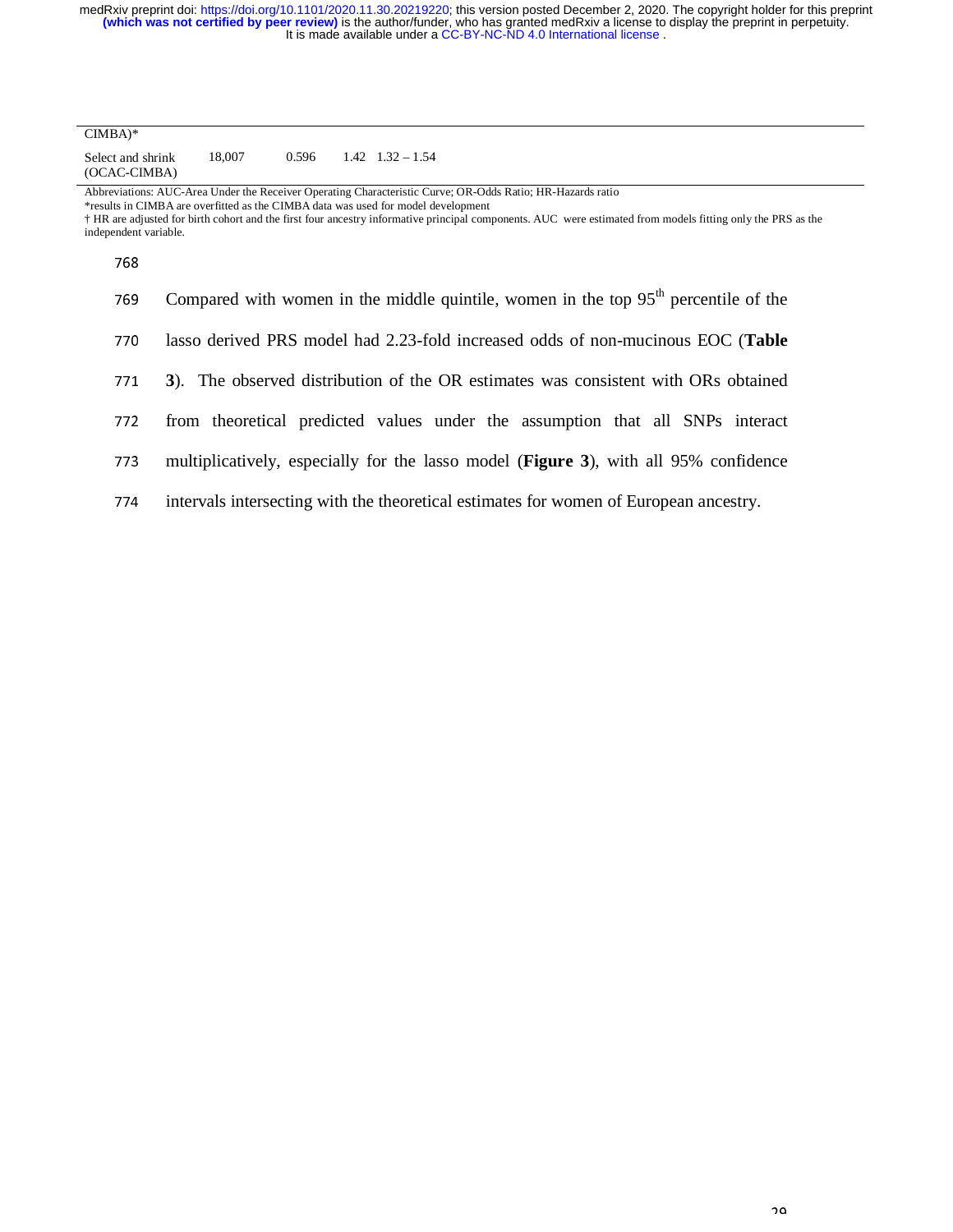| $CIMBA)*$                         |        |       |                          |
|-----------------------------------|--------|-------|--------------------------|
| Select and shrink<br>(OCAC-CIMBA) | 18.007 | 0.596 | $1.42 \quad 1.32 - 1.54$ |

Abbreviations: AUC-Area Under the Receiver Operating Characteristic Curve; OR-Odds Ratio; HR-Hazards ratio

\*results in CIMBA are overfitted as the CIMBA data was used for model development

† HR are adjusted for birth cohort and the first four ancestry informative principal components. AUC were estimated from models fitting only the PRS as the independent variable.

768

| 769 | Compared with women in the middle quintile, women in the top $95th$ percentile of the |
|-----|---------------------------------------------------------------------------------------|
| 770 | lasso derived PRS model had 2.23-fold increased odds of non-mucinous EOC (Table       |
| 771 | 3). The observed distribution of the OR estimates was consistent with ORs obtained    |
| 772 | from theoretical predicted values under the assumption that all SNPs interact         |
| 773 | multiplicatively, especially for the lasso model (Figure 3), with all 95% confidence  |
| 774 | intervals intersecting with the theoretical estimates for women of European ancestry. |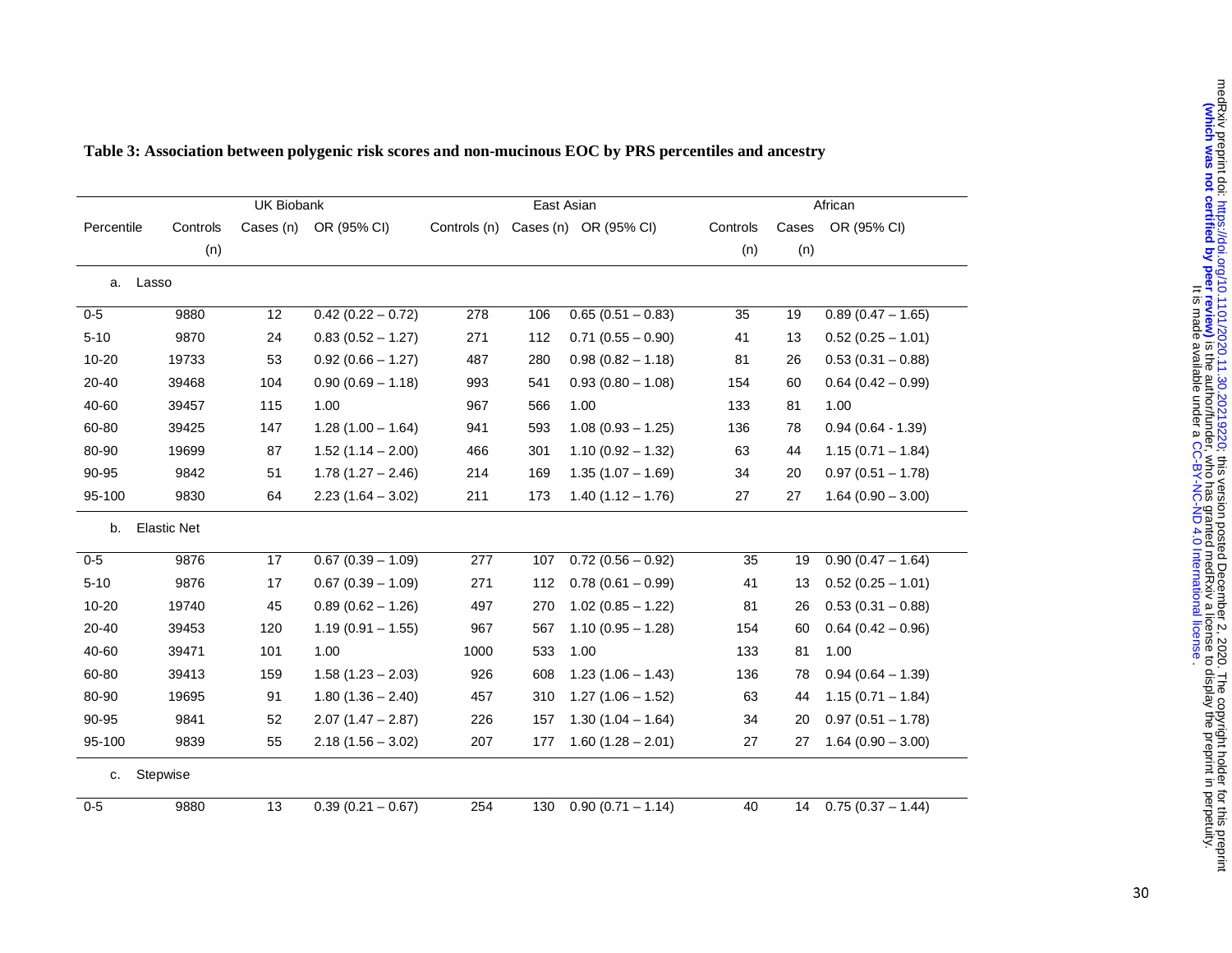|            |                    | UK Biobank |                     |              | East Asian |                       | African  |       |                     |
|------------|--------------------|------------|---------------------|--------------|------------|-----------------------|----------|-------|---------------------|
| Percentile | Controls           | Cases (n)  | OR (95% CI)         | Controls (n) |            | Cases (n) OR (95% CI) | Controls | Cases | OR (95% CI)         |
|            | (n)                |            |                     |              |            |                       | (n)      | (n)   |                     |
|            |                    |            |                     |              |            |                       |          |       |                     |
|            | a. Lasso           |            |                     |              |            |                       |          |       |                     |
| $0-5$      | 9880               | 12         | $0.42(0.22 - 0.72)$ | 278          | 106        | $0.65(0.51 - 0.83)$   | 35       | 19    | $0.89(0.47 - 1.65)$ |
| $5 - 10$   | 9870               | 24         | $0.83(0.52 - 1.27)$ | 271          | 112        | $0.71(0.55 - 0.90)$   | 41       | 13    | $0.52(0.25 - 1.01)$ |
| $10 - 20$  | 19733              | 53         | $0.92(0.66 - 1.27)$ | 487          | 280        | $0.98(0.82 - 1.18)$   | 81       | 26    | $0.53(0.31 - 0.88)$ |
| $20 - 40$  | 39468              | 104        | $0.90(0.69 - 1.18)$ | 993          | 541        | $0.93(0.80 - 1.08)$   | 154      | 60    | $0.64(0.42 - 0.99)$ |
| 40-60      | 39457              | 115        | 1.00                | 967          | 566        | 1.00                  | 133      | 81    | 1.00                |
| 60-80      | 39425              | 147        | $1.28(1.00 - 1.64)$ | 941          | 593        | $1.08(0.93 - 1.25)$   | 136      | 78    | $0.94(0.64 - 1.39)$ |
| 80-90      | 19699              | 87         | $1.52(1.14 - 2.00)$ | 466          | 301        | $1.10(0.92 - 1.32)$   | 63       | 44    | $1.15(0.71 - 1.84)$ |
| 90-95      | 9842               | 51         | $1.78(1.27 - 2.46)$ | 214          | 169        | $1.35(1.07 - 1.69)$   | 34       | 20    | $0.97(0.51 - 1.78)$ |
| 95-100     | 9830               | 64         | $2.23(1.64 - 3.02)$ | 211          | 173        | $1.40(1.12 - 1.76)$   | 27       | 27    | $1.64(0.90 - 3.00)$ |
| b.         | <b>Elastic Net</b> |            |                     |              |            |                       |          |       |                     |
| $0-5$      | 9876               | 17         | $0.67(0.39 - 1.09)$ | 277          | 107        | $0.72(0.56 - 0.92)$   | 35       | 19    | $0.90(0.47 - 1.64)$ |
| $5 - 10$   | 9876               | 17         | $0.67(0.39 - 1.09)$ | 271          | 112        | $0.78(0.61 - 0.99)$   | 41       | 13    | $0.52(0.25 - 1.01)$ |
| $10 - 20$  | 19740              | 45         | $0.89(0.62 - 1.26)$ | 497          | 270        | $1.02(0.85 - 1.22)$   | 81       | 26    | $0.53(0.31 - 0.88)$ |
| $20 - 40$  | 39453              | 120        | $1.19(0.91 - 1.55)$ | 967          | 567        | $1.10(0.95 - 1.28)$   | 154      | 60    | $0.64(0.42 - 0.96)$ |
| 40-60      | 39471              | 101        | 1.00                | 1000         | 533        | 1.00                  | 133      | 81    | 1.00                |
| 60-80      | 39413              | 159        | $1.58(1.23 - 2.03)$ | 926          | 608        | $1.23(1.06 - 1.43)$   | 136      | 78    | $0.94(0.64 - 1.39)$ |
| 80-90      | 19695              | 91         | $1.80(1.36 - 2.40)$ | 457          | 310        | $1.27(1.06 - 1.52)$   | 63       | 44    | $1.15(0.71 - 1.84)$ |
| 90-95      | 9841               | 52         | $2.07(1.47 - 2.87)$ | 226          | 157        | $1.30(1.04 - 1.64)$   | 34       | 20    | $0.97(0.51 - 1.78)$ |
| 95-100     | 9839               | 55         | $2.18(1.56 - 3.02)$ | 207          | 177        | $1.60(1.28 - 2.01)$   | 27       | 27    | $1.64(0.90 - 3.00)$ |
| c.         | Stepwise           |            |                     |              |            |                       |          |       |                     |
| $0 - 5$    | 9880               | 13         | $0.39(0.21 - 0.67)$ | 254          | 130        | $0.90(0.71 - 1.14)$   | 40       | 14    | $0.75(0.37 - 1.44)$ |

# **Table 3: Association between polygenic risk scores and non-mucinous EOC by PRS percentiles and ancestry**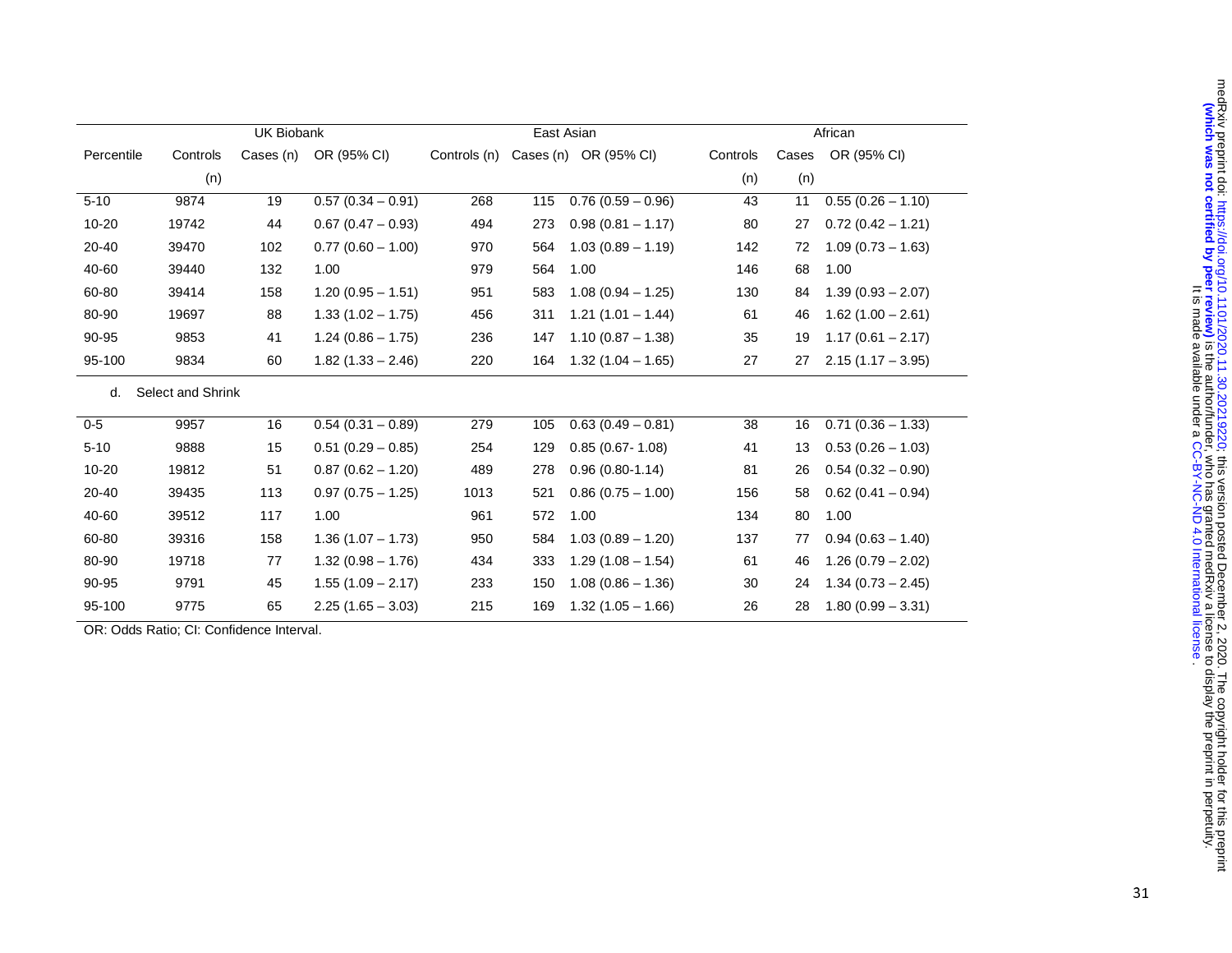|            |                   | <b>UK Biobank</b> |                     |              |     | East Asian            | African  |       |                     |  |
|------------|-------------------|-------------------|---------------------|--------------|-----|-----------------------|----------|-------|---------------------|--|
| Percentile | Controls          | Cases (n)         | OR (95% CI)         | Controls (n) |     | Cases (n) OR (95% CI) | Controls | Cases | OR (95% CI)         |  |
|            | (n)               |                   |                     |              |     |                       | (n)      | (n)   |                     |  |
| $5 - 10$   | 9874              | 19                | $0.57(0.34 - 0.91)$ | 268          | 115 | $0.76(0.59 - 0.96)$   | 43       | 11    | $0.55(0.26 - 1.10)$ |  |
| $10 - 20$  | 19742             | 44                | $0.67(0.47 - 0.93)$ | 494          | 273 | $0.98(0.81 - 1.17)$   | 80       | 27    | $0.72(0.42 - 1.21)$ |  |
| 20-40      | 39470             | 102               | $0.77(0.60 - 1.00)$ | 970          | 564 | $1.03(0.89 - 1.19)$   | 142      | 72    | $1.09(0.73 - 1.63)$ |  |
| 40-60      | 39440             | 132               | 1.00                | 979          | 564 | 1.00                  | 146      | 68    | 1.00                |  |
| 60-80      | 39414             | 158               | $1.20(0.95 - 1.51)$ | 951          | 583 | $1.08(0.94 - 1.25)$   | 130      | 84    | $1.39(0.93 - 2.07)$ |  |
| 80-90      | 19697             | 88                | $1.33(1.02 - 1.75)$ | 456          | 311 | $1.21(1.01 - 1.44)$   | 61       | 46    | $1.62(1.00 - 2.61)$ |  |
| 90-95      | 9853              | 41                | $1.24(0.86 - 1.75)$ | 236          | 147 | $1.10(0.87 - 1.38)$   | 35       | 19    | $1.17(0.61 - 2.17)$ |  |
| 95-100     | 9834              | 60                | $1.82(1.33 - 2.46)$ | 220          | 164 | $1.32(1.04 - 1.65)$   | 27       | 27    | $2.15(1.17 - 3.95)$ |  |
| d.         | Select and Shrink |                   |                     |              |     |                       |          |       |                     |  |
| $0-5$      | 9957              | 16                | $0.54(0.31 - 0.89)$ | 279          | 105 | $0.63(0.49 - 0.81)$   | 38       | 16    | $0.71(0.36 - 1.33)$ |  |
| $5 - 10$   | 9888              | 15                | $0.51(0.29 - 0.85)$ | 254          | 129 | $0.85(0.67 - 1.08)$   | 41       | 13    | $0.53(0.26 - 1.03)$ |  |
| 10-20      | 19812             | 51                | $0.87(0.62 - 1.20)$ | 489          | 278 | $0.96(0.80-1.14)$     | 81       | 26    | $0.54(0.32 - 0.90)$ |  |
| 20-40      | 39435             | 113               | $0.97(0.75 - 1.25)$ | 1013         | 521 | $0.86(0.75 - 1.00)$   | 156      | 58    | $0.62(0.41 - 0.94)$ |  |
| 40-60      | 39512             | 117               | 1.00                | 961          | 572 | 1.00                  | 134      | 80    | 1.00                |  |
| 60-80      | 39316             | 158               | $1.36(1.07 - 1.73)$ | 950          | 584 | $1.03(0.89 - 1.20)$   | 137      | 77    | $0.94(0.63 - 1.40)$ |  |
| 80-90      | 19718             | 77                | $1.32(0.98 - 1.76)$ | 434          | 333 | $1.29(1.08 - 1.54)$   | 61       | 46    | $1.26(0.79 - 2.02)$ |  |
| 90-95      | 9791              | 45                | $1.55(1.09 - 2.17)$ | 233          | 150 | $1.08(0.86 - 1.36)$   | 30       | 24    | $1.34(0.73 - 2.45)$ |  |
| 95-100     | 9775              | 65                | $2.25(1.65 - 3.03)$ | 215          | 169 | $1.32(1.05 - 1.66)$   | 26       | 28    | $1.80(0.99 - 3.31)$ |  |

OR: Odds Ratio; CI: Confidence Interval.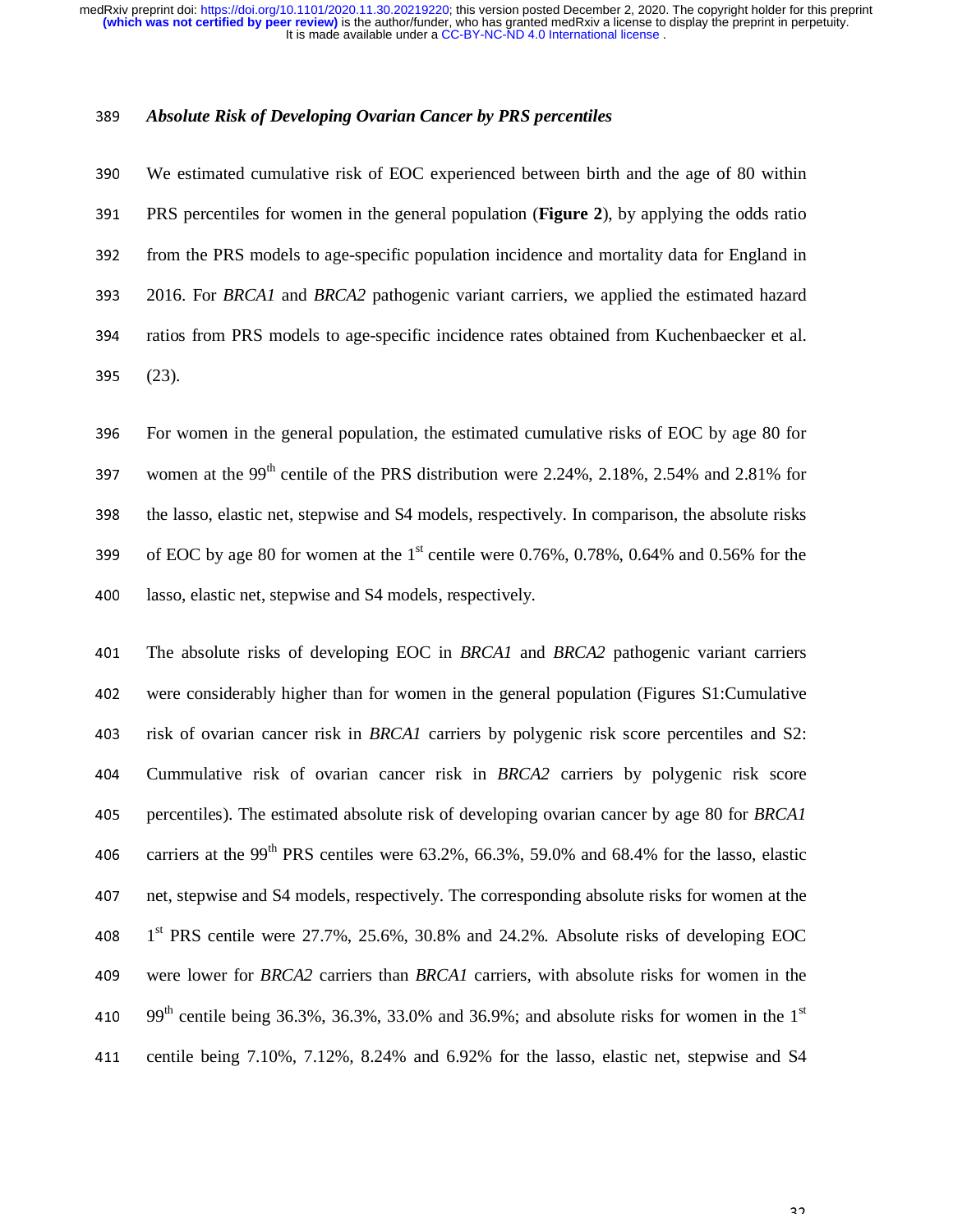#### <sup>389</sup>*Absolute Risk of Developing Ovarian Cancer by PRS percentiles*

<sup>390</sup>We estimated cumulative risk of EOC experienced between birth and the age of 80 within <sup>391</sup>PRS percentiles for women in the general population (**Figure 2**), by applying the odds ratio 392 from the PRS models to age-specific population incidence and mortality data for England in <sup>393</sup>2016. For *BRCA1* and *BRCA2* pathogenic variant carriers, we applied the estimated hazard 394 ratios from PRS models to age-specific incidence rates obtained from Kuchenbaecker et al. <sup>395</sup>(23).

396 For women in the general population, the estimated cumulative risks of EOC by age 80 for 397 women at the 99<sup>th</sup> centile of the PRS distribution were 2.24%, 2.18%, 2.54% and 2.81% for 398 the lasso, elastic net, stepwise and S4 models, respectively. In comparison, the absolute risks 399 of EOC by age 80 for women at the  $1<sup>st</sup>$  centile were 0.76%, 0.78%, 0.64% and 0.56% for the 400 lasso, elastic net, stepwise and S4 models, respectively.

<sup>401</sup>The absolute risks of developing EOC in *BRCA1* and *BRCA2* pathogenic variant carriers 402 were considerably higher than for women in the general population (Figures S1:Cumulative 403 risk of ovarian cancer risk in *BRCA1* carriers by polygenic risk score percentiles and S2: <sup>404</sup>Cummulative risk of ovarian cancer risk in *BRCA2* carriers by polygenic risk score <sup>405</sup>percentiles). The estimated absolute risk of developing ovarian cancer by age 80 for *BRCA1* 406 carriers at the 99<sup>th</sup> PRS centiles were 63.2%, 66.3%, 59.0% and 68.4% for the lasso, elastic 407 net, stepwise and S4 models, respectively. The corresponding absolute risks for women at the 408  $1<sup>st</sup> PRS$  centile were 27.7%, 25.6%, 30.8% and 24.2%. Absolute risks of developing EOC 409 were lower for *BRCA2* carriers than *BRCA1* carriers, with absolute risks for women in the 410 99<sup>th</sup> centile being 36.3%, 36.3%, 33.0% and 36.9%; and absolute risks for women in the 1<sup>st</sup> 411 centile being 7.10%, 7.12%, 8.24% and 6.92% for the lasso, elastic net, stepwise and S4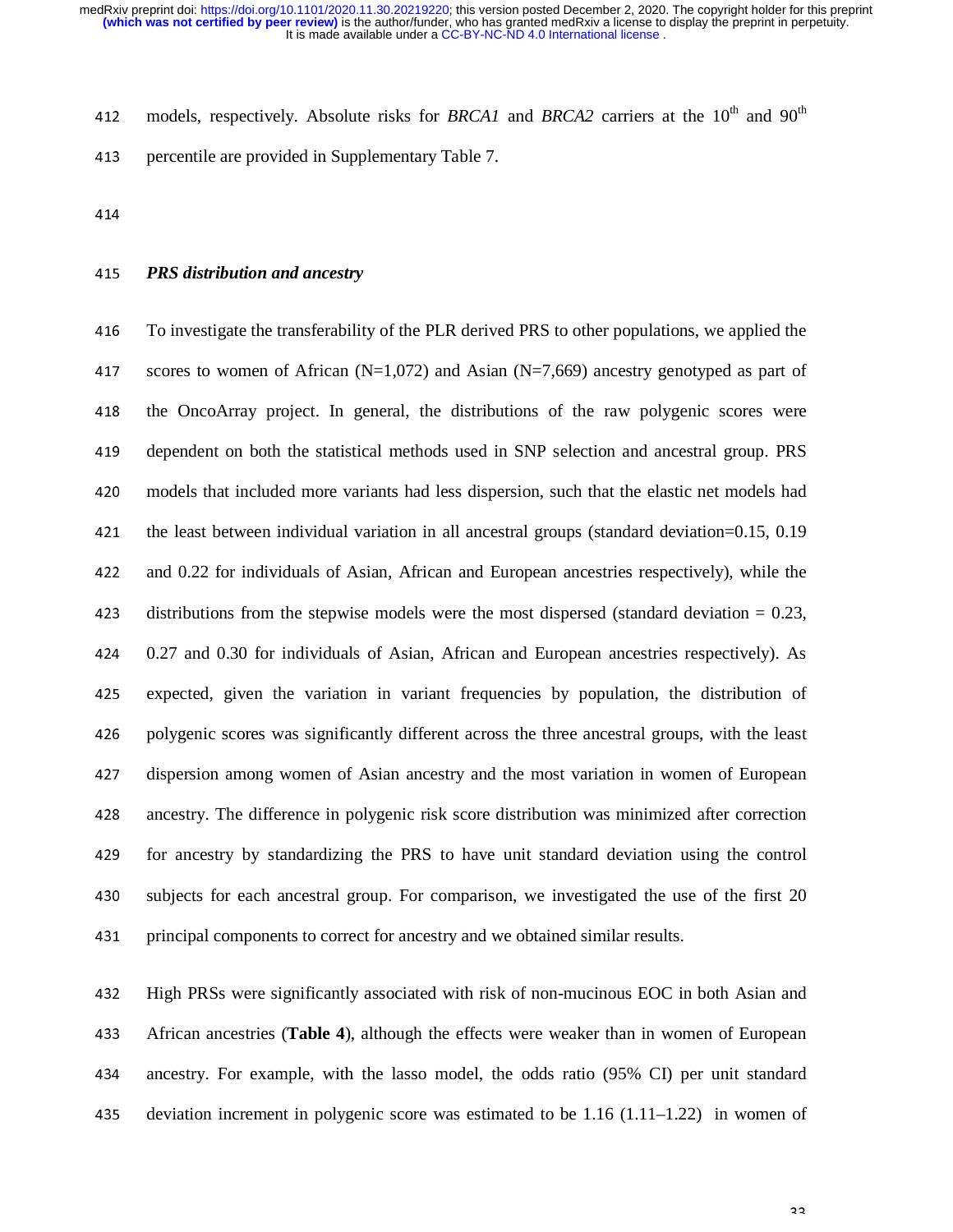412 models, respectively. Absolute risks for *BRCA1* and *BRCA2* carriers at the  $10^{th}$  and  $90^{th}$ 413 percentile are provided in Supplementary Table 7.

414

# <sup>415</sup>*PRS distribution and ancestry*

<sup>416</sup>To investigate the transferability of the PLR derived PRS to other populations, we applied the 417 scores to women of African  $(N=1,072)$  and Asian  $(N=7,669)$  ancestry genotyped as part of 418 the OncoArray project. In general, the distributions of the raw polygenic scores were 419 dependent on both the statistical methods used in SNP selection and ancestral group. PRS 420 models that included more variants had less dispersion, such that the elastic net models had 421 the least between individual variation in all ancestral groups (standard deviation= $0.15, 0.19$ ) 422 and 0.22 for individuals of Asian, African and European ancestries respectively), while the 423 distributions from the stepwise models were the most dispersed (standard deviation  $= 0.23$ , <sup>424</sup>0.27 and 0.30 for individuals of Asian, African and European ancestries respectively). As 425 expected, given the variation in variant frequencies by population, the distribution of 426 polygenic scores was significantly different across the three ancestral groups, with the least 427 dispersion among women of Asian ancestry and the most variation in women of European 428 ancestry. The difference in polygenic risk score distribution was minimized after correction 429 for ancestry by standardizing the PRS to have unit standard deviation using the control 430 subjects for each ancestral group. For comparison, we investigated the use of the first 20 <sup>431</sup>principal components to correct for ancestry and we obtained similar results.

432 High PRSs were significantly associated with risk of non-mucinous EOC in both Asian and <sup>433</sup>African ancestries (**Table 4**), although the effects were weaker than in women of European <sup>434</sup>ancestry. For example, with the lasso model, the odds ratio (95% CI) per unit standard 435 deviation increment in polygenic score was estimated to be  $1.16$  (1.11–1.22) in women of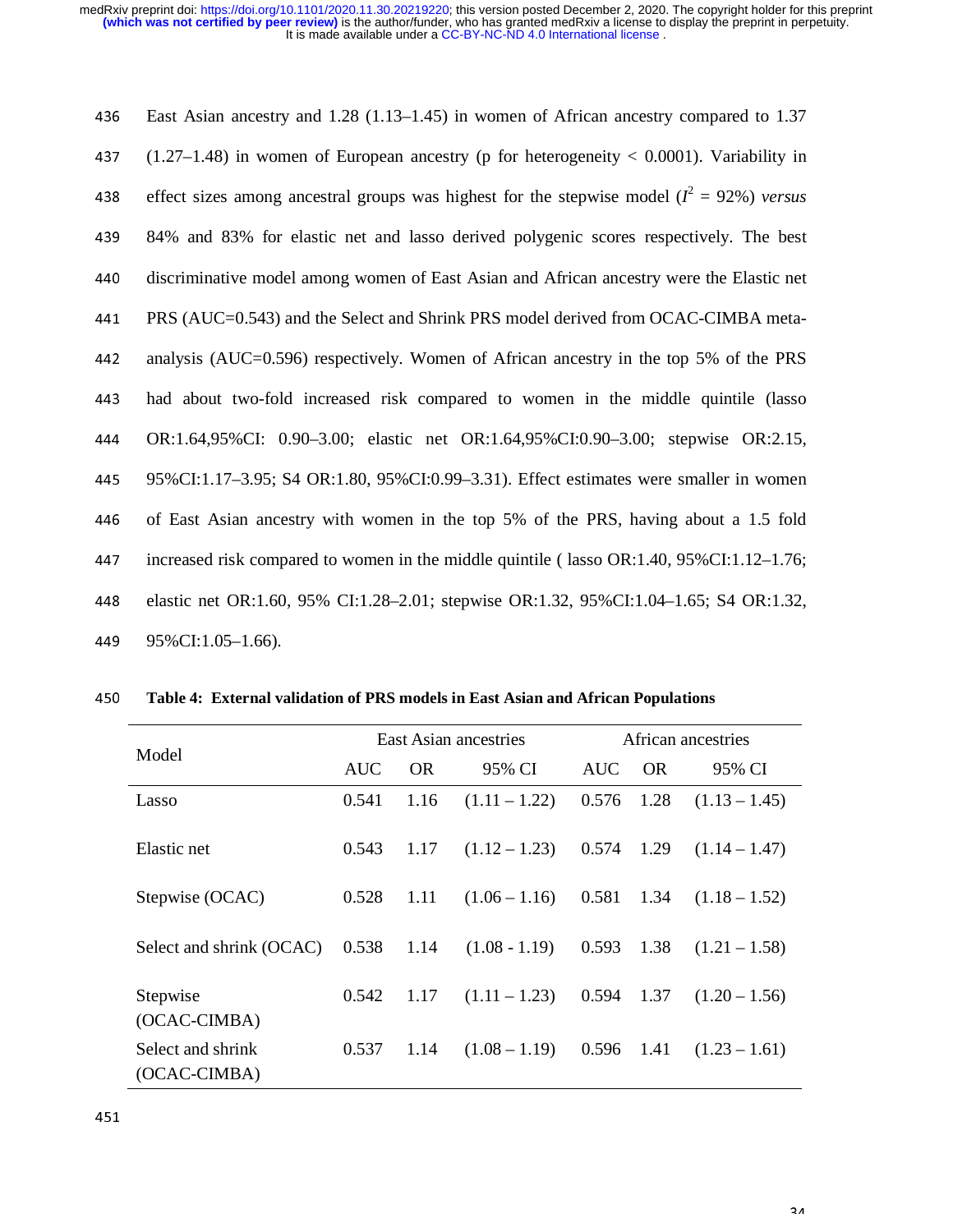| 436 | East Asian ancestry and $1.28$ (1.13–1.45) in women of African ancestry compared to 1.37       |
|-----|------------------------------------------------------------------------------------------------|
| 437 | $(1.27-1.48)$ in women of European ancestry (p for heterogeneity $< 0.0001$ ). Variability in  |
| 438 | effect sizes among ancestral groups was highest for the stepwise model ( $l^2 = 92\%$ ) versus |
| 439 | 84% and 83% for elastic net and lasso derived polygenic scores respectively. The best          |
| 440 | discriminative model among women of East Asian and African ancestry were the Elastic net       |
| 441 | PRS (AUC=0.543) and the Select and Shrink PRS model derived from OCAC-CIMBA meta-              |
| 442 | analysis (AUC=0.596) respectively. Women of African ancestry in the top 5% of the PRS          |
| 443 | had about two-fold increased risk compared to women in the middle quintile (lasso              |
| 444 | OR:1.64,95%CI: 0.90–3.00; elastic net OR:1.64,95%CI:0.90–3.00; stepwise OR:2.15,               |
| 445 | 95%CI:1.17-3.95; S4 OR:1.80, 95%CI:0.99-3.31). Effect estimates were smaller in women          |
| 446 | of East Asian ancestry with women in the top 5% of the PRS, having about a 1.5 fold            |
| 447 | increased risk compared to women in the middle quintile (lasso OR:1.40, 95%CI:1.12–1.76;       |
| 448 | elastic net OR:1.60, 95% CI:1.28–2.01; stepwise OR:1.32, 95%CI:1.04–1.65; S4 OR:1.32,          |
| 449 | 95%CI:1.05-1.66).                                                                              |

| 450 |  |  |  |  | Table 4: External validation of PRS models in East Asian and African Populations |
|-----|--|--|--|--|----------------------------------------------------------------------------------|
|     |  |  |  |  |                                                                                  |

| Model                             |            |           | East Asian ancestries | African ancestries |           |                 |  |
|-----------------------------------|------------|-----------|-----------------------|--------------------|-----------|-----------------|--|
|                                   | <b>AUC</b> | <b>OR</b> | 95% CI                | <b>AUC</b>         | <b>OR</b> | 95% CI          |  |
| Lasso                             | 0.541      | 1.16      | $(1.11 - 1.22)$       | 0.576              | 1.28      | $(1.13 - 1.45)$ |  |
| Elastic net                       | 0.543      | 1.17      | $(1.12 - 1.23)$       | 0.574              | 1.29      | $(1.14 - 1.47)$ |  |
| Stepwise (OCAC)                   | 0.528      | 1.11      | $(1.06 - 1.16)$       | 0.581              | 1.34      | $(1.18 - 1.52)$ |  |
| Select and shrink (OCAC)          | 0.538      | 1.14      | $(1.08 - 1.19)$       | 0.593              | 1.38      | $(1.21 - 1.58)$ |  |
| Stepwise<br>(OCAC-CIMBA)          | 0.542      | 1.17      | $(1.11 - 1.23)$       | 0.594              | 1.37      | $(1.20 - 1.56)$ |  |
| Select and shrink<br>(OCAC-CIMBA) | 0.537      | 1.14      | $(1.08 - 1.19)$       | 0.596              | 1.41      | $(1.23 - 1.61)$ |  |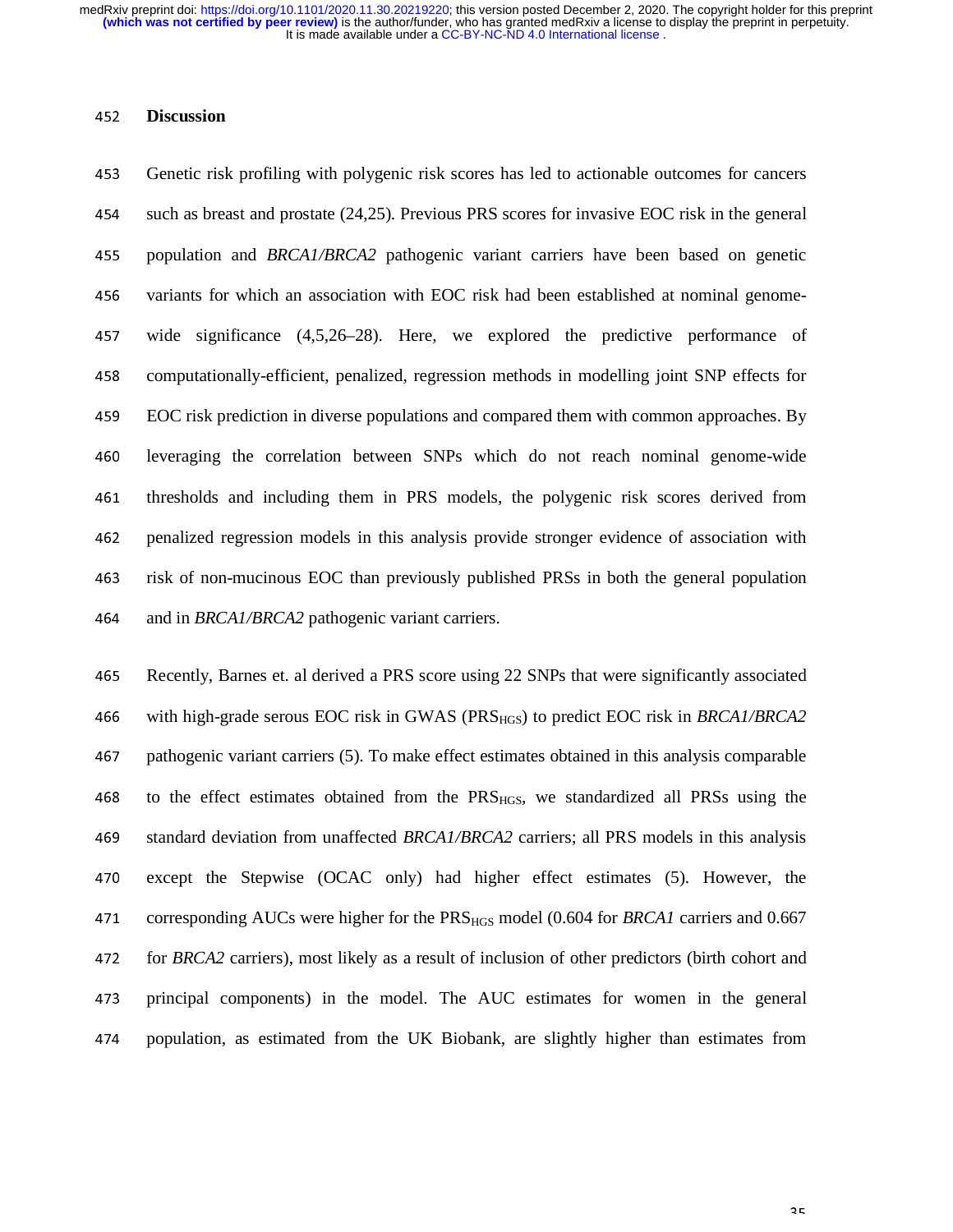### <sup>452</sup>**Discussion**

453 Genetic risk profiling with polygenic risk scores has led to actionable outcomes for cancers 454 such as breast and prostate (24,25). Previous PRS scores for invasive EOC risk in the general 455 population and *BRCA1/BRCA2* pathogenic variant carriers have been based on genetic 456 variants for which an association with EOC risk had been established at nominal genome-457 wide significance (4,5,26–28). Here, we explored the predictive performance of 458 computationally-efficient, penalized, regression methods in modelling joint SNP effects for <sup>459</sup>EOC risk prediction in diverse populations and compared them with common approaches. By <sup>460</sup>leveraging the correlation between SNPs which do not reach nominal genome-wide 461 thresholds and including them in PRS models, the polygenic risk scores derived from <sup>462</sup>penalized regression models in this analysis provide stronger evidence of association with <sup>463</sup>risk of non-mucinous EOC than previously published PRSs in both the general population 464 and in *BRCA1/BRCA2* pathogenic variant carriers.

465 Recently, Barnes et. al derived a PRS score using 22 SNPs that were significantly associated <sup>466</sup>with high-grade serous EOC risk in GWAS (PRSHGS) to predict EOC risk in *BRCA1/BRCA2* <sup>467</sup>pathogenic variant carriers (5). To make effect estimates obtained in this analysis comparable 468 to the effect estimates obtained from the  $PRS_{HGS}$ , we standardized all PRSs using the <sup>469</sup>standard deviation from unaffected *BRCA1/BRCA2* carriers; all PRS models in this analysis 470 except the Stepwise (OCAC only) had higher effect estimates (5). However, the <sup>471</sup>corresponding AUCs were higher for the PRSHGS model (0.604 for *BRCA1* carriers and 0.667 472 for *BRCA2* carriers), most likely as a result of inclusion of other predictors (birth cohort and 473 principal components) in the model. The AUC estimates for women in the general 474 population, as estimated from the UK Biobank, are slightly higher than estimates from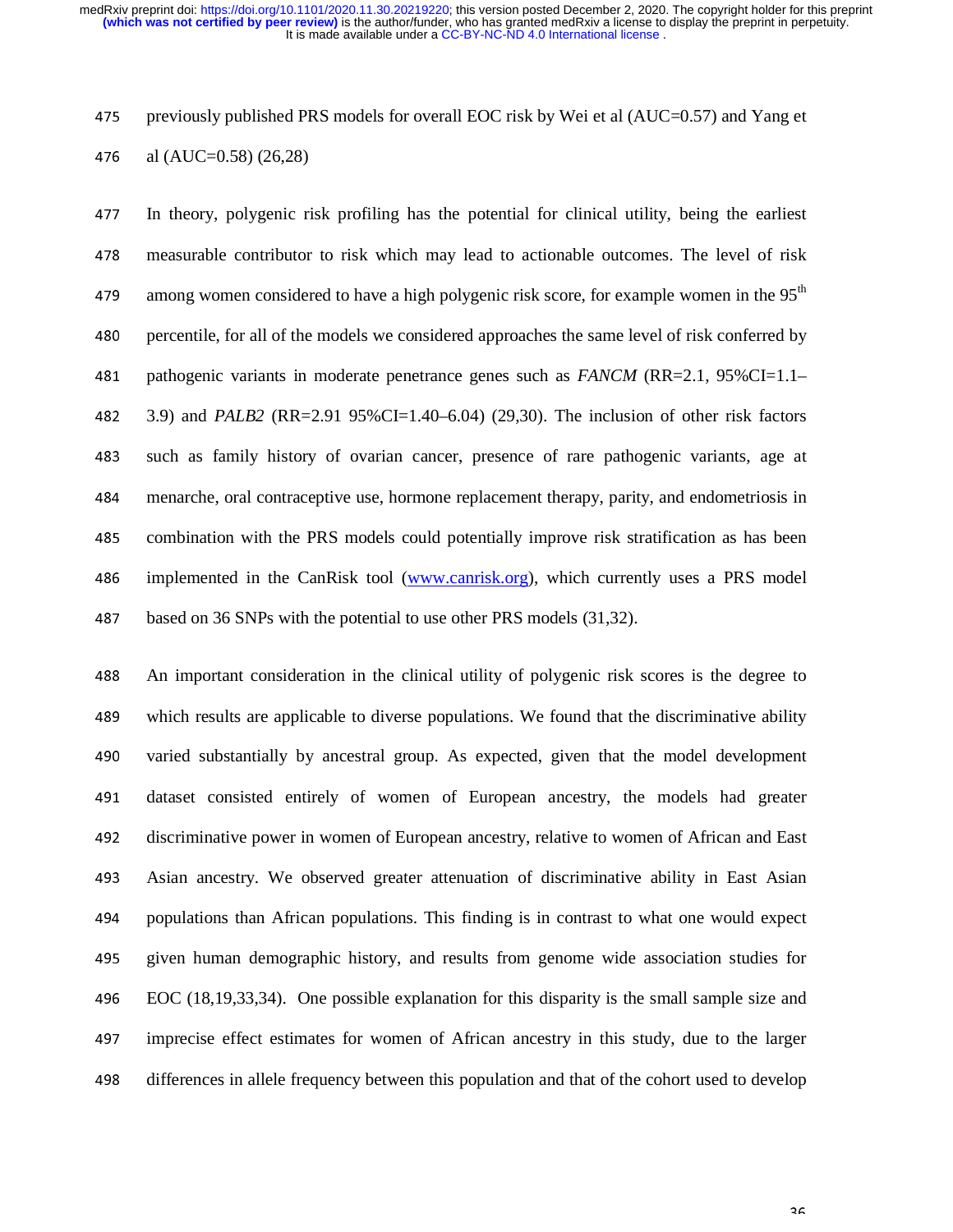475 previously published PRS models for overall EOC risk by Wei et al  $(AUC=0.57)$  and Yang et 476 al (AUC=0.58)  $(26,28)$ 

<sup>477</sup>In theory, polygenic risk profiling has the potential for clinical utility, being the earliest 478 measurable contributor to risk which may lead to actionable outcomes. The level of risk among women considered to have a high polygenic risk score, for example women in the  $95<sup>th</sup>$ 480 percentile, for all of the models we considered approaches the same level of risk conferred by 481 pathogenic variants in moderate penetrance genes such as *FANCM* (RR=2.1, 95%CI=1.1– <sup>482</sup>3.9) and *PALB2* (RR=2.91 95%CI=1.40–6.04) (29,30). The inclusion of other risk factors 483 such as family history of ovarian cancer, presence of rare pathogenic variants, age at <sup>484</sup>menarche, oral contraceptive use, hormone replacement therapy, parity, and endometriosis in 485 combination with the PRS models could potentially improve risk stratification as has been 486 implemented in the CanRisk tool (www.canrisk.org), which currently uses a PRS model 487 based on 36 SNPs with the potential to use other PRS models (31,32).

<sup>488</sup>An important consideration in the clinical utility of polygenic risk scores is the degree to 489 which results are applicable to diverse populations. We found that the discriminative ability 490 varied substantially by ancestral group. As expected, given that the model development 491 dataset consisted entirely of women of European ancestry, the models had greater 492 discriminative power in women of European ancestry, relative to women of African and East 493 Asian ancestry. We observed greater attenuation of discriminative ability in East Asian 494 populations than African populations. This finding is in contrast to what one would expect 495 given human demographic history, and results from genome wide association studies for <sup>496</sup>EOC (18,19,33,34). One possible explanation for this disparity is the small sample size and <sup>497</sup>imprecise effect estimates for women of African ancestry in this study, due to the larger 498 differences in allele frequency between this population and that of the cohort used to develop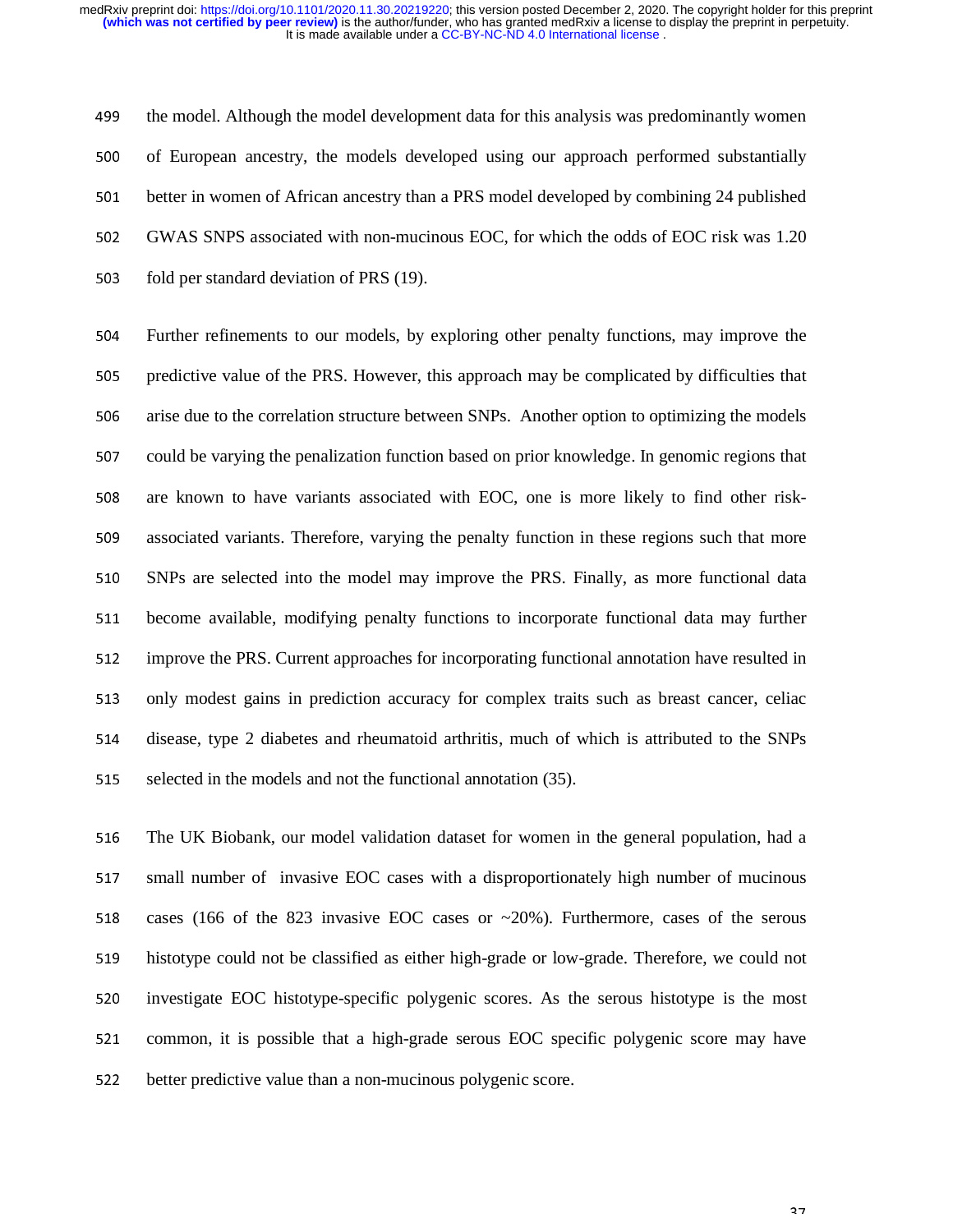499 the model. Although the model development data for this analysis was predominantly women 500 of European ancestry, the models developed using our approach performed substantially 501 better in women of African ancestry than a PRS model developed by combining 24 published 502 GWAS SNPS associated with non-mucinous EOC, for which the odds of EOC risk was 1.20 503 fold per standard deviation of PRS (19).

504 Further refinements to our models, by exploring other penalty functions, may improve the 505 predictive value of the PRS. However, this approach may be complicated by difficulties that 506 arise due to the correlation structure between SNPs. Another option to optimizing the models 507 could be varying the penalization function based on prior knowledge. In genomic regions that 508 are known to have variants associated with EOC, one is more likely to find other risk-509 associated variants. Therefore, varying the penalty function in these regions such that more <sup>510</sup>SNPs are selected into the model may improve the PRS. Finally, as more functional data 511 become available, modifying penalty functions to incorporate functional data may further 512 improve the PRS. Current approaches for incorporating functional annotation have resulted in 513 only modest gains in prediction accuracy for complex traits such as breast cancer, celiac 514 disease, type 2 diabetes and rheumatoid arthritis, much of which is attributed to the SNPs 515 selected in the models and not the functional annotation (35).

516 The UK Biobank, our model validation dataset for women in the general population, had a 517 small number of invasive EOC cases with a disproportionately high number of mucinous 518 cases (166 of the 823 invasive EOC cases or  $\sim$  20%). Furthermore, cases of the serous 519 histotype could not be classified as either high-grade or low-grade. Therefore, we could not 520 investigate EOC histotype-specific polygenic scores. As the serous histotype is the most 521 common, it is possible that a high-grade serous EOC specific polygenic score may have 522 better predictive value than a non-mucinous polygenic score.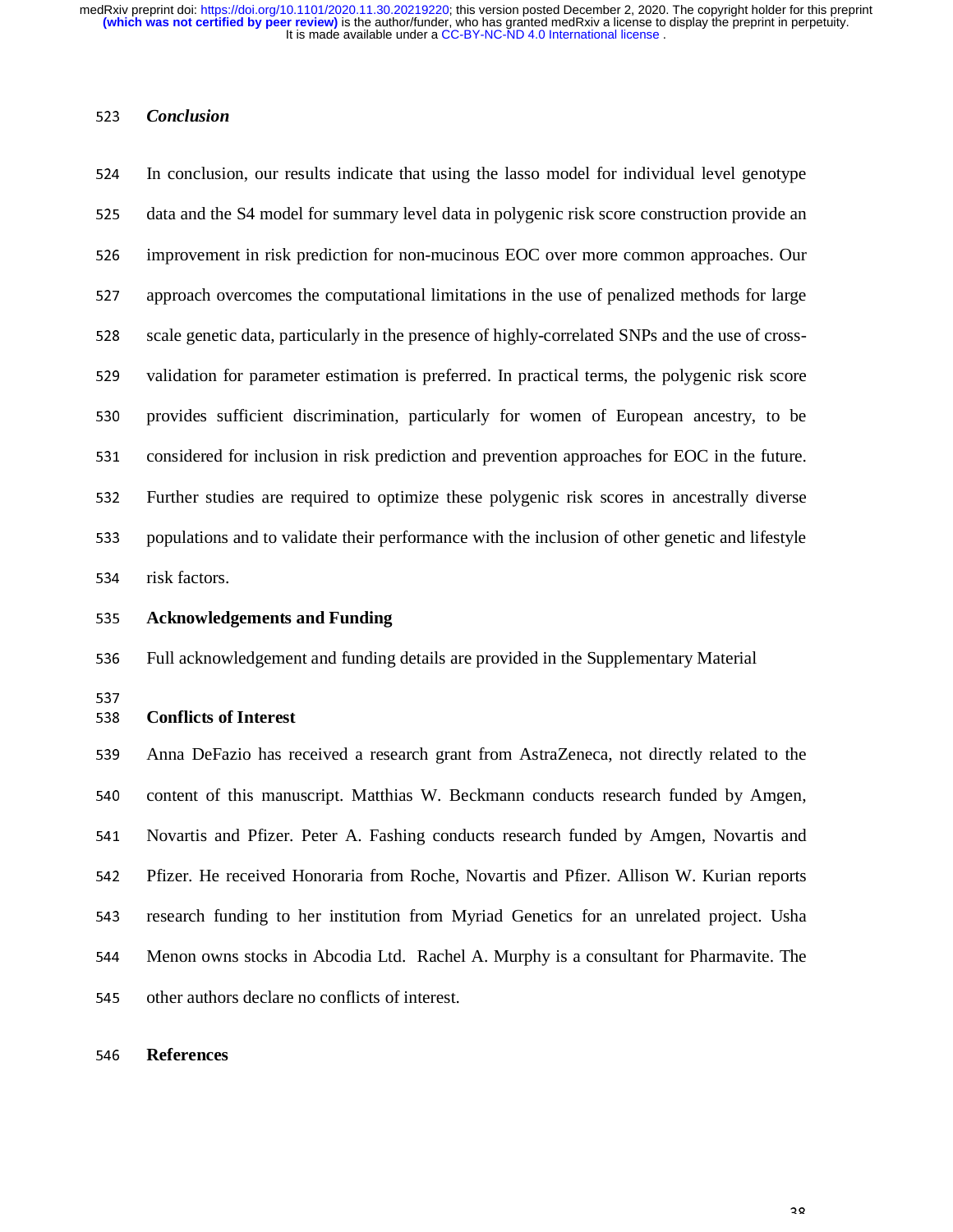#### <sup>523</sup>*Conclusion*

524 In conclusion, our results indicate that using the lasso model for individual level genotype 525 data and the S4 model for summary level data in polygenic risk score construction provide an 526 improvement in risk prediction for non-mucinous EOC over more common approaches. Our 527 approach overcomes the computational limitations in the use of penalized methods for large 528 scale genetic data, particularly in the presence of highly-correlated SNPs and the use of cross-529 validation for parameter estimation is preferred. In practical terms, the polygenic risk score 530 provides sufficient discrimination, particularly for women of European ancestry, to be 531 considered for inclusion in risk prediction and prevention approaches for EOC in the future. <sup>532</sup>Further studies are required to optimize these polygenic risk scores in ancestrally diverse 533 populations and to validate their performance with the inclusion of other genetic and lifestyle 534 risk factors.

<sup>535</sup>**Acknowledgements and Funding** 

536 Full acknowledgement and funding details are provided in the Supplementary Material

537<br>538

# <sup>538</sup>**Conflicts of Interest**

<sup>539</sup>Anna DeFazio has received a research grant from AstraZeneca, not directly related to the 540 content of this manuscript. Matthias W. Beckmann conducts research funded by Amgen, 541 Novartis and Pfizer. Peter A. Fashing conducts research funded by Amgen, Novartis and 542 Pfizer. He received Honoraria from Roche, Novartis and Pfizer. Allison W. Kurian reports 543 research funding to her institution from Myriad Genetics for an unrelated project. Usha <sup>544</sup>Menon owns stocks in Abcodia Ltd. Rachel A. Murphy is a consultant for Pharmavite. The 545 other authors declare no conflicts of interest.

#### <sup>546</sup>**References**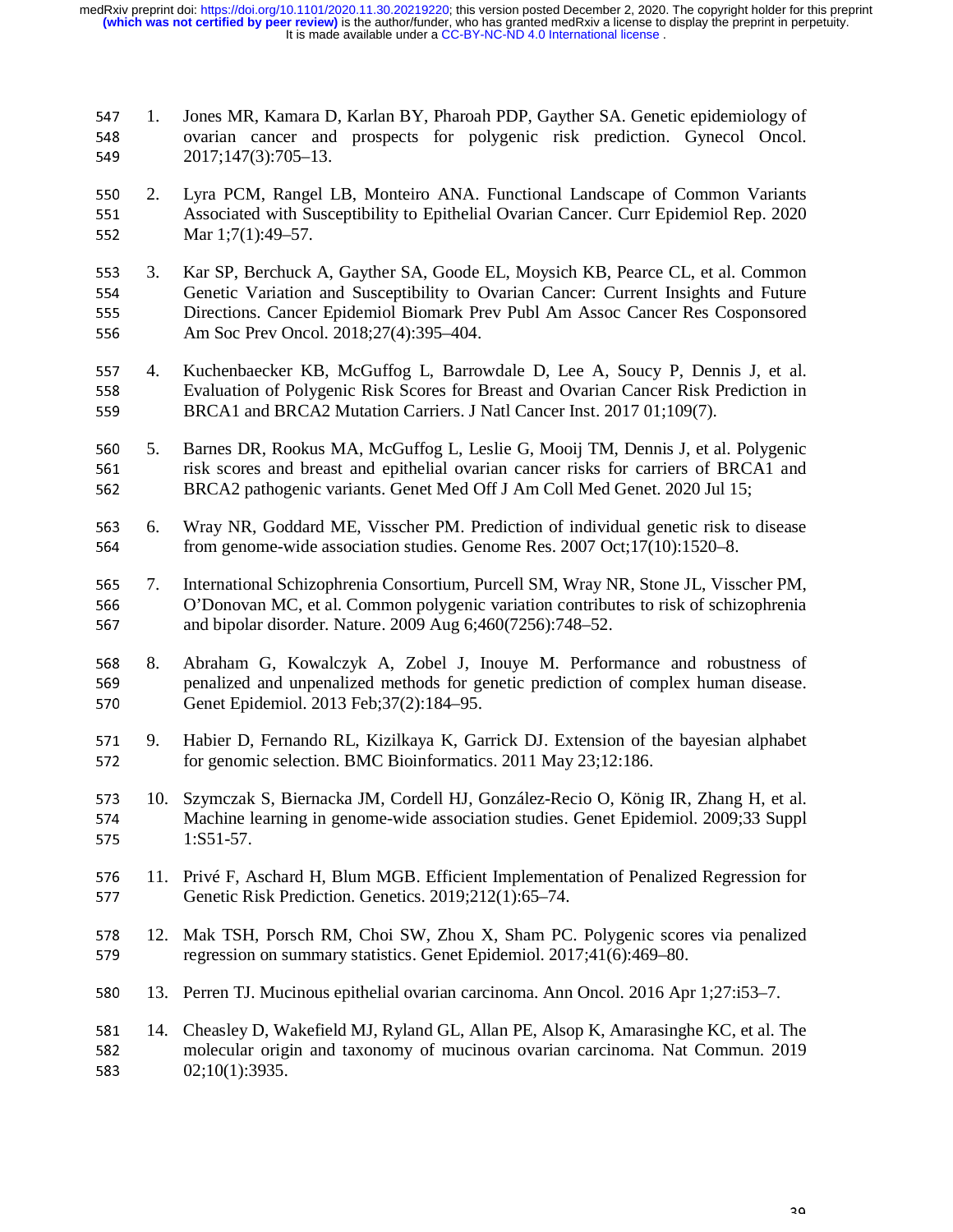547 1. Jones MR, Kamara D, Karlan BY, Pharoah PDP, Gayther SA. Genetic epidemiology of ovarian cancer and prospects for polygenic risk prediction. Gynecol Oncol. 548 ovarian cancer and prospects for polygenic risk prediction. Gynecol Oncol.<br>549 2017:147(3):705–13. <sup>549</sup>2017;147(3):705–13.

- 550 2. Lyra PCM, Rangel LB, Monteiro ANA. Functional Landscape of Common Variants<br>551 Associated with Susceptibility to Epithelial Ovarian Cancer. Curr Epidemiol Rep. 2020 551 Associated with Susceptibility to Epithelial Ovarian Cancer. Curr Epidemiol Rep. 2020<br>552 Mar 1:7(1):49–57. Mar 1;7(1):49–57.
- 553 3. Kar SP, Berchuck A, Gayther SA, Goode EL, Moysich KB, Pearce CL, et al. Common Genetic Variation and Susceptibility to Ovarian Cancer: Current Insights and Future 554 Genetic Variation and Susceptibility to Ovarian Cancer: Current Insights and Future<br>555 Directions. Cancer Epidemiol Biomark Prev Publ Am Assoc Cancer Res Cosponsored 555 Directions. Cancer Epidemiol Biomark Prev Publ Am Assoc Cancer Res Cosponsored<br>556 Am Soc Prev Oncol. 2018:27(4):395–404. Am Soc Prev Oncol. 2018;27(4):395-404.
- 557 4. Kuchenbaecker KB, McGuffog L, Barrowdale D, Lee A, Soucy P, Dennis J, et al.<br>558 Evaluation of Polygenic Risk Scores for Breast and Ovarian Cancer Risk Prediction in 558 Evaluation of Polygenic Risk Scores for Breast and Ovarian Cancer Risk Prediction in<br>559 BRCA1 and BRCA2 Mutation Carriers. J Natl Cancer Inst. 2017 01;109(7). <sup>559</sup>BRCA1 and BRCA2 Mutation Carriers. J Natl Cancer Inst. 2017 01;109(7).
- 560 5. Barnes DR, Rookus MA, McGuffog L, Leslie G, Mooij TM, Dennis J, et al. Polygenic<br>561 six scores and breast and epithelial ovarian cancer risks for carriers of BRCA1 and 561 risk scores and breast and epithelial ovarian cancer risks for carriers of BRCA1 and 562 BRCA2 pathogenic variants. Genet Med Off J Am Coll Med Genet. 2020 Jul 15; <sup>562</sup>BRCA2 pathogenic variants. Genet Med Off J Am Coll Med Genet. 2020 Jul 15;
- 563 6. Wray NR, Goddard ME, Visscher PM. Prediction of individual genetic risk to disease from genome-wide association studies. Genome Res. 2007 Oct:17(10):1520–8. from genome-wide association studies. Genome Res. 2007 Oct;17(10):1520–8.
- 565 7. International Schizophrenia Consortium, Purcell SM, Wray NR, Stone JL, Visscher PM,<br>566 0'Donovan MC, et al. Common polygenic variation contributes to risk of schizophrenia 566 <sup>O'</sup>Donovan MC, et al. Common polygenic variation contributes to risk of schizophrenia<br>567 and bipolar disorder. Nature. 2009 Aug 6:460(7256):748–52. and bipolar disorder. Nature. 2009 Aug 6;460(7256):748–52.
- <sup>568</sup>8. Abraham G, Kowalczyk A, Zobel J, Inouye M. Performance and robustness of 569 penalized and unpenalized methods for genetic prediction of complex human disease.<br>570 Genet Epidemiol. 2013 Feb:37(2):184–95. <sup>570</sup>Genet Epidemiol. 2013 Feb;37(2):184–95.
- 571 9. Habier D, Fernando RL, Kizilkaya K, Garrick DJ. Extension of the bayesian alphabet for genomic selection. BMC Bioinformatics. 2011 May 23:12:186. for genomic selection. BMC Bioinformatics. 2011 May 23;12:186.
- 573 10. Szymczak S, Biernacka JM, Cordell HJ, González-Recio O, König IR, Zhang H, et al.<br>574 Machine learning in genome-wide association studies. Genet Epidemiol. 2009:33 Suppl 574 Machine learning in genome-wide association studies. Genet Epidemiol. 2009;33 Suppl<br>575 1:S51-57. <sup>575</sup>1:S51-57.
- 576 11. Privé F, Aschard H, Blum MGB. Efficient Implementation of Penalized Regression for<br>577 Genetic Risk Prediction. Genetics. 2019;212(1):65–74. <sup>577</sup>Genetic Risk Prediction. Genetics. 2019;212(1):65–74.
- 578 12. Mak TSH, Porsch RM, Choi SW, Zhou X, Sham PC. Polygenic scores via penalized regression on summary statistics. Genet Epidemiol. 2017:41(6):469–80. <sup>579</sup>regression on summary statistics. Genet Epidemiol. 2017;41(6):469–80.
- <sup>580</sup>13. Perren TJ. Mucinous epithelial ovarian carcinoma. Ann Oncol. 2016 Apr 1;27:i53–7.
- 581 14. Cheasley D, Wakefield MJ, Ryland GL, Allan PE, Alsop K, Amarasinghe KC, et al. The<br>582 molecular origin and taxonomy of mucinous ovarian carcinoma. Nat Commun. 2019 582 molecular origin and taxonomy of mucinous ovarian carcinoma. Nat Commun. 2019<br>583 02;10(1):3935.  $02;10(1):3935.$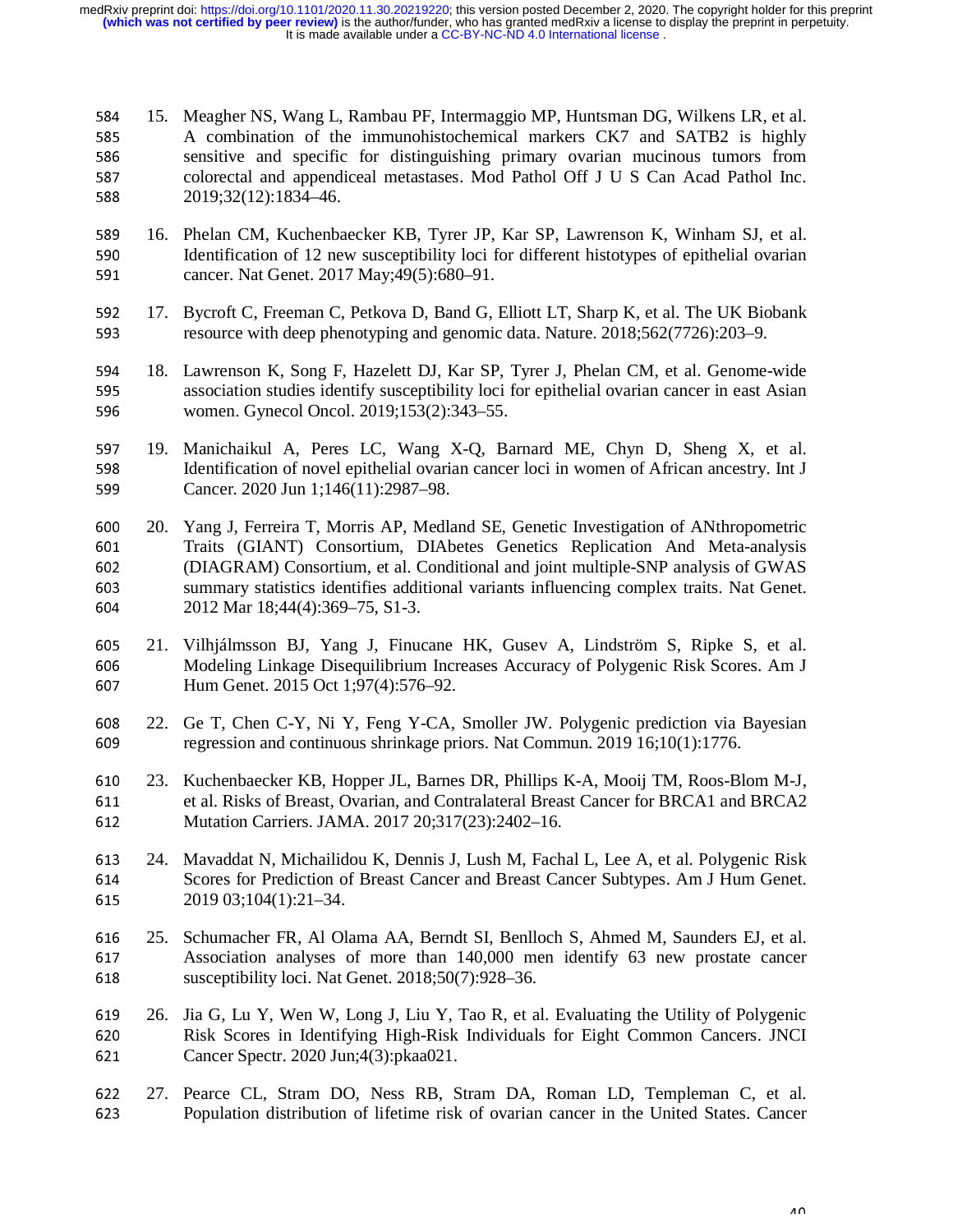584 15. Meagher NS, Wang L, Rambau PF, Intermaggio MP, Huntsman DG, Wilkens LR, et al.<br>585 A combination of the immunohistochemical markers CK7 and SATB2 is highly 585 A combination of the immunohistochemical markers CK7 and SATB2 is highly<br>586 sensitive and specific for distinguishing primary ovarian mucinous tumors from 586 sensitive and specific for distinguishing primary ovarian mucinous tumors from<br>587 colorectal and appendiceal metastases. Mod Pathol Off J U S Can Acad Pathol Inc. 587 colorectal and appendiceal metastases. Mod Pathol Off J U S Can Acad Pathol Inc.<br>588 2019:32(12):1834–46. <sup>588</sup>2019;32(12):1834–46.

- 589 16. Phelan CM, Kuchenbaecker KB, Tyrer JP, Kar SP, Lawrenson K, Winham SJ, et al.<br>590 Identification of 12 new susceptibility loci for different histotypes of epithelial ovarian 590 Identification of 12 new susceptibility loci for different histotypes of epithelial ovarian cancer. Nat Genet. 2017 May:49(5):680–91. <sup>591</sup>cancer. Nat Genet. 2017 May;49(5):680–91.
- 592 17. Bycroft C, Freeman C, Petkova D, Band G, Elliott LT, Sharp K, et al. The UK Biobank<br>593 resource with deep phenotyping and genomic data. Nature. 2018:562(7726):203–9. resource with deep phenotyping and genomic data. Nature. 2018;562(7726):203–9.
- 594 18. Lawrenson K, Song F, Hazelett DJ, Kar SP, Tyrer J, Phelan CM, et al. Genome-wide<br>595 sespective association studies identify susceptibility loci for epithelial ovarian cancer in east Asian 595 ssociation studies identify susceptibility loci for epithelial ovarian cancer in east Asian<br>596 women. Gynecol Oncol. 2019:153(2):343–55. women. Gynecol Oncol. 2019;153(2):343–55.
- 597 19. Manichaikul A, Peres LC, Wang X-Q, Barnard ME, Chyn D, Sheng X, et al.<br>598 Identification of novel epithelial ovarian cancer loci in women of African ancestry. Int J 598 Identification of novel epithelial ovarian cancer loci in women of African ancestry. Int J<br>599 Cancer. 2020 Jun 1;146(11):2987–98. Cancer. 2020 Jun 1;146(11):2987–98.
- <sup>600</sup>20. Yang J, Ferreira T, Morris AP, Medland SE, Genetic Investigation of ANthropometric 601 Traits (GIANT) Consortium, DIAbetes Genetics Replication And Meta-analysis<br>602 (DIAGRAM) Consortium et al. Conditional and ioint multiple-SNP analysis of GWAS <sup>602</sup>(DIAGRAM) Consortium, et al. Conditional and joint multiple-SNP analysis of GWAS 603 summary statistics identifies additional variants influencing complex traits. Nat Genet.<br>604 2012 Mar 18:44(4):369–75, S1-3. <sup>604</sup>2012 Mar 18;44(4):369–75, S1-3.
- <sup>605</sup>21. Vilhjálmsson BJ, Yang J, Finucane HK, Gusev A, Lindström S, Ripke S, et al. 606 Modeling Linkage Disequilibrium Increases Accuracy of Polygenic Risk Scores. Am J<br>607 Hum Genet. 2015 Oct 1;97(4):576–92. Hum Genet. 2015 Oct 1;97(4):576–92.
- 608 22. Ge T, Chen C-Y, Ni Y, Feng Y-CA, Smoller JW. Polygenic prediction via Bayesian regression and continuous shrinkage priors. Nat Commun. 2019 16:10(1):1776. regression and continuous shrinkage priors. Nat Commun. 2019 16;10(1):1776.
- 610 23. Kuchenbaecker KB, Hopper JL, Barnes DR, Phillips K-A, Mooij TM, Roos-Blom M-J,<br>611 et al. Risks of Breast, Ovarian, and Contralateral Breast Cancer for BRCA1 and BRCA2 611 et al. Risks of Breast, Ovarian, and Contralateral Breast Cancer for BRCA1 and BRCA2<br>612 Mutation Carriers. JAMA. 2017 20:317(23):2402–16. Mutation Carriers. JAMA. 2017 20;317(23):2402-16.
- 613 24. Mavaddat N, Michailidou K, Dennis J, Lush M, Fachal L, Lee A, et al. Polygenic Risk<br>614 Scores for Prediction of Breast Cancer and Breast Cancer Subtypes. Am J Hum Genet. 614 Scores for Prediction of Breast Cancer and Breast Cancer Subtypes. Am J Hum Genet.<br>615 2019 03:104(1):21–34. <sup>615</sup>2019 03;104(1):21–34.
- 616 25. Schumacher FR, Al Olama AA, Berndt SI, Benlloch S, Ahmed M, Saunders EJ, et al.<br>617 63 Association analyses of more than 140,000 men identify 63 new prostate cancer 617 Association analyses of more than 140,000 men identify 63 new prostate cancer<br>618 susceptibility loci. Nat Genet. 2018:50(7):928–36. susceptibility loci. Nat Genet.  $2018;50(7):928-36$ .
- 619 26. Jia G, Lu Y, Wen W, Long J, Liu Y, Tao R, et al. Evaluating the Utility of Polygenic<br>620 Risk Scores in Identifying High-Risk Individuals for Eight Common Cancers. JNCI 620 Risk Scores in Identifying High-Risk Individuals for Eight Common Cancers. JNCI<br>621 Cancer Spectr. 2020 Jun:4(3):pkaa021. Cancer Spectr. 2020 Jun;4(3):pkaa021.
- 622 27. Pearce CL, Stram DO, Ness RB, Stram DA, Roman LD, Templeman C, et al.<br>623 Population distribution of lifetime risk of ovarian cancer in the United States. Cancer <sup>623</sup>Population distribution of lifetime risk of ovarian cancer in the United States. Cancer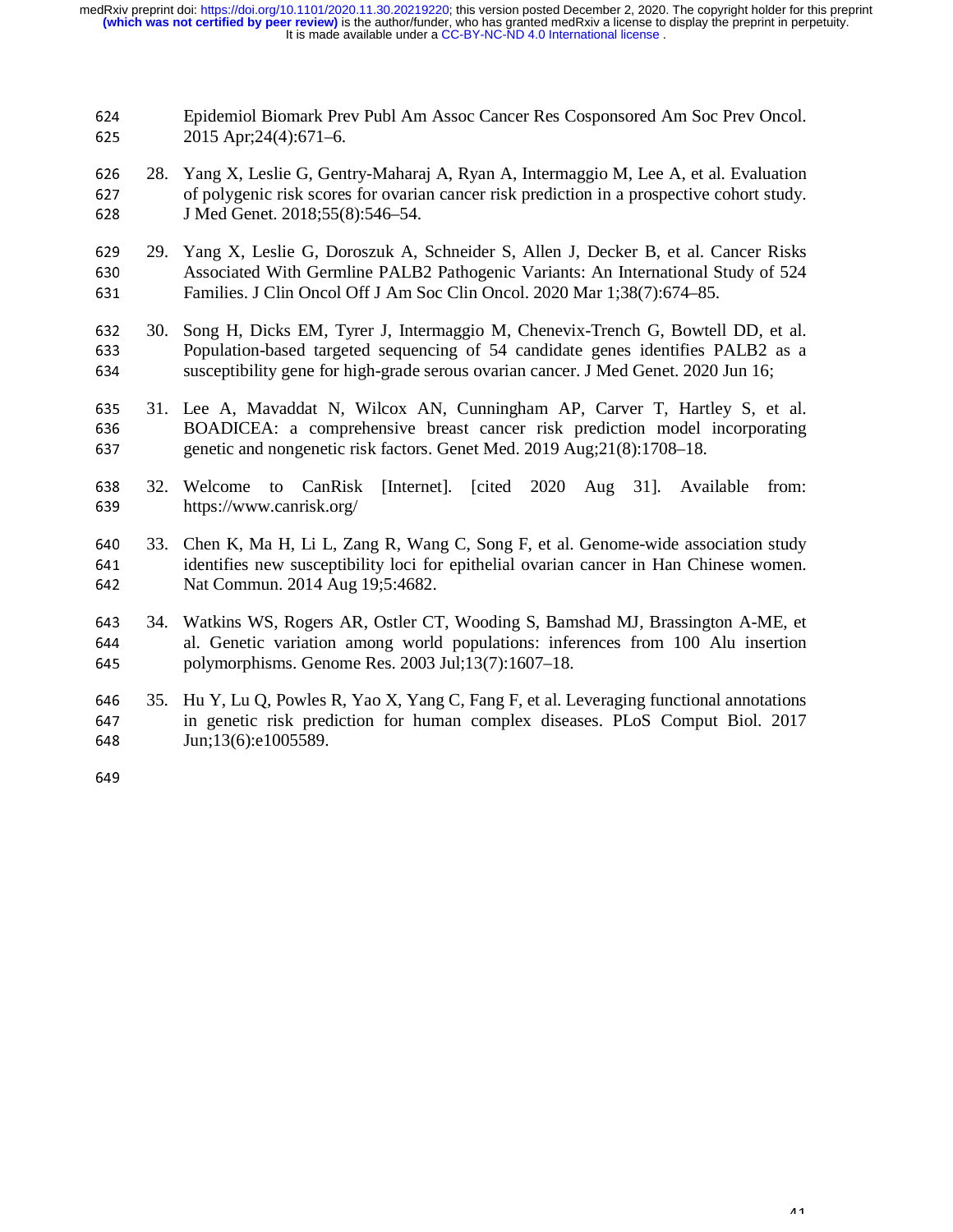624 Epidemiol Biomark Prev Publ Am Assoc Cancer Res Cosponsored Am Soc Prev Oncol.<br>625 2015 Apr:24(4):671–6. <sup>625</sup>2015 Apr;24(4):671–6.

- 626 28. Yang X, Leslie G, Gentry-Maharaj A, Ryan A, Intermaggio M, Lee A, et al. Evaluation of polygenic risk scores for ovarian cancer risk prediction in a prospective cohort study. 627 of polygenic risk scores for ovarian cancer risk prediction in a prospective cohort study.<br>628 J Med Genet. 2018;55(8):546–54. J Med Genet. 2018;55(8):546–54.
- 629 29. Yang X, Leslie G, Doroszuk A, Schneider S, Allen J, Decker B, et al. Cancer Risks<br>630 Associated With Germline PALB2 Pathogenic Variants: An International Study of 524 630 Associated With Germline PALB2 Pathogenic Variants: An International Study of 524<br>631 Families. J Clin Oncol Off J Am Soc Clin Oncol. 2020 Mar 1:38(7):674–85. Families. J Clin Oncol Off J Am Soc Clin Oncol. 2020 Mar 1;38(7):674–85.
- 632 30. Song H, Dicks EM, Tyrer J, Intermaggio M, Chenevix-Trench G, Bowtell DD, et al.<br>633 Population-based targeted sequencing of 54 candidate genes identifies PALB2 as a 633 Population-based targeted sequencing of 54 candidate genes identifies PALB2 as a susceptibility gene for high-grade serous ovarian cancer. J Med Genet. 2020 Jun 16: susceptibility gene for high-grade serous ovarian cancer. J Med Genet. 2020 Jun 16;
- 635 31. Lee A, Mavaddat N, Wilcox AN, Cunningham AP, Carver T, Hartley S, et al.<br>636 BOADICEA: a comprehensive breast cancer risk prediction model incorporating 636 BOADICEA: a comprehensive breast cancer risk prediction model incorporating genetic and nongenetic risk factors. Genet Med. 2019 Aug:21(8):1708–18. genetic and nongenetic risk factors. Genet Med. 2019 Aug;21(8):1708–18.
- 638 32. Welcome to CanRisk [Internet]. [cited 2020 Aug 31]. Available from:<br>639 https://www.canrisk.org/ https://www.canrisk.org/
- 640 33. Chen K, Ma H, Li L, Zang R, Wang C, Song F, et al. Genome-wide association study<br>641 identifies new susceptibility loci for epithelial ovarian cancer in Han Chinese women. 641 identifies new susceptibility loci for epithelial ovarian cancer in Han Chinese women.<br>642 Nat Commun. 2014 Aug 19:5:4682. Nat Commun. 2014 Aug 19;5:4682.
- 643 34. Watkins WS, Rogers AR, Ostler CT, Wooding S, Bamshad MJ, Brassington A-ME, et al. Genetic variation among world populations: inferences from 100 Alu insertion 644 al. Genetic variation among world populations: inferences from 100 Alu insertion<br>645 bolymorphisms. Genome Res. 2003 Jul:13(7):1607–18. polymorphisms. Genome Res.  $2003$  Jul;13(7):1607–18.
- 646 35. Hu Y, Lu Q, Powles R, Yao X, Yang C, Fang F, et al. Leveraging functional annotations<br>647 in genetic risk prediction for human complex diseases. PLoS Comput Biol. 2017 647 in genetic risk prediction for human complex diseases. PLoS Comput Biol. 2017<br>648 Jun;13(6):e1005589. Jun;13(6):e1005589.

649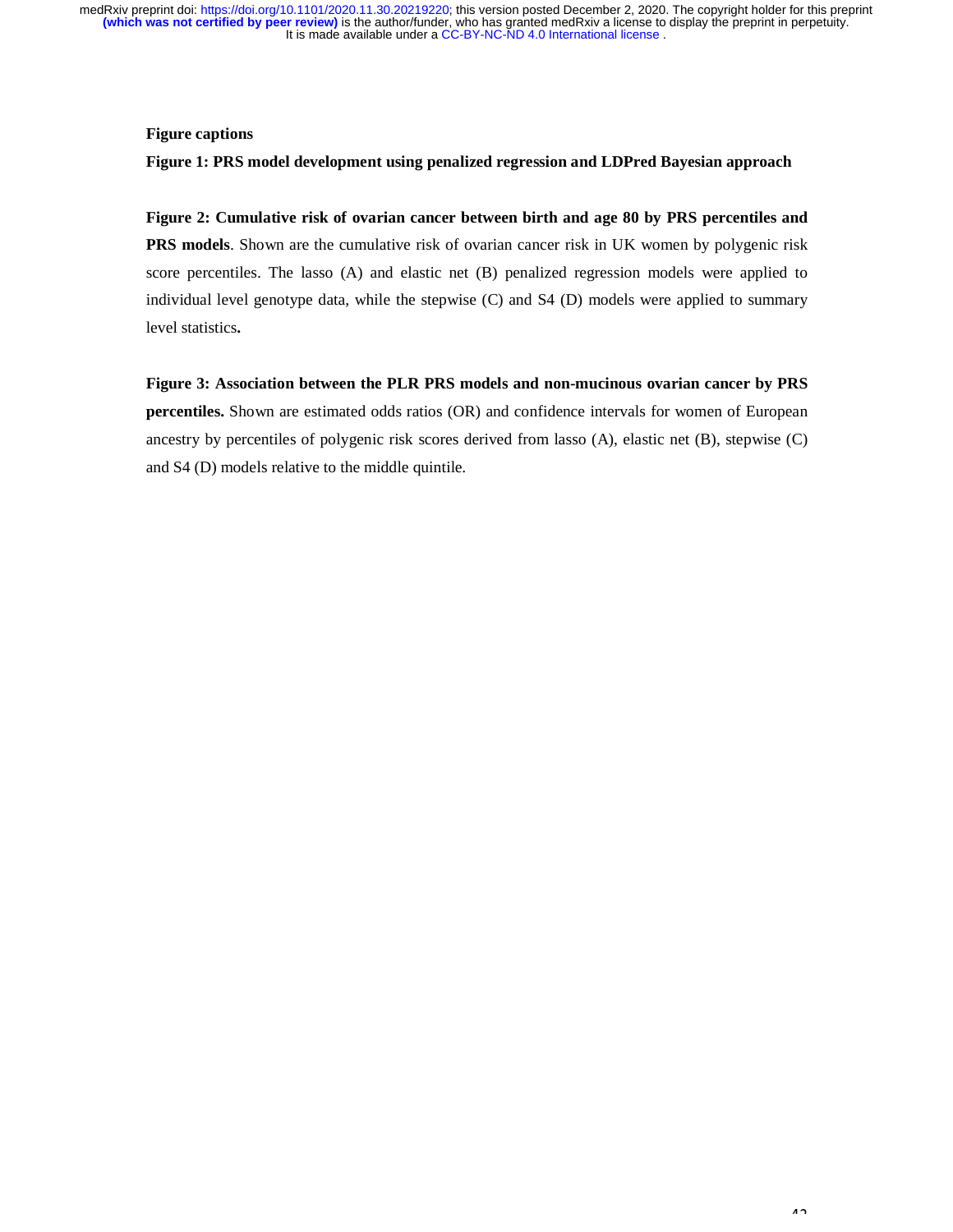## **Figure captions**

#### **Figure 1: PRS model development using penalized regression and LDPred Bayesian approach**

**Figure 2: Cumulative risk of ovarian cancer between birth and age 80 by PRS percentiles and PRS models**. Shown are the cumulative risk of ovarian cancer risk in UK women by polygenic risk score percentiles. The lasso (A) and elastic net (B) penalized regression models were applied to individual level genotype data, while the stepwise (C) and S4 (D) models were applied to summary level statistics**.** 

**Figure 3: Association between the PLR PRS models and non-mucinous ovarian cancer by PRS percentiles.** Shown are estimated odds ratios (OR) and confidence intervals for women of European ancestry by percentiles of polygenic risk scores derived from lasso (A), elastic net (B), stepwise (C) and S4 (D) models relative to the middle quintile.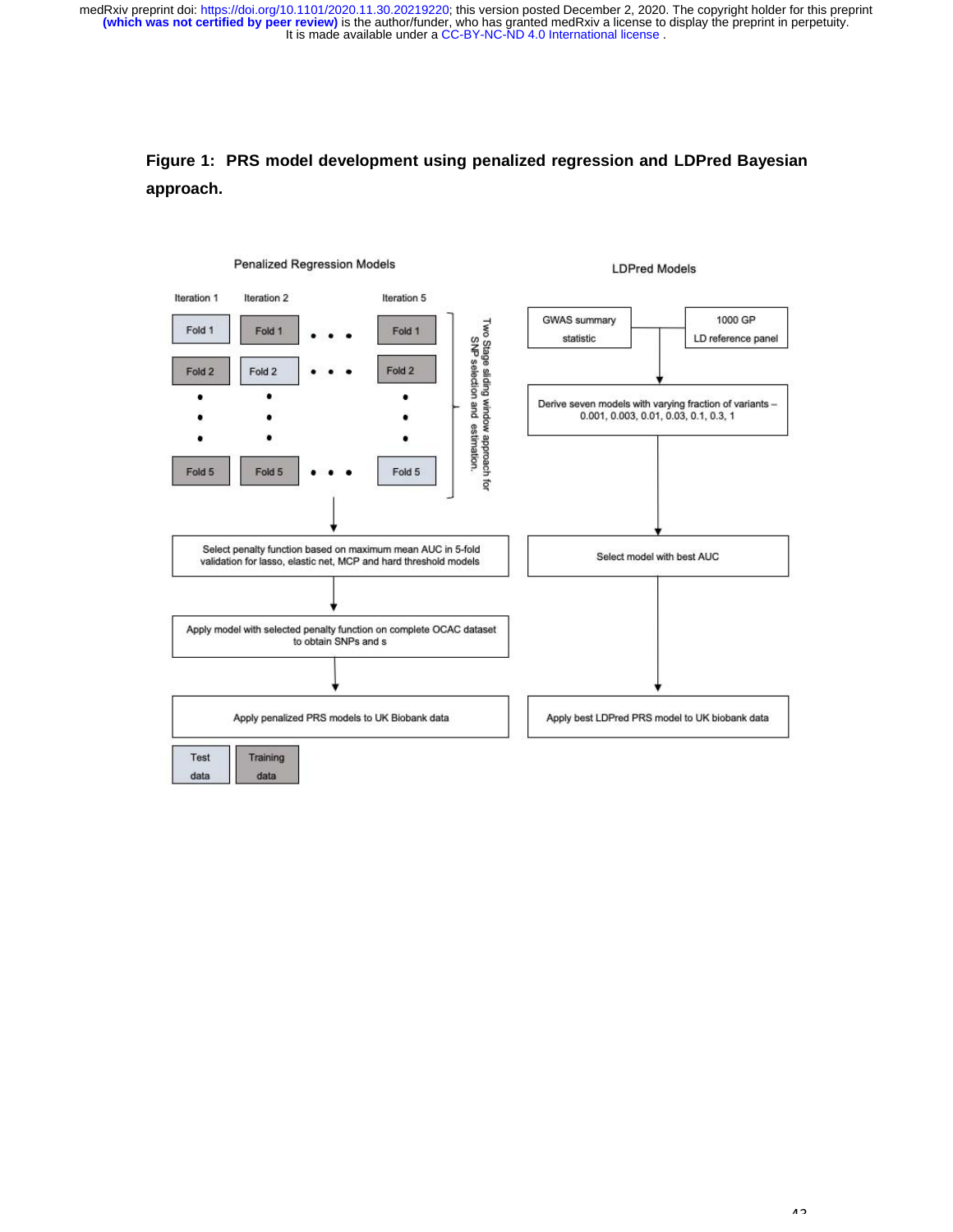# **Figure 1: PRS model development using penalized regression and LDPred Bayesian approach.**

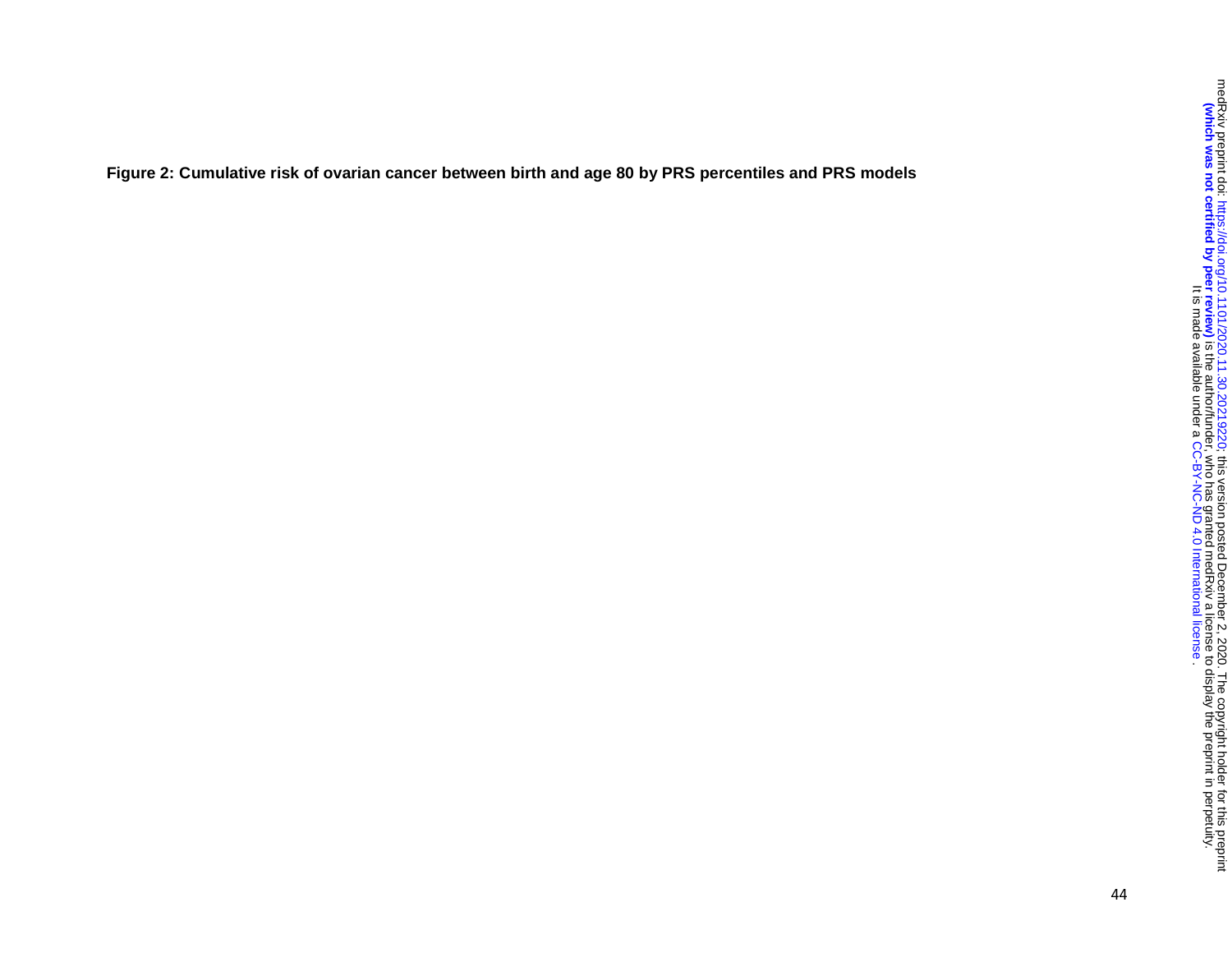**Figure 2: Cumulative risk of ovarian cancer between birth and age 80 by PRS percentiles and PRS models**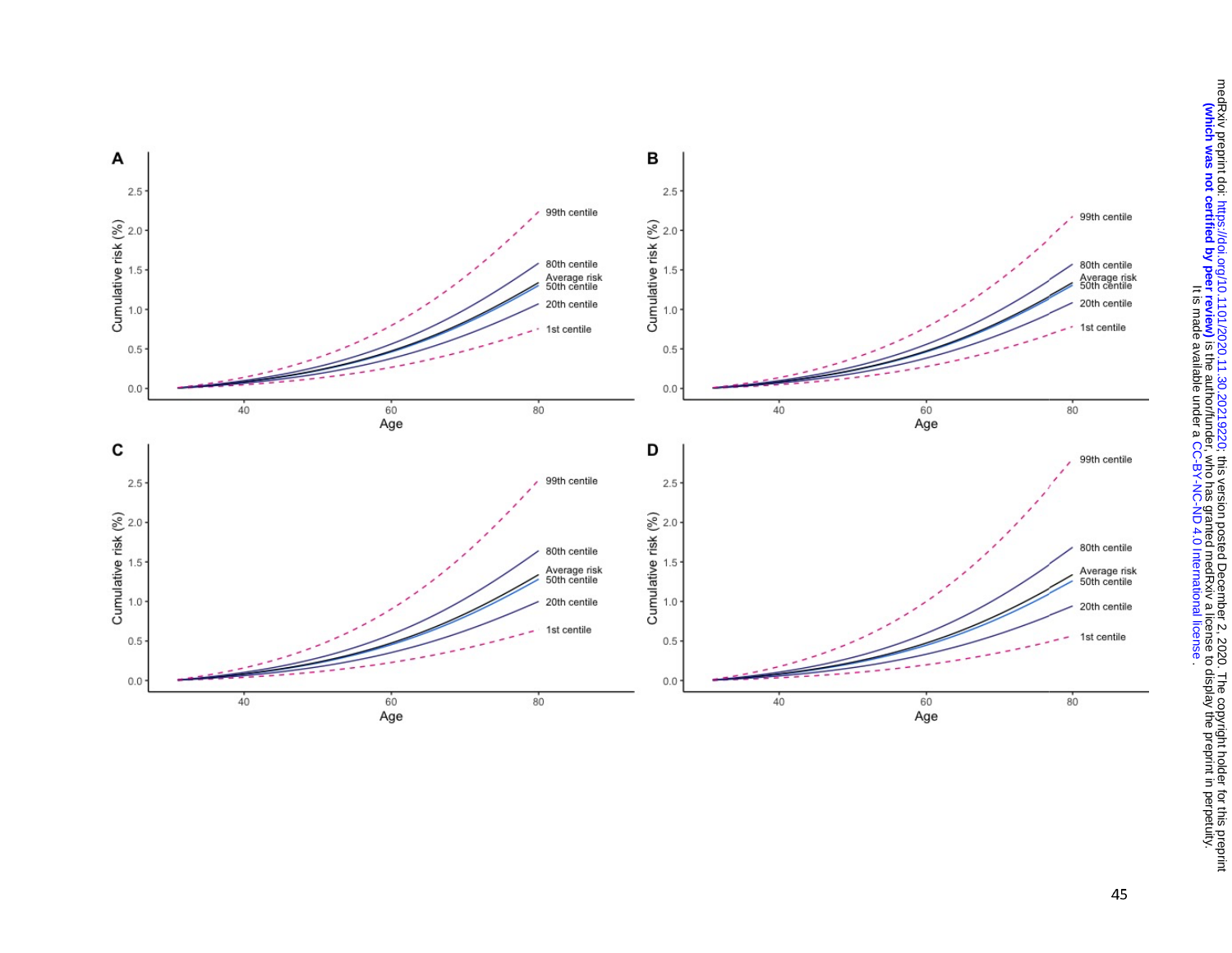